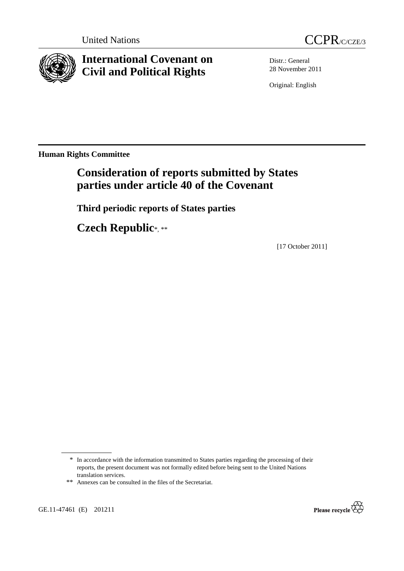



# **International Covenant on Civil and Political Rights**

Distr.: General 28 November 2011

Original: English

**Human Rights Committee** 

# **Consideration of reports submitted by States parties under article 40 of the Covenant**

 **Third periodic reports of States parties** 

 **Czech Republic**\*, \*\*

[17 October 2011]

GE.11-47461 (E) 201211



<sup>\*</sup> In accordance with the information transmitted to States parties regarding the processing of their reports, the present document was not formally edited before being sent to the United Nations translation services.

<sup>\*\*</sup> Annexes can be consulted in the files of the Secretariat.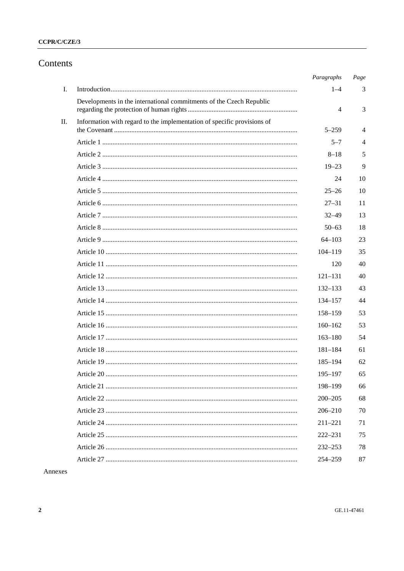## CCPR/C/CZE/3

## Contents

|    |                                                                         | Paragraphs  | Page |
|----|-------------------------------------------------------------------------|-------------|------|
| I. |                                                                         | $1 - 4$     | 3    |
|    | Developments in the international commitments of the Czech Republic     | 4           | 3    |
| П. | Information with regard to the implementation of specific provisions of | $5 - 259$   | 4    |
|    |                                                                         | $5 - 7$     | 4    |
|    |                                                                         | $8 - 18$    | 5    |
|    |                                                                         | $19 - 23$   | 9    |
|    |                                                                         | 24          | 10   |
|    |                                                                         | $25 - 26$   | 10   |
|    |                                                                         | $27 - 31$   | 11   |
|    |                                                                         | $32 - 49$   | 13   |
|    |                                                                         | $50 - 63$   | 18   |
|    |                                                                         | $64 - 103$  | 23   |
|    |                                                                         | $104 - 119$ | 35   |
|    |                                                                         | 120         | 40   |
|    |                                                                         | $121 - 131$ | 40   |
|    |                                                                         | 132–133     | 43   |
|    |                                                                         | 134-157     | 44   |
|    |                                                                         | $158 - 159$ | 53   |
|    |                                                                         | $160 - 162$ | 53   |
|    |                                                                         | $163 - 180$ | 54   |
|    |                                                                         | $181 - 184$ | 61   |
|    |                                                                         | $185 - 194$ | 62   |
|    |                                                                         | $195 - 197$ | 65   |
|    |                                                                         | 198-199     | 66   |
|    |                                                                         | $200 - 205$ | 68   |
|    |                                                                         | $206 - 210$ | 70   |
|    |                                                                         | $211 - 221$ | 71   |
|    |                                                                         | $222 - 231$ | 75   |
|    |                                                                         | $232 - 253$ | 78   |
|    |                                                                         | 254-259     | 87   |

Annexes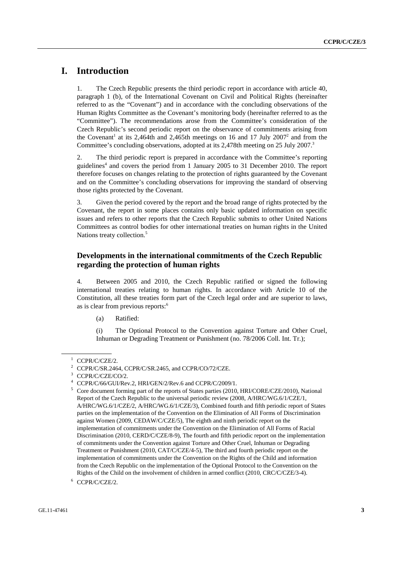## **I. Introduction**

1. The Czech Republic presents the third periodic report in accordance with article 40, paragraph 1 (b), of the International Covenant on Civil and Political Rights (hereinafter referred to as the "Covenant") and in accordance with the concluding observations of the Human Rights Committee as the Covenant's monitoring body (hereinafter referred to as the "Committee"). The recommendations arose from the Committee's consideration of the Czech Republic's second periodic report on the observance of commitments arising from the Covenant<sup>1</sup> at its 2,464th and 2,465th meetings on 16 and 17 July 2007<sup>2</sup> and from the Committee's concluding observations, adopted at its 2.478th meeting on 25 July 2007.<sup>3</sup>

2. The third periodic report is prepared in accordance with the Committee's reporting guidelines<sup>4</sup> and covers the period from 1 January 2005 to 31 December 2010. The report therefore focuses on changes relating to the protection of rights guaranteed by the Covenant and on the Committee's concluding observations for improving the standard of observing those rights protected by the Covenant.

3. Given the period covered by the report and the broad range of rights protected by the Covenant, the report in some places contains only basic updated information on specific issues and refers to other reports that the Czech Republic submits to other United Nations Committees as control bodies for other international treaties on human rights in the United Nations treaty collection.<sup>5</sup>

## **Developments in the international commitments of the Czech Republic regarding the protection of human rights**

4. Between 2005 and 2010, the Czech Republic ratified or signed the following international treaties relating to human rights. In accordance with Article 10 of the Constitution, all these treaties form part of the Czech legal order and are superior to laws, as is clear from previous reports:<sup>6</sup>

(a) Ratified:

(i) The Optional Protocol to the Convention against Torture and Other Cruel, Inhuman or Degrading Treatment or Punishment (no. 78/2006 Coll. Int. Tr.);

<sup>&</sup>lt;sup>1</sup> CCPR/C/CZE/2.

<sup>&</sup>lt;sup>2</sup> CCPR/C/SR.2464, CCPR/C/SR.2465, and CCPR/CO/72/CZE.

<sup>3</sup> CCPR/C/CZE/CO/2.

<sup>4</sup> CCPR/C/66/GUI/Rev.2, HRI/GEN/2/Rev.6 and CCPR/C/2009/1.

<sup>5</sup> Core document forming part of the reports of States parties (2010, HRI/CORE/CZE/2010), National Report of the Czech Republic to the universal periodic review (2008, A/HRC/WG.6/1/CZE/1, A/HRC/WG.6/1/CZE/2, A/HRC/WG.6/1/CZE/3), Combined fourth and fifth periodic report of States parties on the implementation of the Convention on the Elimination of All Forms of Discrimination against Women (2009, CEDAW/C/CZE/5), The eighth and ninth periodic report on the implementation of commitments under the Convention on the Elimination of All Forms of Racial Discrimination (2010, CERD/C/CZE/8-9), The fourth and fifth periodic report on the implementation of commitments under the Convention against Torture and Other Cruel, Inhuman or Degrading Treatment or Punishment (2010, CAT/C/CZE/4-5), The third and fourth periodic report on the implementation of commitments under the Convention on the Rights of the Child and information from the Czech Republic on the implementation of the Optional Protocol to the Convention on the Rights of the Child on the involvement of children in armed conflict (2010, CRC/C/CZE/3-4).

<sup>6</sup> CCPR/C/CZE/2.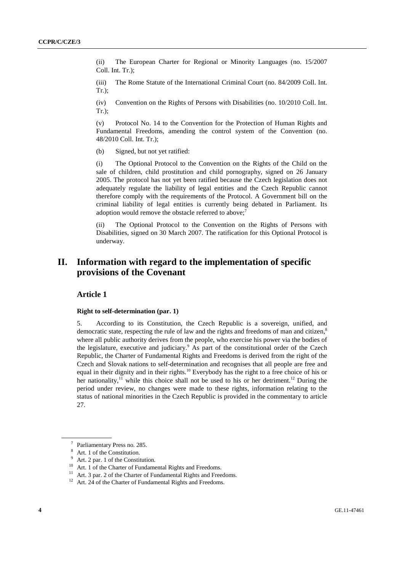(ii) The European Charter for Regional or Minority Languages (no. 15/2007 Coll. Int. Tr.);

(iii) The Rome Statute of the International Criminal Court (no. 84/2009 Coll. Int. Tr.);

(iv) Convention on the Rights of Persons with Disabilities (no. 10/2010 Coll. Int. Tr.);

(v) Protocol No. 14 to the Convention for the Protection of Human Rights and Fundamental Freedoms, amending the control system of the Convention (no. 48/2010 Coll. Int. Tr.);

(b) Signed, but not yet ratified:

(i) The Optional Protocol to the Convention on the Rights of the Child on the sale of children, child prostitution and child pornography, signed on 26 January 2005. The protocol has not yet been ratified because the Czech legislation does not adequately regulate the liability of legal entities and the Czech Republic cannot therefore comply with the requirements of the Protocol. A Government bill on the criminal liability of legal entities is currently being debated in Parliament. Its adoption would remove the obstacle referred to above:<sup>7</sup>

(ii) The Optional Protocol to the Convention on the Rights of Persons with Disabilities, signed on 30 March 2007. The ratification for this Optional Protocol is underway.

## **II. Information with regard to the implementation of specific provisions of the Covenant**

## **Article 1**

#### **Right to self-determination (par. 1)**

5. According to its Constitution, the Czech Republic is a sovereign, unified, and democratic state, respecting the rule of law and the rights and freedoms of man and citizen.<sup>8</sup> where all public authority derives from the people, who exercise his power via the bodies of the legislature, executive and judiciary.<sup>9</sup> As part of the constitutional order of the Czech Republic, the Charter of Fundamental Rights and Freedoms is derived from the right of the Czech and Slovak nations to self-determination and recognises that all people are free and equal in their dignity and in their rights.<sup>10</sup> Everybody has the right to a free choice of his or her nationality,<sup>11</sup> while this choice shall not be used to his or her detriment.<sup>12</sup> During the period under review, no changes were made to these rights, information relating to the status of national minorities in the Czech Republic is provided in the commentary to article 27.

<sup>7</sup> Parliamentary Press no. 285.

<sup>8</sup> Art. 1 of the Constitution.

<sup>9</sup> Art. 2 par. 1 of the Constitution.

<sup>&</sup>lt;sup>10</sup> Art. 1 of the Charter of Fundamental Rights and Freedoms.

 $^{11}\,$  Art. 3 par. 2 of the Charter of Fundamental Rights and Freedoms.

<sup>&</sup>lt;sup>12</sup> Art. 24 of the Charter of Fundamental Rights and Freedoms.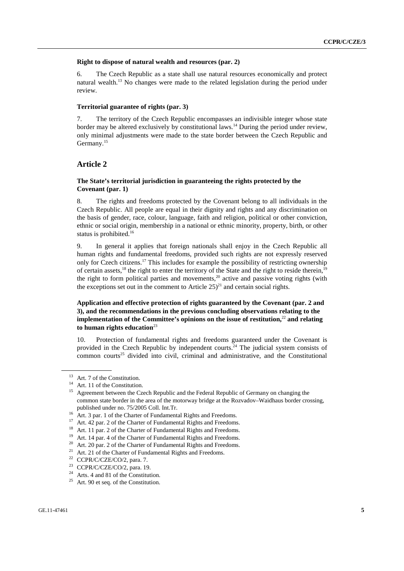#### **Right to dispose of natural wealth and resources (par. 2)**

6. The Czech Republic as a state shall use natural resources economically and protect natural wealth.<sup>13</sup> No changes were made to the related legislation during the period under review.

#### **Territorial guarantee of rights (par. 3)**

7. The territory of the Czech Republic encompasses an indivisible integer whose state border may be altered exclusively by constitutional laws.<sup>14</sup> During the period under review, only minimal adjustments were made to the state border between the Czech Republic and Germany.<sup>15</sup>

## **Article 2**

## **The State's territorial jurisdiction in guaranteeing the rights protected by the Covenant (par. 1)**

8. The rights and freedoms protected by the Covenant belong to all individuals in the Czech Republic. All people are equal in their dignity and rights and any discrimination on the basis of gender, race, colour, language, faith and religion, political or other conviction, ethnic or social origin, membership in a national or ethnic minority, property, birth, or other status is prohibited.<sup>16</sup>

9. In general it applies that foreign nationals shall enjoy in the Czech Republic all human rights and fundamental freedoms, provided such rights are not expressly reserved only for Czech citizens.17 This includes for example the possibility of restricting ownership of certain assets,<sup>18</sup> the right to enter the territory of the State and the right to reside therein,<sup>19</sup> the right to form political parties and movements,<sup>20</sup> active and passive voting rights (with the exceptions set out in the comment to Article  $25)^{21}$  and certain social rights.

## **Application and effective protection of rights guaranteed by the Covenant (par. 2 and 3), and the recommendations in the previous concluding observations relating to the implementation of the Committee's opinions on the issue of restitution.<sup>22</sup> and relating to human rights education**<sup>23</sup>

10. Protection of fundamental rights and freedoms guaranteed under the Covenant is provided in the Czech Republic by independent courts.<sup>24</sup> The judicial system consists of  $\frac{1}{2}$  common courts<sup>25</sup> divided into civil, criminal and administrative, and the Constitutional

<sup>&</sup>lt;sup>13</sup> Art. 7 of the Constitution.

<sup>&</sup>lt;sup>14</sup> Art. 11 of the Constitution.

Agreement between the Czech Republic and the Federal Republic of Germany on changing the common state border in the area of the motorway bridge at the Rozvadov–Waidhaus border crossing, published under no. 75/2005 Coll. Int.Tr.

published under no. 75/2005 Coll. Int.Tr. 16 Art. 3 par. 1 of the Charter of Fundamental Rights and Freedoms.

<sup>&</sup>lt;sup>17</sup> Art. 42 par. 2 of the Charter of Fundamental Rights and Freedoms.

<sup>&</sup>lt;sup>18</sup> Art. 11 par. 2 of the Charter of Fundamental Rights and Freedoms.

Art. 14 par. 4 of the Charter of Fundamental Rights and Freedoms.

<sup>&</sup>lt;sup>20</sup> Art. 20 par. 2 of the Charter of Fundamental Rights and Freedoms.

<sup>&</sup>lt;sup>21</sup> Art. 21 of the Charter of Fundamental Rights and Freedoms.

<sup>&</sup>lt;sup>22</sup> CCPR/C/CZE/CO/2, para. 7.

<sup>&</sup>lt;sup>23</sup> CCPR/C/CZE/CO/2, para. 19.

<sup>24</sup> Arts. 4 and 81 of the Constitution.

 $25$  Art. 90 et seq. of the Constitution.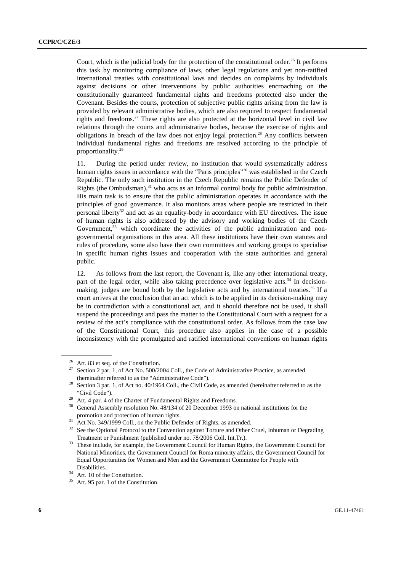Court, which is the judicial body for the protection of the constitutional order.<sup>26</sup> It performs this task by monitoring compliance of laws, other legal regulations and yet non-ratified international treaties with constitutional laws and decides on complaints by individuals against decisions or other interventions by public authorities encroaching on the constitutionally guaranteed fundamental rights and freedoms protected also under the Covenant. Besides the courts, protection of subjective public rights arising from the law is provided by relevant administrative bodies, which are also required to respect fundamental rights and freedoms.<sup>27</sup> These rights are also protected at the horizontal level in civil law relations through the courts and administrative bodies, because the exercise of rights and obligations in breach of the law does not enjoy legal protection.28 Any conflicts between individual fundamental rights and freedoms are resolved according to the principle of proportionality.29

11. During the period under review, no institution that would systematically address human rights issues in accordance with the "Paris principles"<sup>30</sup> was established in the Czech Republic. The only such institution in the Czech Republic remains the Public Defender of Rights (the Ombudsman), $31$  who acts as an informal control body for public administration. His main task is to ensure that the public administration operates in accordance with the principles of good governance. It also monitors areas where people are restricted in their personal liberty<sup>32</sup> and act as an equality-body in accordance with EU directives. The issue of human rights is also addressed by the advisory and working bodies of the Czech Government,<sup>33</sup> which coordinate the activities of the public administration and nongovernmental organisations in this area. All these institutions have their own statutes and rules of procedure, some also have their own committees and working groups to specialise in specific human rights issues and cooperation with the state authorities and general public.

12. As follows from the last report, the Covenant is, like any other international treaty, part of the legal order, while also taking precedence over legislative acts.<sup>34</sup> In decisionmaking, judges are bound both by the legislative acts and by international treaties.<sup>35</sup> If a court arrives at the conclusion that an act which is to be applied in its decision-making may be in contradiction with a constitutional act, and it should therefore not be used, it shall suspend the proceedings and pass the matter to the Constitutional Court with a request for a review of the act's compliance with the constitutional order. As follows from the case law of the Constitutional Court, this procedure also applies in the case of a possible inconsistency with the promulgated and ratified international conventions on human rights

<sup>&</sup>lt;sup>26</sup> Art. 83 et seq. of the Constitution.

Section 2 par. 1, of Act No. 500/2004 Coll., the Code of Administrative Practice, as amended

<sup>(</sup>hereinafter referred to as the "Administrative Code").<br>Section 3 par. 1, of Act no. 40/1964 Coll., the Civil Code, as amended (hereinafter referred to as the "Civil Code").  $^{29}$  Art. 4 par. 4 of the Charter of Fundamental Rights and Freedoms.

<sup>&</sup>lt;sup>30</sup> General Assembly resolution No. 48/134 of 20 December 1993 on national institutions for the promotion and protection of human rights.<br>Act No. 349/1999 Coll., on the Public Defender of Rights, as amended.

<sup>&</sup>lt;sup>32</sup> See the Optional Protocol to the Convention against Torture and Other Cruel, Inhuman or Degrading

Treatment or Punishment (published under no. 78/2006 Coll. Int.Tr.). 33 These include, for example, the Government Council for Human Rights, the Government Council for National Minorities, the Government Council for Roma minority affairs, the Government Council for Equal Opportunities for Women and Men and the Government Committee for People with

Disabilities.<br><sup>34</sup> Art. 10 of the Constitution.

Art. 95 par. 1 of the Constitution.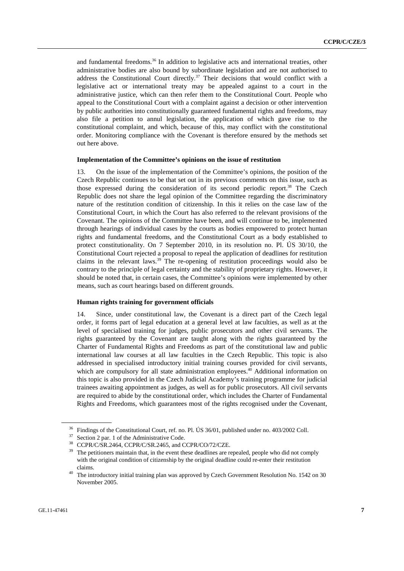and fundamental freedoms.<sup>36</sup> In addition to legislative acts and international treaties, other administrative bodies are also bound by subordinate legislation and are not authorised to address the Constitutional Court directly.<sup>37</sup> Their decisions that would conflict with a legislative act or international treaty may be appealed against to a court in the administrative justice, which can then refer them to the Constitutional Court. People who appeal to the Constitutional Court with a complaint against a decision or other intervention by public authorities into constitutionally guaranteed fundamental rights and freedoms, may also file a petition to annul legislation, the application of which gave rise to the constitutional complaint, and which, because of this, may conflict with the constitutional order. Monitoring compliance with the Covenant is therefore ensured by the methods set out here above.

#### **Implementation of the Committee's opinions on the issue of restitution**

13. On the issue of the implementation of the Committee's opinions, the position of the Czech Republic continues to be that set out in its previous comments on this issue, such as those expressed during the consideration of its second periodic report.<sup>38</sup> The Czech Republic does not share the legal opinion of the Committee regarding the discriminatory nature of the restitution condition of citizenship. In this it relies on the case law of the Constitutional Court, in which the Court has also referred to the relevant provisions of the Covenant. The opinions of the Committee have been, and will continue to be, implemented through hearings of individual cases by the courts as bodies empowered to protect human rights and fundamental freedoms, and the Constitutional Court as a body established to protect constitutionality. On 7 September 2010, in its resolution no. Pl. ÚS 30/10, the Constitutional Court rejected a proposal to repeal the application of deadlines for restitution claims in the relevant laws.<sup>39</sup> The re-opening of restitution proceedings would also be contrary to the principle of legal certainty and the stability of proprietary rights. However, it should be noted that, in certain cases, the Committee's opinions were implemented by other means, such as court hearings based on different grounds.

#### **Human rights training for government officials**

14. Since, under constitutional law, the Covenant is a direct part of the Czech legal order, it forms part of legal education at a general level at law faculties, as well as at the level of specialised training for judges, public prosecutors and other civil servants. The rights guaranteed by the Covenant are taught along with the rights guaranteed by the Charter of Fundamental Rights and Freedoms as part of the constitutional law and public international law courses at all law faculties in the Czech Republic. This topic is also addressed in specialised introductory initial training courses provided for civil servants, which are compulsory for all state administration employees.<sup>40</sup> Additional information on this topic is also provided in the Czech Judicial Academy's training programme for judicial trainees awaiting appointment as judges, as well as for public prosecutors. All civil servants are required to abide by the constitutional order, which includes the Charter of Fundamental Rights and Freedoms, which guarantees most of the rights recognised under the Covenant,

<sup>&</sup>lt;sup>36</sup> Findings of the Constitutional Court, ref. no. Pl. ÚS 36/01, published under no. 403/2002 Coll.

 $37$  Section 2 par. 1 of the Administrative Code.

<sup>38</sup> CCPR/C/SR.2464, CCPR/C/SR.2465, and CCPR/CO/72/CZE.

<sup>&</sup>lt;sup>39</sup> The petitioners maintain that, in the event these deadlines are repealed, people who did not comply with the original condition of citizenship by the original deadline could re-enter their restitution claims. 40 The introductory initial training plan was approved by Czech Government Resolution No. 1542 on 30

November 2005.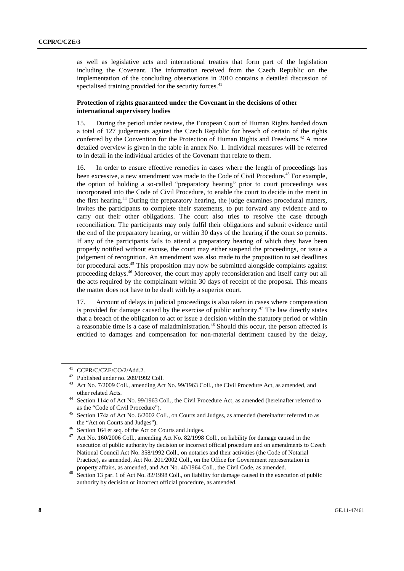as well as legislative acts and international treaties that form part of the legislation including the Covenant. The information received from the Czech Republic on the implementation of the concluding observations in 2010 contains a detailed discussion of specialised training provided for the security forces. $41$ 

#### **Protection of rights guaranteed under the Covenant in the decisions of other international supervisory bodies**

15. During the period under review, the European Court of Human Rights handed down a total of 127 judgements against the Czech Republic for breach of certain of the rights conferred by the Convention for the Protection of Human Rights and Freedoms.42 A more detailed overview is given in the table in annex No. 1. Individual measures will be referred to in detail in the individual articles of the Covenant that relate to them.

16. In order to ensure effective remedies in cases where the length of proceedings has been excessive, a new amendment was made to the Code of Civil Procedure.<sup>43</sup> For example, the option of holding a so-called "preparatory hearing" prior to court proceedings was incorporated into the Code of Civil Procedure, to enable the court to decide in the merit in the first hearing.44 During the preparatory hearing, the judge examines procedural matters, invites the participants to complete their statements, to put forward any evidence and to carry out their other obligations. The court also tries to resolve the case through reconciliation. The participants may only fulfil their obligations and submit evidence until the end of the preparatory hearing, or within 30 days of the hearing if the court so permits. If any of the participants fails to attend a preparatory hearing of which they have been properly notified without excuse, the court may either suspend the proceedings, or issue a judgement of recognition. An amendment was also made to the proposition to set deadlines for procedural acts.<sup>45</sup> This proposition may now be submitted alongside complaints against proceeding delays.46 Moreover, the court may apply reconsideration and itself carry out all the acts required by the complainant within 30 days of receipt of the proposal. This means the matter does not have to be dealt with by a superior court.

17. Account of delays in judicial proceedings is also taken in cases where compensation is provided for damage caused by the exercise of public authority.<sup>47</sup> The law directly states that a breach of the obligation to act or issue a decision within the statutory period or within a reasonable time is a case of maladministration.<sup>48</sup> Should this occur, the person affected is entitled to damages and compensation for non-material detriment caused by the delay,

CCPR/C/CZE/CO/2/Add.2.

<sup>42</sup> Published under no. 209/1992 Coll.

<sup>43</sup> Act No. 7/2009 Coll., amending Act No. 99/1963 Coll., the Civil Procedure Act, as amended, and other related Acts.<br>Section 114c of Act No. 99/1963 Coll., the Civil Procedure Act, as amended (hereinafter referred to

as the "Code of Civil Procedure").<br>Section 174a of Act No. 6/2002 Coll., on Courts and Judges, as amended (hereinafter referred to as

the "Act on Courts and Judges").<br><sup>46</sup> Section 164 et seq. of the Act on Courts and Judges.

<sup>47</sup> Act No. 160/2006 Coll., amending Act No. 82/1998 Coll., on liability for damage caused in the execution of public authority by decision or incorrect official procedure and on amendments to Czech National Council Act No. 358/1992 Coll., on notaries and their activities (the Code of Notarial Practice), as amended, Act No. 201/2002 Coll., on the Office for Government representation in

property affairs, as amended, and Act No. 40/1964 Coll., the Civil Code, as amended.<br><sup>48</sup> Section 13 par. 1 of Act No. 82/1998 Coll., on liability for damage caused in the execution of public authority by decision or incorrect official procedure, as amended.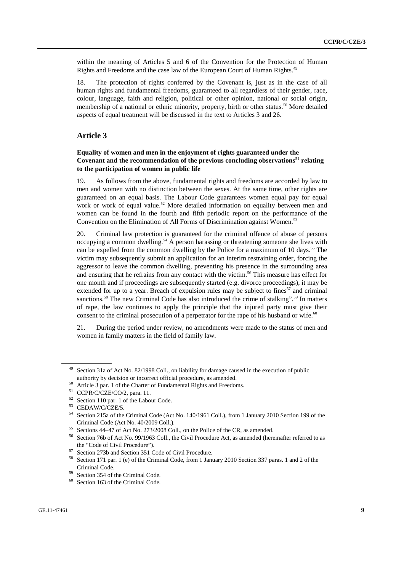within the meaning of Articles 5 and 6 of the Convention for the Protection of Human Rights and Freedoms and the case law of the European Court of Human Rights.<sup>49</sup>

18. The protection of rights conferred by the Covenant is, just as in the case of all human rights and fundamental freedoms, guaranteed to all regardless of their gender, race, colour, language, faith and religion, political or other opinion, national or social origin, membership of a national or ethnic minority, property, birth or other status.<sup>50</sup> More detailed aspects of equal treatment will be discussed in the text to Articles 3 and 26.

## **Article 3**

## **Equality of women and men in the enjoyment of rights guaranteed under the Covenant and the recommendation of the previous concluding observations**<sup>51</sup> **relating to the participation of women in public life**

19. As follows from the above, fundamental rights and freedoms are accorded by law to men and women with no distinction between the sexes. At the same time, other rights are guaranteed on an equal basis. The Labour Code guarantees women equal pay for equal work or work of equal value.<sup>52</sup> More detailed information on equality between men and women can be found in the fourth and fifth periodic report on the performance of the Convention on the Elimination of All Forms of Discrimination against Women.<sup>53</sup>

20. Criminal law protection is guaranteed for the criminal offence of abuse of persons occupying a common dwelling.<sup>54</sup> A person harassing or threatening someone she lives with can be expelled from the common dwelling by the Police for a maximum of 10 days.<sup>55</sup> The victim may subsequently submit an application for an interim restraining order, forcing the aggressor to leave the common dwelling, preventing his presence in the surrounding area and ensuring that he refrains from any contact with the victim.<sup>56</sup> This measure has effect for one month and if proceedings are subsequently started (e.g. divorce proceedings), it may be extended for up to a year. Breach of expulsion rules may be subject to fines<sup>57</sup> and criminal sanctions.<sup>58</sup> The new Criminal Code has also introduced the crime of stalking".<sup>59</sup> In matters of rape, the law continues to apply the principle that the injured party must give their consent to the criminal prosecution of a perpetrator for the rape of his husband or wife. $^{60}$ 

21. During the period under review, no amendments were made to the status of men and women in family matters in the field of family law.

Section 31a of Act No. 82/1998 Coll., on liability for damage caused in the execution of public

authority by decision or incorrect official procedure, as amended.<br><sup>50</sup> Article 3 par. 1 of the Charter of Fundamental Rights and Freedoms.<br><sup>51</sup> CCDP (CCZE/CO/), sexs. 11

CCPR/C/CZE/CO/2, para. 11.

<sup>52</sup> Section 110 par. 1 of the Labour Code.

 $^{53}$  CEDAW/C/CZE/5.

<sup>54</sup> Section 215a of the Criminal Code (Act No. 140/1961 Coll.), from 1 January 2010 Section 199 of the Criminal Code (Act No. 40/2009 Coll.). 55 Sections 44–47 of Act No. 273/2008 Coll., on the Police of the CR, as amended.

<sup>56</sup> Section 76b of Act No. 99/1963 Coll., the Civil Procedure Act, as amended (hereinafter referred to as the "Code of Civil Procedure").<br>
<sup>57</sup> Section 273b and Section 351 Code of Civil Procedure.<br>
<sup>58</sup> Section 171 per 1(a) of the Criminal Code from 1 Jan

<sup>58</sup> Section 171 par. 1 (e) of the Criminal Code, from 1 January 2010 Section 337 paras. 1 and 2 of the Criminal Code. 59 Section 354 of the Criminal Code.

<sup>&</sup>lt;sup>60</sup> Section 163 of the Criminal Code.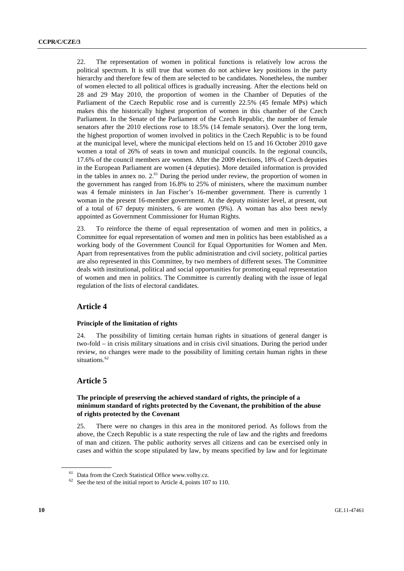22. The representation of women in political functions is relatively low across the political spectrum. It is still true that women do not achieve key positions in the party hierarchy and therefore few of them are selected to be candidates. Nonetheless, the number of women elected to all political offices is gradually increasing. After the elections held on 28 and 29 May 2010, the proportion of women in the Chamber of Deputies of the Parliament of the Czech Republic rose and is currently 22.5% (45 female MPs) which makes this the historically highest proportion of women in this chamber of the Czech Parliament. In the Senate of the Parliament of the Czech Republic, the number of female senators after the 2010 elections rose to 18.5% (14 female senators). Over the long term, the highest proportion of women involved in politics in the Czech Republic is to be found at the municipal level, where the municipal elections held on 15 and 16 October 2010 gave women a total of 26% of seats in town and municipal councils. In the regional councils, 17.6% of the council members are women. After the 2009 elections, 18% of Czech deputies in the European Parliament are women (4 deputies). More detailed information is provided in the tables in annex no.  $2<sup>61</sup>$  During the period under review, the proportion of women in the government has ranged from 16.8% to 25% of ministers, where the maximum number was 4 female ministers in Jan Fischer's 16-member government. There is currently 1 woman in the present 16-member government. At the deputy minister level, at present, out of a total of 67 deputy ministers, 6 are women (9%). A woman has also been newly appointed as Government Commissioner for Human Rights.

23. To reinforce the theme of equal representation of women and men in politics, a Committee for equal representation of women and men in politics has been established as a working body of the Government Council for Equal Opportunities for Women and Men. Apart from representatives from the public administration and civil society, political parties are also represented in this Committee, by two members of different sexes. The Committee deals with institutional, political and social opportunities for promoting equal representation of women and men in politics. The Committee is currently dealing with the issue of legal regulation of the lists of electoral candidates.

## **Article 4**

#### **Principle of the limitation of rights**

24. The possibility of limiting certain human rights in situations of general danger is two-fold – in crisis military situations and in crisis civil situations. During the period under review, no changes were made to the possibility of limiting certain human rights in these situations.<sup>62</sup>

## **Article 5**

## **The principle of preserving the achieved standard of rights, the principle of a minimum standard of rights protected by the Covenant, the prohibition of the abuse of rights protected by the Covenant**

25. There were no changes in this area in the monitored period. As follows from the above, the Czech Republic is a state respecting the rule of law and the rights and freedoms of man and citizen. The public authority serves all citizens and can be exercised only in cases and within the scope stipulated by law, by means specified by law and for legitimate

<sup>&</sup>lt;sup>61</sup> Data from the Czech Statistical Office www.volby.cz.

 $62$  See the text of the initial report to Article 4, points 107 to 110.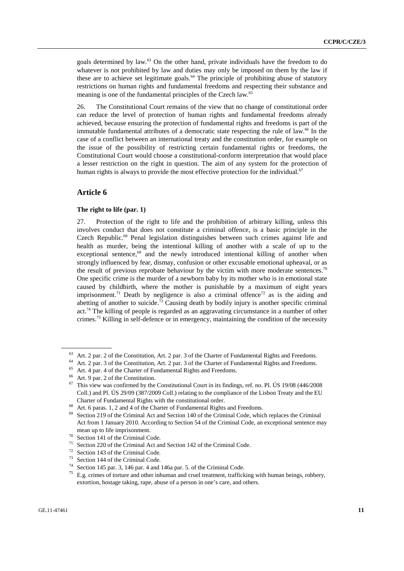goals determined by law.63 On the other hand, private individuals have the freedom to do whatever is not prohibited by law and duties may only be imposed on them by the law if these are to achieve set legitimate goals.<sup>64</sup> The principle of prohibiting abuse of statutory restrictions on human rights and fundamental freedoms and respecting their substance and meaning is one of the fundamental principles of the Czech law.<sup>65</sup>

26. The Constitutional Court remains of the view that no change of constitutional order can reduce the level of protection of human rights and fundamental freedoms already achieved, because ensuring the protection of fundamental rights and freedoms is part of the immutable fundamental attributes of a democratic state respecting the rule of law.<sup>66</sup> In the case of a conflict between an international treaty and the constitution order, for example on the issue of the possibility of restricting certain fundamental rights or freedoms, the Constitutional Court would choose a constitutional-conform interpretation that would place a lesser restriction on the right in question. The aim of any system for the protection of human rights is always to provide the most effective protection for the individual.<sup>67</sup>

## **Article 6**

#### **The right to life (par. 1)**

27. Protection of the right to life and the prohibition of arbitrary killing, unless this involves conduct that does not constitute a criminal offence, is a basic principle in the Czech Republic.68 Penal legislation distinguishes between such crimes against life and health as murder, being the intentional killing of another with a scale of up to the exceptional sentence, $69$  and the newly introduced intentional killing of another when strongly influenced by fear, dismay, confusion or other excusable emotional upheaval, or as the result of previous reprobate behaviour by the victim with more moderate sentences.<sup>70</sup> One specific crime is the murder of a newborn baby by its mother who is in emotional state caused by childbirth, where the mother is punishable by a maximum of eight years imprisonment.<sup>71</sup> Death by negligence is also a criminal offence<sup>72</sup> as is the aiding and abetting of another to suicide.<sup>73</sup> Causing death by bodily injury is another specific criminal  $act.^{74}$  The killing of people is regarded as an aggravating circumstance in a number of other crimes.<sup>75</sup> Killing in self-defence or in emergency, maintaining the condition of the necessity

<sup>64</sup> Art. 2 par. 3 of the Constitution, Art. 2 par. 3 of the Charter of Fundamental Rights and Freedoms.

<sup>&</sup>lt;sup>63</sup> Art. 2 par. 2 of the Constitution, Art. 2 par. 3 of the Charter of Fundamental Rights and Freedoms.<br><sup>64</sup> Art. 2 par. 2 of the Constitution, Art. 2 par. 2 of the Charter of Fundamental Rights and Freedoms.

<sup>&</sup>lt;sup>65</sup> Art. 4 par. 4 of the Charter of Fundamental Rights and Freedoms.

Art. 9 par. 2 of the Constitution.

 $67$  This view was confirmed by the Constitutional Court in its findings, ref. no. Pl. ÚS 19/08 (446/2008) Coll.) and Pl. ÚS 29/09 (387/2009 Coll.) relating to the compliance of the Lisbon Treaty and the EU Charter of Fundamental Rights with the constitutional order. 68 Art. 6 paras. 1, 2 and 4 of the Charter of Fundamental Rights and Freedoms.

Section 219 of the Criminal Act and Section 140 of the Criminal Code, which replaces the Criminal Act from 1 January 2010. According to Section 54 of the Criminal Code, an exceptional sentence may mean up to life imprisonment.<br>
<sup>70</sup> Section 141 of the Criminal Code.<br>
<sup>71</sup> Section 220 of the Criminal Aster

Section 220 of the Criminal Act and Section 142 of the Criminal Code.

<sup>72</sup> Section 143 of the Criminal Code.

 $^{73}$  Section 144 of the Criminal Code.

<sup>&</sup>lt;sup>74</sup> Section 145 par. 3, 146 par. 4 and 146a par. 5. of the Criminal Code.<br><sup>75</sup> E.e. orings of testure and other inhuman and amel tractment, traffield

<sup>75</sup> E.g. crimes of torture and other inhuman and cruel treatment, trafficking with human beings, robbery, extortion, hostage taking, rape, abuse of a person in one's care, and others.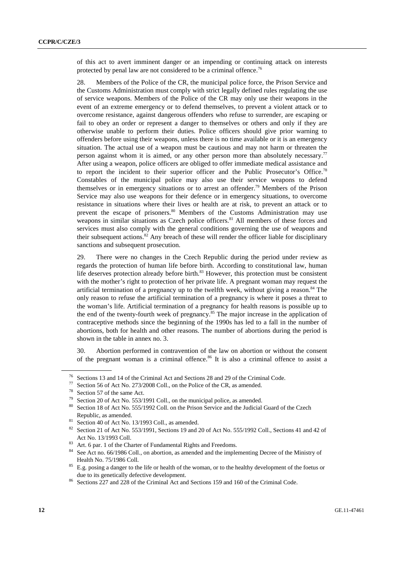of this act to avert imminent danger or an impending or continuing attack on interests protected by penal law are not considered to be a criminal offence.<sup>76</sup>

28. Members of the Police of the CR, the municipal police force, the Prison Service and the Customs Administration must comply with strict legally defined rules regulating the use of service weapons. Members of the Police of the CR may only use their weapons in the event of an extreme emergency or to defend themselves, to prevent a violent attack or to overcome resistance, against dangerous offenders who refuse to surrender, are escaping or fail to obey an order or represent a danger to themselves or others and only if they are otherwise unable to perform their duties. Police officers should give prior warning to offenders before using their weapons, unless there is no time available or it is an emergency situation. The actual use of a weapon must be cautious and may not harm or threaten the person against whom it is aimed, or any other person more than absolutely necessary.77 After using a weapon, police officers are obliged to offer immediate medical assistance and to report the incident to their superior officer and the Public Prosecutor's Office.<sup>78</sup> Constables of the municipal police may also use their service weapons to defend themselves or in emergency situations or to arrest an offender.<sup>79</sup> Members of the Prison Service may also use weapons for their defence or in emergency situations, to overcome resistance in situations where their lives or health are at risk, to prevent an attack or to prevent the escape of prisoners.<sup>80</sup> Members of the Customs Administration may use weapons in similar situations as Czech police officers.<sup>81</sup> All members of these forces and services must also comply with the general conditions governing the use of weapons and their subsequent actions.<sup>82</sup> Any breach of these will render the officer liable for disciplinary sanctions and subsequent prosecution.

29. There were no changes in the Czech Republic during the period under review as regards the protection of human life before birth. According to constitutional law, human life deserves protection already before birth.<sup>83</sup> However, this protection must be consistent with the mother's right to protection of her private life. A pregnant woman may request the artificial termination of a pregnancy up to the twelfth week, without giving a reason.<sup>84</sup> The only reason to refuse the artificial termination of a pregnancy is where it poses a threat to the woman's life. Artificial termination of a pregnancy for health reasons is possible up to the end of the twenty-fourth week of pregnancy.<sup>85</sup> The major increase in the application of contraceptive methods since the beginning of the 1990s has led to a fall in the number of abortions, both for health and other reasons. The number of abortions during the period is shown in the table in annex no. 3.

30. Abortion performed in contravention of the law on abortion or without the consent of the pregnant woman is a criminal offence.<sup>86</sup> It is also a criminal offence to assist a

<sup>&</sup>lt;sup>76</sup> Sections 13 and 14 of the Criminal Act and Sections 28 and 29 of the Criminal Code.<br><sup>77</sup> Section 56 of Act N<sub>2</sub>, 272/2008 Coll. on the Police of the CP, as amended.

Section 56 of Act No. 273/2008 Coll., on the Police of the CR, as amended.

 $^{78}$  Section 57 of the same Act.

<sup>&</sup>lt;sup>79</sup> Section 20 of Act No. 553/1991 Coll., on the municipal police, as amended.

Section 18 of Act No. 555/1992 Coll. on the Prison Service and the Judicial Guard of the Czech

Republic, as amended.<br><sup>81</sup> Section 40 of Act No. 13/1993 Coll., as amended.<br><sup>82</sup> Section 41.6 Act No. 553/1991 Section 19

<sup>82</sup> Section 21 of Act No. 553/1991, Sections 19 and 20 of Act No. 555/1992 Coll., Sections 41 and 42 of Act No. 13/1993 Coll.<br><sup>83</sup> Art. 6 par. 1 of the Charter of Fundamental Rights and Freedoms.

<sup>84</sup> See Act no. 66/1986 Coll., on abortion, as amended and the implementing Decree of the Ministry of Health No. 75/1986 Coll.<br><sup>85</sup> E.g. posing a danger to the life or health of the woman, or to the healthy development of the foetus or

due to its genetically defective development.<br><sup>86</sup> Sections 227 and 228 of the Criminal Act and Sections 159 and 160 of the Criminal Code.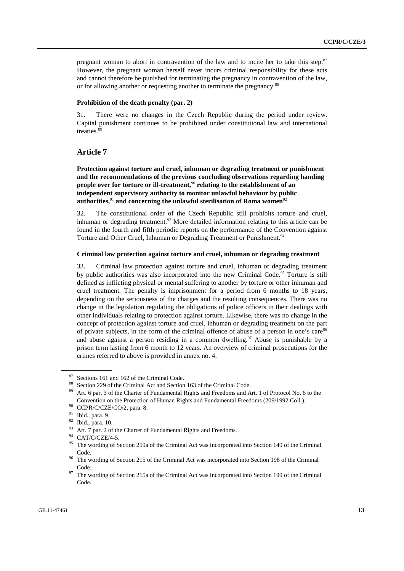pregnant woman to abort in contravention of the law and to incite her to take this step.87 However, the pregnant woman herself never incurs criminal responsibility for these acts and cannot therefore be punished for terminating the pregnancy in contravention of the law, or for allowing another or requesting another to terminate the pregnancy.<sup>88</sup>

#### **Prohibition of the death penalty (par. 2)**

31. There were no changes in the Czech Republic during the period under review. Capital punishment continues to be prohibited under constitutional law and international treaties.89

## **Article 7**

 **Protection against torture and cruel, inhuman or degrading treatment or punishment and the recommendations of the previous concluding observations regarding handing people over for torture or ill-treatment,**<sup>90</sup> relating to the establishment of an **independent supervisory authority to monitor unlawful behaviour by public**  authorities,<sup>91</sup> and concerning the unlawful sterilisation of Roma women<sup>92</sup>

32. The constitutional order of the Czech Republic still prohibits torture and cruel, inhuman or degrading treatment. $93$  More detailed information relating to this article can be found in the fourth and fifth periodic reports on the performance of the Convention against Torture and Other Cruel, Inhuman or Degrading Treatment or Punishment.<sup>94</sup>

#### **Criminal law protection against torture and cruel, inhuman or degrading treatment**

33. Criminal law protection against torture and cruel, inhuman or degrading treatment by public authorities was also incorporated into the new Criminal Code.<sup>95</sup> Torture is still defined as inflicting physical or mental suffering to another by torture or other inhuman and cruel treatment. The penalty is imprisonment for a period from 6 months to 18 years, depending on the seriousness of the charges and the resulting consequences. There was no change in the legislation regulating the obligations of police officers in their dealings with other individuals relating to protection against torture. Likewise, there was no change in the concept of protection against torture and cruel, inhuman or degrading treatment on the part of private subjects, in the form of the criminal offence of abuse of a person in one's care<sup>96</sup> and abuse against a person residing in a common dwelling.<sup>97</sup> Abuse is punishable by a prison term lasting from 6 month to 12 years. An overview of criminal prosecutions for the crimes referred to above is provided in annex no. 4.

 $\frac{87}{88}$  Sections 161 and 162 of the Criminal Code.

Section 229 of the Criminal Act and Section 163 of the Criminal Code.

<sup>89</sup> Art. 6 par. 3 of the Charter of Fundamental Rights and Freedoms and Art. 1 of Protocol No. 6 to the Convention on the Protection of Human Rights and Fundamental Freedoms (209/1992 Coll.).<br><sup>90</sup> CCPR/C/CZE/CO/2, para. 8.<br><sup>91</sup> T. 1.

 $^{91}_{92}$  Ibid., para. 9.

 $^{92}$  Ibid., para. 10.

<sup>&</sup>lt;sup>93</sup> Art. 7 par. 2 of the Charter of Fundamental Rights and Freedoms.<br><sup>94</sup> CAE/C*ISTM* 5

 $^{94}$  CAT/C/CZE/4-5.

<sup>95</sup> The wording of Section 259a of the Criminal Act was incorporated into Section 149 of the Criminal

Code.<br><sup>96</sup> The wording of Section 215 of the Criminal Act was incorporated into Section 198 of the Criminal

Code.<br><sup>97</sup> The wording of Section 215a of the Criminal Act was incorporated into Section 199 of the Criminal Code.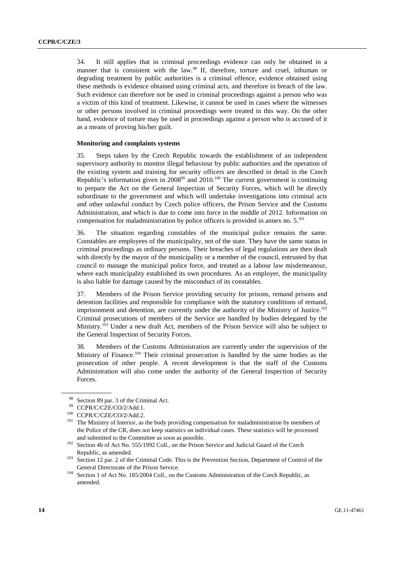34. It still applies that in criminal proceedings evidence can only be obtained in a manner that is consistent with the law.<sup>98</sup> If, therefore, torture and cruel, inhuman or degrading treatment by public authorities is a criminal offence, evidence obtained using these methods is evidence obtained using criminal acts, and therefore in breach of the law. Such evidence can therefore not be used in criminal proceedings against a person who was a victim of this kind of treatment. Likewise, it cannot be used in cases where the witnesses or other persons involved in criminal proceedings were treated in this way. On the other hand, evidence of torture may be used in proceedings against a person who is accused of it as a means of proving his/her guilt.

#### **Monitoring and complaints systems**

35. Steps taken by the Czech Republic towards the establishment of an independent supervisory authority to monitor illegal behaviour by public authorities and the operation of the existing system and training for security officers are described in detail in the Czech Republic's information given in  $2008^{99}$  and  $2010^{100}$  The current government is continuing to prepare the Act on the General Inspection of Security Forces, which will be directly subordinate to the government and which will undertake investigations into criminal acts and other unlawful conduct by Czech police officers, the Prison Service and the Customs Administration, and which is due to come into force in the middle of 2012. Information on compensation for maladministration by police officers is provided in annex no.  $5^{101}$ 

36. The situation regarding constables of the municipal police remains the same. Constables are employees of the municipality, not of the state. They have the same status in criminal proceedings as ordinary persons. Their breaches of legal regulations are then dealt with directly by the mayor of the municipality or a member of the council, entrusted by that council to manage the municipal police force, and treated as a labour law misdemeanour, where each municipality established its own procedures. As an employer, the municipality is also liable for damage caused by the misconduct of its constables.

37. Members of the Prison Service providing security for prisons, remand prisons and detention facilities and responsible for compliance with the statutory conditions of remand, imprisonment and detention, are currently under the authority of the Ministry of Justice.<sup>102</sup> Criminal prosecutions of members of the Service are handled by bodies delegated by the Ministry.<sup>103</sup> Under a new draft Act, members of the Prison Service will also be subject to the General Inspection of Security Forces.

38. Members of the Customs Administration are currently under the supervision of the Ministry of Finance.<sup>104</sup> Their criminal prosecution is handled by the same bodies as the prosecution of other people. A recent development is that the staff of the Customs Administration will also come under the authority of the General Inspection of Security Forces.

<sup>&</sup>lt;sup>98</sup> Section 89 par. 3 of the Criminal Act.<br><sup>99</sup> CCDD CCCECO 2.0.11.1

<sup>&</sup>lt;sup>99</sup> CCPR/C/CZE/CO/2/Add.1.<br><sup>100</sup> CCPR/C/CZE/CO/2/Add.2.<br><sup>101</sup> The Ministry of Interior, as the body providing compensation for maladministration by members of the Police of the CR, does not keep statistics on individual cases. These statistics will be processed and submitted to the Committee as soon as possible.<br><sup>102</sup> Section 4b of Act No. 555/1992 Coll., on the Prison Service and Judicial Guard of the Czech

Republic, as amended. 103 Section 12 par. 2 of the Criminal Code. This is the Prevention Section, Department of Control of the General Directorate of the Prison Service.<br><sup>104</sup> Section 1 of Act No. 185/2004 Coll., on the Customs Administration of the Czech Republic, as

amended.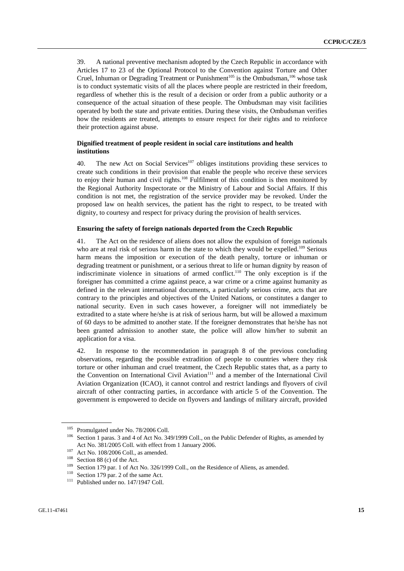39. A national preventive mechanism adopted by the Czech Republic in accordance with Articles 17 to 23 of the Optional Protocol to the Convention against Torture and Other Cruel, Inhuman or Degrading Treatment or Punishment<sup>105</sup> is the Ombudsman,<sup>106</sup> whose task is to conduct systematic visits of all the places where people are restricted in their freedom, regardless of whether this is the result of a decision or order from a public authority or a consequence of the actual situation of these people. The Ombudsman may visit facilities operated by both the state and private entities. During these visits, the Ombudsman verifies how the residents are treated, attempts to ensure respect for their rights and to reinforce their protection against abuse.

## **Dignified treatment of people resident in social care institutions and health institutions**

40. The new Act on Social Services<sup>107</sup> obliges institutions providing these services to create such conditions in their provision that enable the people who receive these services to enjoy their human and civil rights.<sup>108</sup> Fulfilment of this condition is then monitored by the Regional Authority Inspectorate or the Ministry of Labour and Social Affairs. If this condition is not met, the registration of the service provider may be revoked. Under the proposed law on health services, the patient has the right to respect, to be treated with dignity, to courtesy and respect for privacy during the provision of health services.

## **Ensuring the safety of foreign nationals deported from the Czech Republic**

41. The Act on the residence of aliens does not allow the expulsion of foreign nationals who are at real risk of serious harm in the state to which they would be expelled.<sup>109</sup> Serious harm means the imposition or execution of the death penalty, torture or inhuman or degrading treatment or punishment, or a serious threat to life or human dignity by reason of indiscriminate violence in situations of armed conflict.<sup>110</sup> The only exception is if the foreigner has committed a crime against peace, a war crime or a crime against humanity as defined in the relevant international documents, a particularly serious crime, acts that are contrary to the principles and objectives of the United Nations, or constitutes a danger to national security. Even in such cases however, a foreigner will not immediately be extradited to a state where he/she is at risk of serious harm, but will be allowed a maximum of 60 days to be admitted to another state. If the foreigner demonstrates that he/she has not been granted admission to another state, the police will allow him/her to submit an application for a visa.

42. In response to the recommendation in paragraph 8 of the previous concluding observations, regarding the possible extradition of people to countries where they risk torture or other inhuman and cruel treatment, the Czech Republic states that, as a party to the Convention on International Civil Aviation<sup>111</sup> and a member of the International Civil Aviation Organization (ICAO), it cannot control and restrict landings and flyovers of civil aircraft of other contracting parties, in accordance with article 5 of the Convention. The government is empowered to decide on flyovers and landings of military aircraft, provided

<sup>&</sup>lt;sup>105</sup> Promulgated under No. 78/2006 Coll.<br><sup>106</sup> Section 1 paras. 3 and 4 of Act No. 349/1999 Coll., on the Public Defender of Rights, as amended by Act No. 381/2005 Coll. with effect from 1 January 2006.<br>
<sup>107</sup> Act No. 108/2006 Coll., as amended.<br>
<sup>108</sup> Section 88 (c) of the Act.<br>
<sup>108</sup> Section 179 par. 1 of Act No. 326/1999 Coll., on the Residence of Aliens, as amen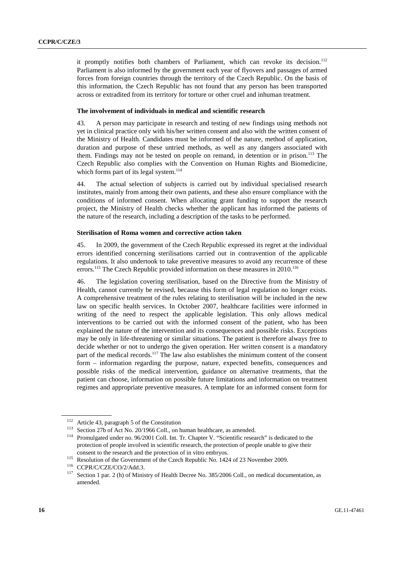it promptly notifies both chambers of Parliament, which can revoke its decision.<sup>112</sup> Parliament is also informed by the government each year of flyovers and passages of armed forces from foreign countries through the territory of the Czech Republic. On the basis of this information, the Czech Republic has not found that any person has been transported across or extradited from its territory for torture or other cruel and inhuman treatment.

#### **The involvement of individuals in medical and scientific research**

43. A person may participate in research and testing of new findings using methods not yet in clinical practice only with his/her written consent and also with the written consent of the Ministry of Health. Candidates must be informed of the nature, method of application, duration and purpose of these untried methods, as well as any dangers associated with them. Findings may not be tested on people on remand, in detention or in prison.<sup>113</sup> The Czech Republic also complies with the Convention on Human Rights and Biomedicine, which forms part of its legal system. $114$ 

44. The actual selection of subjects is carried out by individual specialised research institutes, mainly from among their own patients, and these also ensure compliance with the conditions of informed consent. When allocating grant funding to support the research project, the Ministry of Health checks whether the applicant has informed the patients of the nature of the research, including a description of the tasks to be performed.

#### **Sterilisation of Roma women and corrective action taken**

45. In 2009, the government of the Czech Republic expressed its regret at the individual errors identified concerning sterilisations carried out in contravention of the applicable regulations. It also undertook to take preventive measures to avoid any recurrence of these errors.<sup>115</sup> The Czech Republic provided information on these measures in 2010.<sup>116</sup>

46. The legislation covering sterilisation, based on the Directive from the Ministry of Health, cannot currently be revised, because this form of legal regulation no longer exists. A comprehensive treatment of the rules relating to sterilisation will be included in the new law on specific health services. In October 2007, healthcare facilities were informed in writing of the need to respect the applicable legislation. This only allows medical interventions to be carried out with the informed consent of the patient, who has been explained the nature of the intervention and its consequences and possible risks. Exceptions may be only in life-threatening or similar situations. The patient is therefore always free to decide whether or not to undergo the given operation. Her written consent is a mandatory part of the medical records.<sup>117</sup> The law also establishes the minimum content of the consent form – information regarding the purpose, nature, expected benefits, consequences and possible risks of the medical intervention, guidance on alternative treatments, that the patient can choose, information on possible future limitations and information on treatment regimes and appropriate preventive measures. A template for an informed consent form for

<sup>&</sup>lt;sup>112</sup> Article 43, paragraph 5 of the Constitution<br><sup>113</sup> Section 27b of Act No. 20/1966 Coll., on human healthcare, as amended.<br><sup>114</sup> Promulgated under no. 96/2001 Coll. Int. Tr. Chapter V. "Scientific research" is dedicate protection of people involved in scientific research, the protection of people unable to give their

consent to the research and the protection of in vitro embryos.<br>
<sup>115</sup> Resolution of the Government of the Czech Republic No. 1424 of 23 November 2009.<br>
<sup>116</sup> CCPR/C/CZE/CO/2/Add.3.<br>
<sup>117</sup> Section 1 par. 2 (h) of Ministry amended.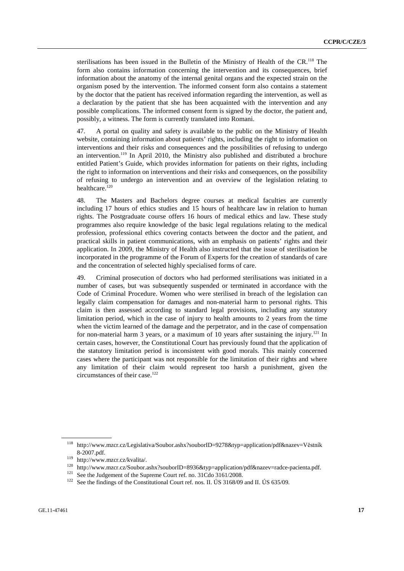sterilisations has been issued in the Bulletin of the Ministry of Health of the CR.<sup>118</sup> The form also contains information concerning the intervention and its consequences, brief information about the anatomy of the internal genital organs and the expected strain on the organism posed by the intervention. The informed consent form also contains a statement by the doctor that the patient has received information regarding the intervention, as well as a declaration by the patient that she has been acquainted with the intervention and any possible complications. The informed consent form is signed by the doctor, the patient and, possibly, a witness. The form is currently translated into Romani.

47. A portal on quality and safety is available to the public on the Ministry of Health website, containing information about patients' rights, including the right to information on interventions and their risks and consequences and the possibilities of refusing to undergo an intervention.<sup>119</sup> In April 2010, the Ministry also published and distributed a brochure entitled Patient's Guide, which provides information for patients on their rights, including the right to information on interventions and their risks and consequences, on the possibility of refusing to undergo an intervention and an overview of the legislation relating to healthcare.<sup>120</sup>

48. The Masters and Bachelors degree courses at medical faculties are currently including 17 hours of ethics studies and 15 hours of healthcare law in relation to human rights. The Postgraduate course offers 16 hours of medical ethics and law. These study programmes also require knowledge of the basic legal regulations relating to the medical profession, professional ethics covering contacts between the doctor and the patient, and practical skills in patient communications, with an emphasis on patients' rights and their application. In 2009, the Ministry of Health also instructed that the issue of sterilisation be incorporated in the programme of the Forum of Experts for the creation of standards of care and the concentration of selected highly specialised forms of care.

49. Criminal prosecution of doctors who had performed sterilisations was initiated in a number of cases, but was subsequently suspended or terminated in accordance with the Code of Criminal Procedure. Women who were sterilised in breach of the legislation can legally claim compensation for damages and non-material harm to personal rights. This claim is then assessed according to standard legal provisions, including any statutory limitation period, which in the case of injury to health amounts to 2 years from the time when the victim learned of the damage and the perpetrator, and in the case of compensation for non-material harm 3 years, or a maximum of 10 years after sustaining the injury.<sup>121</sup> In certain cases, however, the Constitutional Court has previously found that the application of the statutory limitation period is inconsistent with good morals. This mainly concerned cases where the participant was not responsible for the limitation of their rights and where any limitation of their claim would represent too harsh a punishment, given the circumstances of their case.<sup>122</sup>

<sup>118</sup> http://www.mzcr.cz/Legislativa/Soubor.ashx?souborID=9278&typ=application/pdf&nazev=Věstník

<sup>8-2007.</sup>pdf.<br>
119 http://www.mzcr.cz/kvalita/.<br>
119 http://www.mzcr.cz/Soubor.ashx?souborID=8936&typ=application/pdf&nazev=radce-pacienta.pdf.<br>
121 See the Judgement of the Supreme Court ref. no. 31Cdo 3161/2008.<br>
<sup>122</sup> Se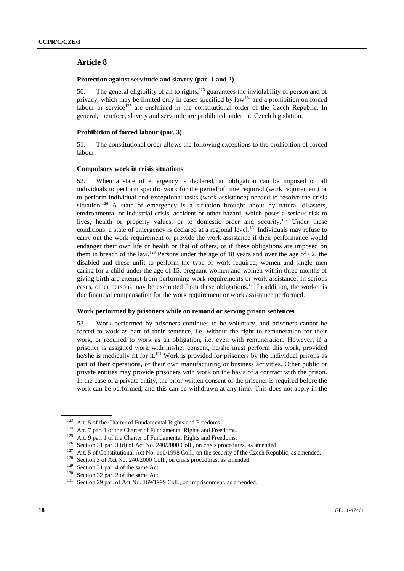## **Article 8**

## **Protection against servitude and slavery (par. 1 and 2)**

50. The general eligibility of all to rights, $123$  guarantees the inviolability of person and of privacy, which may be limited only in cases specified by law<sup>124</sup> and a prohibition on forced labour or service<sup>125</sup> are enshrined in the constitutional order of the Czech Republic. In general, therefore, slavery and servitude are prohibited under the Czech legislation.

#### **Prohibition of forced labour (par. 3)**

51. The constitutional order allows the following exceptions to the prohibition of forced labour.

#### **Compulsory work in crisis situations**

52. When a state of emergency is declared, an obligation can be imposed on all individuals to perform specific work for the period of time required (work requirement) or to perform individual and exceptional tasks (work assistance) needed to resolve the crisis situation.<sup>126</sup> A state of emergency is a situation brought about by natural disasters, environmental or industrial crisis, accident or other hazard, which poses a serious risk to lives, health or property values, or to domestic order and security.<sup>127</sup> Under these conditions, a state of emergency is declared at a regional level.<sup>128</sup> Individuals may refuse to carry out the work requirement or provide the work assistance if their performance would endanger their own life or health or that of others, or if these obligations are imposed on them in breach of the law.<sup>129</sup> Persons under the age of 18 years and over the age of 62, the disabled and those unfit to perform the type of work required, women and single men caring for a child under the age of 15, pregnant women and women within three months of giving birth are exempt from performing work requirements or work assistance. In serious cases, other persons may be exempted from these obligations.130 In addition, the worker is due financial compensation for the work requirement or work assistance performed.

#### **Work performed by prisoners while on remand or serving prison sentences**

53. Work performed by prisoners continues to be voluntary, and prisoners cannot be forced to work as part of their sentence, i.e. without the right to remuneration for their work, or required to work as an obligation, i.e. even with remuneration. However, if a prisoner is assigned work with his/her consent, he/she must perform this work, provided he/she is medically fit for it.<sup>131</sup> Work is provided for prisoners by the individual prisons as part of their operations, or their own manufacturing or business activities. Other public or private entities may provide prisoners with work on the basis of a contract with the prison. In the case of a private entity, the prior written consent of the prisoner is required before the work can be performed, and this can be withdrawn at any time. This does not apply in the

<sup>&</sup>lt;sup>123</sup> Art. 5 of the Charter of Fundamental Rights and Freedoms.<br><sup>124</sup> Art. 7 par. 1 of the Charter of Fundamental Rights and Freedoms.<br><sup>125</sup> Art. 9 par. 1 of the Charter of Fundamental Rights and Freedoms.<br><sup>125</sup> Art. 9 pa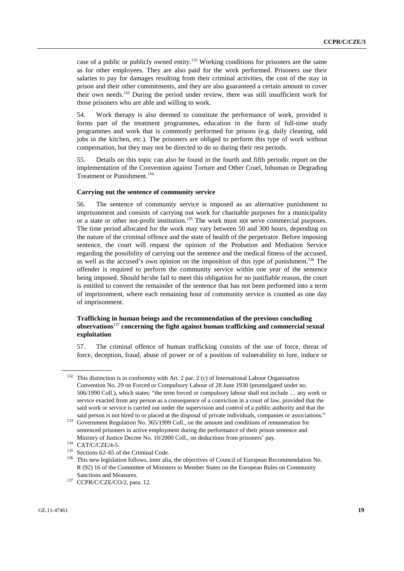case of a public or publicly owned entity.<sup>132</sup> Working conditions for prisoners are the same as for other employees. They are also paid for the work performed. Prisoners use their salaries to pay for damages resulting from their criminal activities, the cost of the stay in prison and their other commitments, and they are also guaranteed a certain amount to cover their own needs.133 During the period under review, there was still insufficient work for those prisoners who are able and willing to work.

54. Work therapy is also deemed to constitute the performance of work, provided it forms part of the treatment programmes, education in the form of full-time study programmes and work that is commonly performed for prisons (e.g. daily cleaning, odd jobs in the kitchen, etc.). The prisoners are obliged to perform this type of work without compensation, but they may not be directed to do so during their rest periods.

55. Details on this topic can also be found in the fourth and fifth periodic report on the implementation of the Convention against Torture and Other Cruel, Inhuman or Degrading Treatment or Punishment.<sup>134</sup>

#### **Carrying out the sentence of community service**

56. The sentence of community service is imposed as an alternative punishment to imprisonment and consists of carrying out work for charitable purposes for a municipality or a state or other not-profit institution.<sup>135</sup> The work must not serve commercial purposes. The time period allocated for the work may vary between 50 and 300 hours, depending on the nature of the criminal offence and the state of health of the perpetrator. Before imposing sentence, the court will request the opinion of the Probation and Mediation Service regarding the possibility of carrying out the sentence and the medical fitness of the accused, as well as the accused's own opinion on the imposition of this type of punishment.136 The offender is required to perform the community service within one year of the sentence being imposed. Should he/she fail to meet this obligation for no justifiable reason, the court is entitled to convert the remainder of the sentence that has not been performed into a term of imprisonment, where each remaining hour of community service is counted as one day of imprisonment.

## **Trafficking in human beings and the recommendation of the previous concluding observations**<sup>137</sup> **concerning the fight against human trafficking and commercial sexual exploitation**

57. The criminal offence of human trafficking consists of the use of force, threat of force, deception, fraud, abuse of power or of a position of vulnerability to lure, induce or

<sup>&</sup>lt;sup>132</sup> This distinction is in conformity with Art. 2 par. 2 (c) of International Labour Organisation Convention No. 29 on Forced or Compulsory Labour of 28 June 1930 (promulgated under no. 506/1990 Coll.), which states: "the term forced or compulsory labour shall not include … any work or service exacted from any person as a consequence of a conviction in a court of law, provided that the said work or service is carried out under the supervision and control of a public authority and that the

said person is not hired to or placed at the disposal of private individuals, companies or associations."<br><sup>133</sup> Government Regulation No. 365/1999 Coll., on the amount and conditions of remuneration for sentenced prisoners in active employment during the performance of their prison sentence and Ministry of Justice Decree No. 10/2000 Coll., on deductions from prisoners' pay.<br><sup>134</sup> CAT/C/CZE/4-5.<br><sup>135</sup> Sections 62–65 of the Criminal Code.<br><sup>136</sup> This new legislation follows, inter alia, the objectives of Council of

R (92) 16 of the Committee of Ministers to Member States on the European Rules on Community

Sanctions and Measures.<br><sup>137</sup> CCPR/C/CZE/CO/2, para. 12.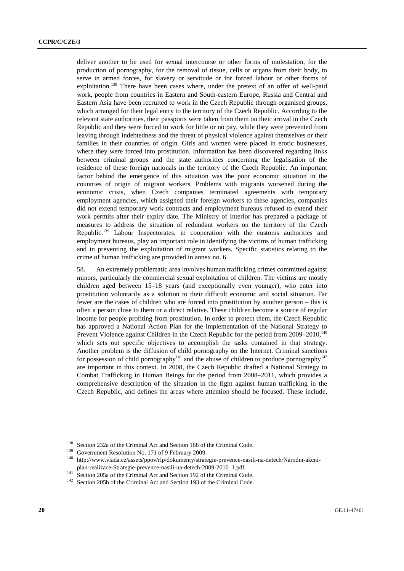deliver another to be used for sexual intercourse or other forms of molestation, for the production of pornography, for the removal of tissue, cells or organs from their body, to serve in armed forces, for slavery or servitude or for forced labour or other forms of exploitation.<sup>138</sup> There have been cases where, under the pretext of an offer of well-paid work, people from countries in Eastern and South-eastern Europe, Russia and Central and Eastern Asia have been recruited to work in the Czech Republic through organised groups, which arranged for their legal entry to the territory of the Czech Republic. According to the relevant state authorities, their passports were taken from them on their arrival in the Czech Republic and they were forced to work for little or no pay, while they were prevented from leaving through indebtedness and the threat of physical violence against themselves or their families in their countries of origin. Girls and women were placed in erotic businesses, where they were forced into prostitution. Information has been discovered regarding links between criminal groups and the state authorities concerning the legalisation of the residence of these foreign nationals in the territory of the Czech Republic. An important factor behind the emergence of this situation was the poor economic situation in the countries of origin of migrant workers. Problems with migrants worsened during the economic crisis, when Czech companies terminated agreements with temporary employment agencies, which assigned their foreign workers to these agencies, companies did not extend temporary work contracts and employment bureaus refused to extend their work permits after their expiry date. The Ministry of Interior has prepared a package of measures to address the situation of redundant workers on the territory of the Czech Republic.139 Labour Inspectorates, in cooperation with the customs authorities and employment bureaus, play an important role in identifying the victims of human trafficking and in preventing the exploitation of migrant workers. Specific statistics relating to the crime of human trafficking are provided in annex no. 6.

58. An extremely problematic area involves human trafficking crimes committed against minors, particularly the commercial sexual exploitation of children. The victims are mostly children aged between 15–18 years (and exceptionally even younger), who enter into prostitution voluntarily as a solution to their difficult economic and social situation. Far fewer are the cases of children who are forced into prostitution by another person – this is often a person close to them or a direct relative. These children become a source of regular income for people profiting from prostitution. In order to protect them, the Czech Republic has approved a National Action Plan for the implementation of the National Strategy to Prevent Violence against Children in the Czech Republic for the period from 2009–2010,<sup>140</sup> which sets out specific objectives to accomplish the tasks contained in that strategy. Another problem is the diffusion of child pornography on the Internet. Criminal sanctions for possession of child pornography<sup>141</sup> and the abuse of children to produce pornography<sup>142</sup> are important in this context. In 2008, the Czech Republic drafted a National Strategy to Combat Trafficking in Human Beings for the period from 2008–2011, which provides a comprehensive description of the situation in the fight against human trafficking in the Czech Republic, and defines the areas where attention should be focused. These include,

<sup>&</sup>lt;sup>138</sup> Section 232a of the Criminal Act and Section 168 of the Criminal Code.<br><sup>139</sup> Government Resolution No. 171 of 9 February 2009.<br><sup>140</sup> http://www.vlada.cz/assets/ppov/rlp/dokumenty/strategie-prevence-nasili-na-detech/N plan-realizace-Strategie-prevence-nasili-na-detech-2009-2010\_1.pdf.<br>
<sup>141</sup> Section 205a of the Criminal Act and Section 192 of the Criminal Code.<br>
<sup>142</sup> Section 205b of the Criminal Act and Section 193 of the Criminal Code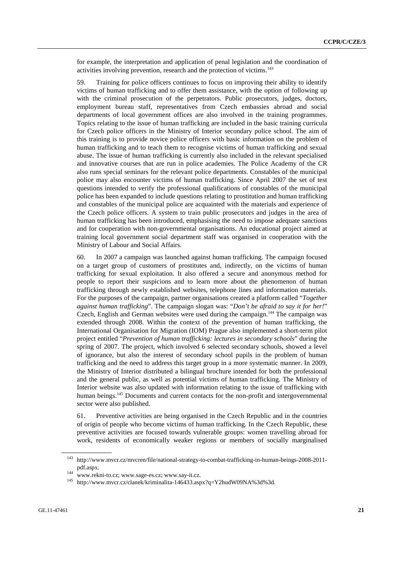for example, the interpretation and application of penal legislation and the coordination of activities involving prevention, research and the protection of victims.<sup>143</sup>

59. Training for police officers continues to focus on improving their ability to identify victims of human trafficking and to offer them assistance, with the option of following up with the criminal prosecution of the perpetrators. Public prosecutors, judges, doctors, employment bureau staff, representatives from Czech embassies abroad and social departments of local government offices are also involved in the training programmes. Topics relating to the issue of human trafficking are included in the basic training curricula for Czech police officers in the Ministry of Interior secondary police school. The aim of this training is to provide novice police officers with basic information on the problem of human trafficking and to teach them to recognise victims of human trafficking and sexual abuse. The issue of human trafficking is currently also included in the relevant specialised and innovative courses that are run in police academies. The Police Academy of the CR also runs special seminars for the relevant police departments. Constables of the municipal police may also encounter victims of human trafficking. Since April 2007 the set of test questions intended to verify the professional qualifications of constables of the municipal police has been expanded to include questions relating to prostitution and human trafficking and constables of the municipal police are acquainted with the materials and experience of the Czech police officers. A system to train public prosecutors and judges in the area of human trafficking has been introduced, emphasising the need to impose adequate sanctions and for cooperation with non-governmental organisations. An educational project aimed at training local government social department staff was organised in cooperation with the Ministry of Labour and Social Affairs.

60. In 2007 a campaign was launched against human trafficking. The campaign focused on a target group of customers of prostitutes and, indirectly, on the victims of human trafficking for sexual exploitation. It also offered a secure and anonymous method for people to report their suspicions and to learn more about the phenomenon of human trafficking through newly established websites, telephone lines and information materials. For the purposes of the campaign, partner organisations created a platform called "*Together against human trafficking*". The campaign slogan was: "*Don't be afraid to say it for her!*" Czech, English and German websites were used during the campaign.<sup>144</sup> The campaign was extended through 2008. Within the context of the prevention of human trafficking, the International Organisation for Migration (IOM) Prague also implemented a short-term pilot project entitled "*Prevention of human trafficking: lectures in secondary schools*" during the spring of 2007. The project, which involved 6 selected secondary schools, showed a level of ignorance, but also the interest of secondary school pupils in the problem of human trafficking and the need to address this target group in a more systematic manner. In 2009, the Ministry of Interior distributed a bilingual brochure intended for both the professional and the general public, as well as potential victims of human trafficking. The Ministry of Interior website was also updated with information relating to the issue of trafficking with human beings.<sup>145</sup> Documents and current contacts for the non-profit and intergovernmental sector were also published.

61. Preventive activities are being organised in the Czech Republic and in the countries of origin of people who become victims of human trafficking. In the Czech Republic, these preventive activities are focused towards vulnerable groups: women travelling abroad for work, residents of economically weaker regions or members of socially marginalised

<sup>143</sup> http://www.mvcr.cz/mvcren/file/national-strategy-to-combat-trafficking-in-human-beings-2008-2011-

pdf.aspx.<br>
144 www.rekni-to.cz; www.sage-es.cz; www.say-it.cz.<br>
145 http://www.mvcr.cz/clanek/kriminalita-146433.aspx?q=Y2hudW09NA%3d%3d.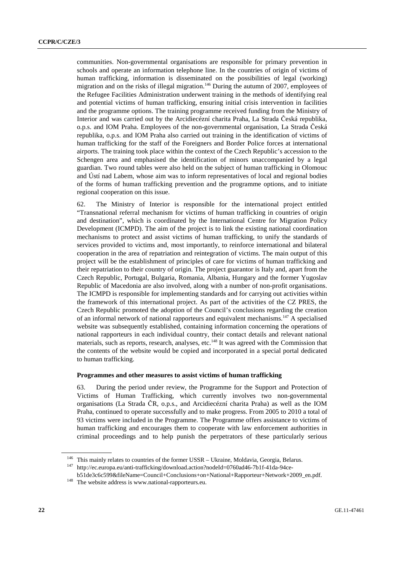communities. Non-governmental organisations are responsible for primary prevention in schools and operate an information telephone line. In the countries of origin of victims of human trafficking, information is disseminated on the possibilities of legal (working) migration and on the risks of illegal migration.<sup>146</sup> During the autumn of 2007, employees of the Refugee Facilities Administration underwent training in the methods of identifying real and potential victims of human trafficking, ensuring initial crisis intervention in facilities and the programme options. The training programme received funding from the Ministry of Interior and was carried out by the Arcidiecézní charita Praha, La Strada Česká republika, o.p.s. and IOM Praha. Employees of the non-governmental organisation, La Strada Česká republika, o.p.s. and IOM Praha also carried out training in the identification of victims of human trafficking for the staff of the Foreigners and Border Police forces at international airports. The training took place within the context of the Czech Republic's accession to the Schengen area and emphasised the identification of minors unaccompanied by a legal guardian. Two round tables were also held on the subject of human trafficking in Olomouc and Ústí nad Labem, whose aim was to inform representatives of local and regional bodies of the forms of human trafficking prevention and the programme options, and to initiate regional cooperation on this issue.

62. The Ministry of Interior is responsible for the international project entitled "Transnational referral mechanism for victims of human trafficking in countries of origin and destination", which is coordinated by the International Centre for Migration Policy Development (ICMPD). The aim of the project is to link the existing national coordination mechanisms to protect and assist victims of human trafficking, to unify the standards of services provided to victims and, most importantly, to reinforce international and bilateral cooperation in the area of repatriation and reintegration of victims. The main output of this project will be the establishment of principles of care for victims of human trafficking and their repatriation to their country of origin. The project guarantor is Italy and, apart from the Czech Republic, Portugal, Bulgaria, Romania, Albania, Hungary and the former Yugoslav Republic of Macedonia are also involved, along with a number of non-profit organisations. The ICMPD is responsible for implementing standards and for carrying out activities within the framework of this international project. As part of the activities of the CZ PRES, the Czech Republic promoted the adoption of the Council's conclusions regarding the creation of an informal network of national rapporteurs and equivalent mechanisms.<sup>147</sup> A specialised website was subsequently established, containing information concerning the operations of national rapporteurs in each individual country, their contact details and relevant national materials, such as reports, research, analyses, etc.<sup>148</sup> It was agreed with the Commission that the contents of the website would be copied and incorporated in a special portal dedicated to human trafficking.

#### **Programmes and other measures to assist victims of human trafficking**

63. During the period under review, the Programme for the Support and Protection of Victims of Human Trafficking, which currently involves two non-governmental organisations (La Strada ČR, o.p.s., and Arcidiecézní charita Praha) as well as the IOM Praha, continued to operate successfully and to make progress. From 2005 to 2010 a total of 93 victims were included in the Programme. The Programme offers assistance to victims of human trafficking and encourages them to cooperate with law enforcement authorities in criminal proceedings and to help punish the perpetrators of these particularly serious

<sup>&</sup>lt;sup>146</sup> This mainly relates to countries of the former USSR – Ukraine, Moldavia, Georgia, Belarus.<br><sup>147</sup> http://ec.europa.eu/anti-trafficking/download.action?nodeId=0760ad46-7b1f-41da-94ce-

b51de3c6c599&fileName=Council+Conclusions+on+National+Rapporteur+Network+2009\_en.pdf. 148 The website address is www.national-rapporteurs.eu.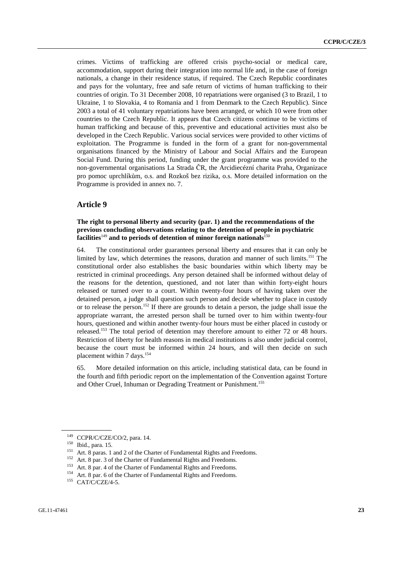crimes. Victims of trafficking are offered crisis psycho-social or medical care, accommodation, support during their integration into normal life and, in the case of foreign nationals, a change in their residence status, if required. The Czech Republic coordinates and pays for the voluntary, free and safe return of victims of human trafficking to their countries of origin. To 31 December 2008, 10 repatriations were organised (3 to Brazil, 1 to Ukraine, 1 to Slovakia, 4 to Romania and 1 from Denmark to the Czech Republic). Since 2003 a total of 41 voluntary repatriations have been arranged, or which 10 were from other countries to the Czech Republic. It appears that Czech citizens continue to be victims of human trafficking and because of this, preventive and educational activities must also be developed in the Czech Republic. Various social services were provided to other victims of exploitation. The Programme is funded in the form of a grant for non-governmental organisations financed by the Ministry of Labour and Social Affairs and the European Social Fund. During this period, funding under the grant programme was provided to the non-governmental organisations La Strada ČR, the Arcidiecézní charita Praha, Organizace pro pomoc uprchlíkům, o.s. and Rozkoš bez rizika, o.s. More detailed information on the Programme is provided in annex no. 7.

## **Article 9**

## **The right to personal liberty and security (par. 1) and the recommendations of the previous concluding observations relating to the detention of people in psychiatric facilities**<sup>149</sup> **and to periods of detention of minor foreign nationals**<sup>150</sup>

64. The constitutional order guarantees personal liberty and ensures that it can only be limited by law, which determines the reasons, duration and manner of such limits.<sup>151</sup> The constitutional order also establishes the basic boundaries within which liberty may be restricted in criminal proceedings. Any person detained shall be informed without delay of the reasons for the detention, questioned, and not later than within forty-eight hours released or turned over to a court. Within twenty-four hours of having taken over the detained person, a judge shall question such person and decide whether to place in custody or to release the person.152 If there are grounds to detain a person, the judge shall issue the appropriate warrant, the arrested person shall be turned over to him within twenty-four hours, questioned and within another twenty-four hours must be either placed in custody or released.153 The total period of detention may therefore amount to either 72 or 48 hours. Restriction of liberty for health reasons in medical institutions is also under judicial control, because the court must be informed within 24 hours, and will then decide on such placement within 7 days.<sup>154</sup>

65. More detailed information on this article, including statistical data, can be found in the fourth and fifth periodic report on the implementation of the Convention against Torture and Other Cruel, Inhuman or Degrading Treatment or Punishment.<sup>155</sup>

<sup>&</sup>lt;sup>149</sup> CCPR/C/CZE/CO/2, para. 14.<br>
<sup>150</sup> Ibid., para. 15.<br>
Art. 8 paras. 1 and 2 of the Charter of Fundamental Rights and Freedoms.<br>
<sup>151</sup> Art. 8 par. 3 of the Charter of Fundamental Rights and Freedoms.<br>
<sup>153</sup> Art. 8 par.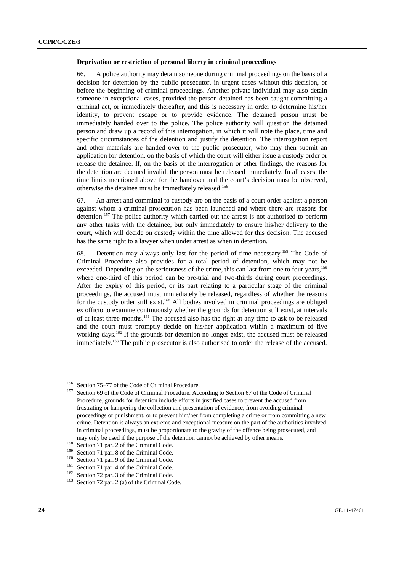#### **Deprivation or restriction of personal liberty in criminal proceedings**

66. A police authority may detain someone during criminal proceedings on the basis of a decision for detention by the public prosecutor, in urgent cases without this decision, or before the beginning of criminal proceedings. Another private individual may also detain someone in exceptional cases, provided the person detained has been caught committing a criminal act, or immediately thereafter, and this is necessary in order to determine his/her identity, to prevent escape or to provide evidence. The detained person must be immediately handed over to the police. The police authority will question the detained person and draw up a record of this interrogation, in which it will note the place, time and specific circumstances of the detention and justify the detention. The interrogation report and other materials are handed over to the public prosecutor, who may then submit an application for detention, on the basis of which the court will either issue a custody order or release the detainee. If, on the basis of the interrogation or other findings, the reasons for the detention are deemed invalid, the person must be released immediately. In all cases, the time limits mentioned above for the handover and the court's decision must be observed, otherwise the detainee must be immediately released.156

67. An arrest and committal to custody are on the basis of a court order against a person against whom a criminal prosecution has been launched and where there are reasons for detention.<sup>157</sup> The police authority which carried out the arrest is not authorised to perform any other tasks with the detainee, but only immediately to ensure his/her delivery to the court, which will decide on custody within the time allowed for this decision. The accused has the same right to a lawyer when under arrest as when in detention.

68. Detention may always only last for the period of time necessary.158 The Code of Criminal Procedure also provides for a total period of detention, which may not be exceeded. Depending on the seriousness of the crime, this can last from one to four years,<sup>159</sup> where one-third of this period can be pre-trial and two-thirds during court proceedings. After the expiry of this period, or its part relating to a particular stage of the criminal proceedings, the accused must immediately be released, regardless of whether the reasons for the custody order still exist.<sup>160</sup> All bodies involved in criminal proceedings are obliged ex officio to examine continuously whether the grounds for detention still exist, at intervals of at least three months.161 The accused also has the right at any time to ask to be released and the court must promptly decide on his/her application within a maximum of five working days.162 If the grounds for detention no longer exist, the accused must be released immediately.<sup>163</sup> The public prosecutor is also authorised to order the release of the accused.

<sup>&</sup>lt;sup>156</sup> Section 75–77 of the Code of Criminal Procedure.<br><sup>157</sup> Section 69 of the Code of Criminal Procedure. According to Section 67 of the Code of Criminal Procedure, grounds for detention include efforts in justified cases to prevent the accused from frustrating or hampering the collection and presentation of evidence, from avoiding criminal proceedings or punishment, or to prevent him/her from completing a crime or from committing a new crime. Detention is always an extreme and exceptional measure on the part of the authorities involved in criminal proceedings, must be proportionate to the gravity of the offence being prosecuted, and may only be used if the purpose of the detention cannot be achieved by other means.<br>
<sup>158</sup> Section 71 par. 2 of the Criminal Code.<br>
<sup>159</sup> Section 71 par. 8 of the Criminal Code.<br>
<sup>160</sup> Section 71 par. 9 of the Criminal Cod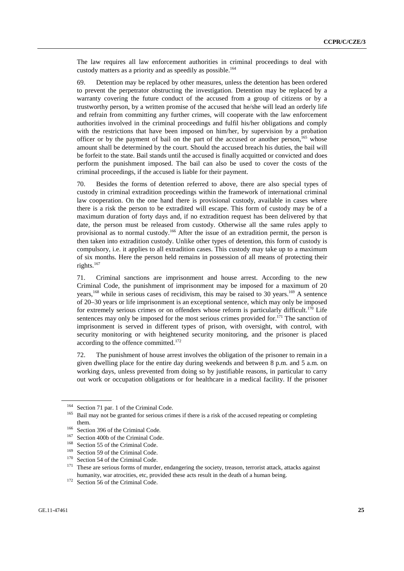The law requires all law enforcement authorities in criminal proceedings to deal with custody matters as a priority and as speedily as possible.<sup>164</sup>

69. Detention may be replaced by other measures, unless the detention has been ordered to prevent the perpetrator obstructing the investigation. Detention may be replaced by a warranty covering the future conduct of the accused from a group of citizens or by a trustworthy person, by a written promise of the accused that he/she will lead an orderly life and refrain from committing any further crimes, will cooperate with the law enforcement authorities involved in the criminal proceedings and fulfil his/her obligations and comply with the restrictions that have been imposed on him/her, by supervision by a probation officer or by the payment of bail on the part of the accused or another person.<sup>165</sup> whose amount shall be determined by the court. Should the accused breach his duties, the bail will be forfeit to the state. Bail stands until the accused is finally acquitted or convicted and does perform the punishment imposed. The bail can also be used to cover the costs of the criminal proceedings, if the accused is liable for their payment.

70. Besides the forms of detention referred to above, there are also special types of custody in criminal extradition proceedings within the framework of international criminal law cooperation. On the one hand there is provisional custody, available in cases where there is a risk the person to be extradited will escape. This form of custody may be of a maximum duration of forty days and, if no extradition request has been delivered by that date, the person must be released from custody. Otherwise all the same rules apply to provisional as to normal custody.<sup>166</sup> After the issue of an extradition permit, the person is then taken into extradition custody. Unlike other types of detention, this form of custody is compulsory, i.e. it applies to all extradition cases. This custody may take up to a maximum of six months. Here the person held remains in possession of all means of protecting their rights.<sup>167</sup>

71. Criminal sanctions are imprisonment and house arrest. According to the new Criminal Code, the punishment of imprisonment may be imposed for a maximum of 20 years,<sup>168</sup> while in serious cases of recidivism, this may be raised to 30 years.<sup>169</sup> A sentence of 20–30 years or life imprisonment is an exceptional sentence, which may only be imposed for extremely serious crimes or on offenders whose reform is particularly difficult.<sup>170</sup> Life sentences may only be imposed for the most serious crimes provided for.<sup>171</sup> The sanction of imprisonment is served in different types of prison, with oversight, with control, with security monitoring or with heightened security monitoring, and the prisoner is placed according to the offence committed.<sup>172</sup>

72. The punishment of house arrest involves the obligation of the prisoner to remain in a given dwelling place for the entire day during weekends and between 8 p.m. and 5 a.m. on working days, unless prevented from doing so by justifiable reasons, in particular to carry out work or occupation obligations or for healthcare in a medical facility. If the prisoner

<sup>&</sup>lt;sup>164</sup> Section 71 par. 1 of the Criminal Code.<br><sup>165</sup> Bail may not be granted for serious crimes if there is a risk of the accused repeating or completing

them.<br>
<sup>166</sup> Section 396 of the Criminal Code.<br>
<sup>167</sup> Section 400b of the Criminal Code.<br>
<sup>167</sup> Section 55 of the Criminal Code.<br>
<sup>169</sup> Section 55 of the Criminal Code.<br>
<sup>170</sup> Section 54 of the Criminal Code.<br>
<sup>170</sup> Sectio humanity, war atrocities, etc, provided these acts result in the death of a human being.<br><sup>172</sup> Section 56 of the Criminal Code.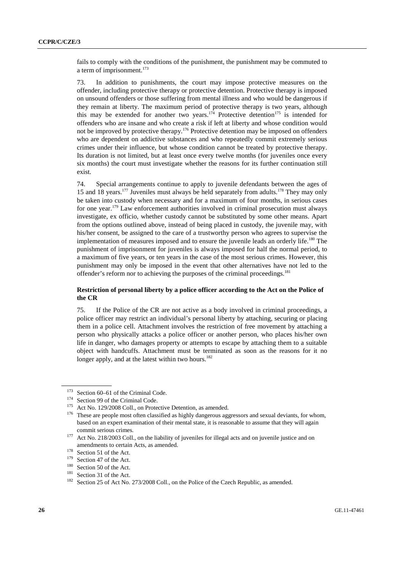fails to comply with the conditions of the punishment, the punishment may be commuted to a term of imprisonment.<sup>173</sup>

73. In addition to punishments, the court may impose protective measures on the offender, including protective therapy or protective detention. Protective therapy is imposed on unsound offenders or those suffering from mental illness and who would be dangerous if they remain at liberty. The maximum period of protective therapy is two years, although this may be extended for another two years.<sup>174</sup> Protective detention<sup>175</sup> is intended for offenders who are insane and who create a risk if left at liberty and whose condition would not be improved by protective therapy.<sup>176</sup> Protective detention may be imposed on offenders who are dependent on addictive substances and who repeatedly commit extremely serious crimes under their influence, but whose condition cannot be treated by protective therapy. Its duration is not limited, but at least once every twelve months (for juveniles once every six months) the court must investigate whether the reasons for its further continuation still exist.

74. Special arrangements continue to apply to juvenile defendants between the ages of 15 and 18 years.177 Juveniles must always be held separately from adults.178 They may only be taken into custody when necessary and for a maximum of four months, in serious cases for one year.179 Law enforcement authorities involved in criminal prosecution must always investigate, ex officio, whether custody cannot be substituted by some other means. Apart from the options outlined above, instead of being placed in custody, the juvenile may, with his/her consent, be assigned to the care of a trustworthy person who agrees to supervise the implementation of measures imposed and to ensure the juvenile leads an orderly life.<sup>180</sup> The punishment of imprisonment for juveniles is always imposed for half the normal period, to a maximum of five years, or ten years in the case of the most serious crimes. However, this punishment may only be imposed in the event that other alternatives have not led to the offender's reform nor to achieving the purposes of the criminal proceedings.<sup>181</sup>

## **Restriction of personal liberty by a police officer according to the Act on the Police of the CR**

75. If the Police of the CR are not active as a body involved in criminal proceedings, a police officer may restrict an individual's personal liberty by attaching, securing or placing them in a police cell. Attachment involves the restriction of free movement by attaching a person who physically attacks a police officer or another person, who places his/her own life in danger, who damages property or attempts to escape by attaching them to a suitable object with handcuffs. Attachment must be terminated as soon as the reasons for it no longer apply, and at the latest within two hours.<sup>182</sup>

<sup>&</sup>lt;sup>173</sup> Section 60–61 of the Criminal Code.<br><sup>174</sup> Section 99 of the Criminal Code.<br><sup>175</sup> Act No. 129/2008 Coll., on Protective Detention, as amended.<br><sup>175</sup> These are people most often classified as highly dangerous aggresso based on an expert examination of their mental state, it is reasonable to assume that they will again commit serious crimes.<br><sup>177</sup> Act No. 218/2003 Coll., on the liability of juveniles for illegal acts and on juvenile justice and on

amendments to certain Acts, as amended.<br>
<sup>178</sup> Section 51 of the Act.<br>
<sup>179</sup> Section 47 of the Act.<br>
<sup>181</sup> Section 50 of the Act.<br>
<sup>181</sup> Section 31 of the Act.<br>
<sup>181</sup> Section 31 of the Act.<br>
<sup>181</sup> Section 25 of Act No. 273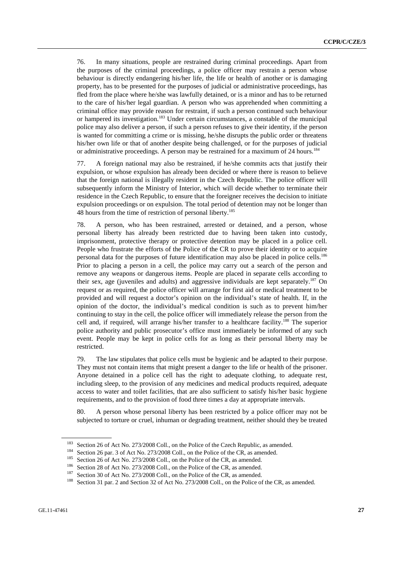76. In many situations, people are restrained during criminal proceedings. Apart from the purposes of the criminal proceedings, a police officer may restrain a person whose behaviour is directly endangering his/her life, the life or health of another or is damaging property, has to be presented for the purposes of judicial or administrative proceedings, has fled from the place where he/she was lawfully detained, or is a minor and has to be returned to the care of his/her legal guardian. A person who was apprehended when committing a criminal office may provide reason for restraint, if such a person continued such behaviour or hampered its investigation.<sup>183</sup> Under certain circumstances, a constable of the municipal police may also deliver a person, if such a person refuses to give their identity, if the person is wanted for committing a crime or is missing, he/she disrupts the public order or threatens his/her own life or that of another despite being challenged, or for the purposes of judicial or administrative proceedings. A person may be restrained for a maximum of 24 hours.<sup>184</sup>

77. A foreign national may also be restrained, if he/she commits acts that justify their expulsion, or whose expulsion has already been decided or where there is reason to believe that the foreign national is illegally resident in the Czech Republic. The police officer will subsequently inform the Ministry of Interior, which will decide whether to terminate their residence in the Czech Republic, to ensure that the foreigner receives the decision to initiate expulsion proceedings or on expulsion. The total period of detention may not be longer than 48 hours from the time of restriction of personal liberty.<sup>185</sup>

78. A person, who has been restrained, arrested or detained, and a person, whose personal liberty has already been restricted due to having been taken into custody, imprisonment, protective therapy or protective detention may be placed in a police cell. People who frustrate the efforts of the Police of the CR to prove their identity or to acquire personal data for the purposes of future identification may also be placed in police cells.186 Prior to placing a person in a cell, the police may carry out a search of the person and remove any weapons or dangerous items. People are placed in separate cells according to their sex, age (juveniles and adults) and aggressive individuals are kept separately.<sup>187</sup> On request or as required, the police officer will arrange for first aid or medical treatment to be provided and will request a doctor's opinion on the individual's state of health. If, in the opinion of the doctor, the individual's medical condition is such as to prevent him/her continuing to stay in the cell, the police officer will immediately release the person from the cell and, if required, will arrange his/her transfer to a healthcare facility.<sup>188</sup> The superior police authority and public prosecutor's office must immediately be informed of any such event. People may be kept in police cells for as long as their personal liberty may be restricted.

79. The law stipulates that police cells must be hygienic and be adapted to their purpose. They must not contain items that might present a danger to the life or health of the prisoner. Anyone detained in a police cell has the right to adequate clothing, to adequate rest, including sleep, to the provision of any medicines and medical products required, adequate access to water and toilet facilities, that are also sufficient to satisfy his/her basic hygiene requirements, and to the provision of food three times a day at appropriate intervals.

80. A person whose personal liberty has been restricted by a police officer may not be subjected to torture or cruel, inhuman or degrading treatment, neither should they be treated

<sup>&</sup>lt;sup>183</sup> Section 26 of Act No. 273/2008 Coll., on the Police of the Czech Republic, as amended.<br><sup>184</sup> Section 26 par. 3 of Act No. 273/2008 Coll., on the Police of the CR, as amended.<br><sup>185</sup> Section 26 of Act No. 273/2008 Col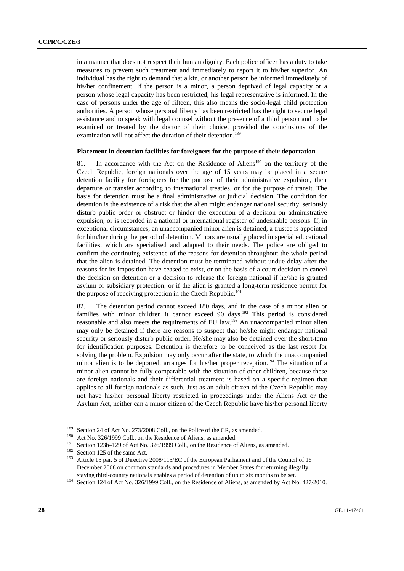in a manner that does not respect their human dignity. Each police officer has a duty to take measures to prevent such treatment and immediately to report it to his/her superior. An individual has the right to demand that a kin, or another person be informed immediately of his/her confinement. If the person is a minor, a person deprived of legal capacity or a person whose legal capacity has been restricted, his legal representative is informed. In the case of persons under the age of fifteen, this also means the socio-legal child protection authorities. A person whose personal liberty has been restricted has the right to secure legal assistance and to speak with legal counsel without the presence of a third person and to be examined or treated by the doctor of their choice, provided the conclusions of the examination will not affect the duration of their detention.<sup>189</sup>

### **Placement in detention facilities for foreigners for the purpose of their deportation**

81. In accordance with the Act on the Residence of Aliens<sup>190</sup> on the territory of the Czech Republic, foreign nationals over the age of 15 years may be placed in a secure detention facility for foreigners for the purpose of their administrative expulsion, their departure or transfer according to international treaties, or for the purpose of transit. The basis for detention must be a final administrative or judicial decision. The condition for detention is the existence of a risk that the alien might endanger national security, seriously disturb public order or obstruct or hinder the execution of a decision on administrative expulsion, or is recorded in a national or international register of undesirable persons. If, in exceptional circumstances, an unaccompanied minor alien is detained, a trustee is appointed for him/her during the period of detention. Minors are usually placed in special educational facilities, which are specialised and adapted to their needs. The police are obliged to confirm the continuing existence of the reasons for detention throughout the whole period that the alien is detained. The detention must be terminated without undue delay after the reasons for its imposition have ceased to exist, or on the basis of a court decision to cancel the decision on detention or a decision to release the foreign national if he/she is granted asylum or subsidiary protection, or if the alien is granted a long-term residence permit for the purpose of receiving protection in the Czech Republic.<sup>191</sup>

82. The detention period cannot exceed 180 days, and in the case of a minor alien or families with minor children it cannot exceed 90 days.192 This period is considered reasonable and also meets the requirements of EU law.<sup>193</sup> An unaccompanied minor alien may only be detained if there are reasons to suspect that he/she might endanger national security or seriously disturb public order. He/she may also be detained over the short-term for identification purposes. Detention is therefore to be conceived as the last resort for solving the problem. Expulsion may only occur after the state, to which the unaccompanied minor alien is to be deported, arranges for his/her proper reception.<sup>194</sup> The situation of a minor-alien cannot be fully comparable with the situation of other children, because these are foreign nationals and their differential treatment is based on a specific regimen that applies to all foreign nationals as such. Just as an adult citizen of the Czech Republic may not have his/her personal liberty restricted in proceedings under the Aliens Act or the Asylum Act, neither can a minor citizen of the Czech Republic have his/her personal liberty

<sup>&</sup>lt;sup>189</sup> Section 24 of Act No. 273/2008 Coll., on the Police of the CR, as amended.<br><sup>190</sup> Act No. 326/1999 Coll., on the Residence of Aliens, as amended.<br><sup>191</sup> Section 123b–129 of Act No. 326/1999 Coll., on the Residence of December 2008 on common standards and procedures in Member States for returning illegally

staying third-country nationals enables a period of detention of up to six months to be set.<br><sup>194</sup> Section 124 of Act No. 326/1999 Coll., on the Residence of Aliens, as amended by Act No. 427/2010.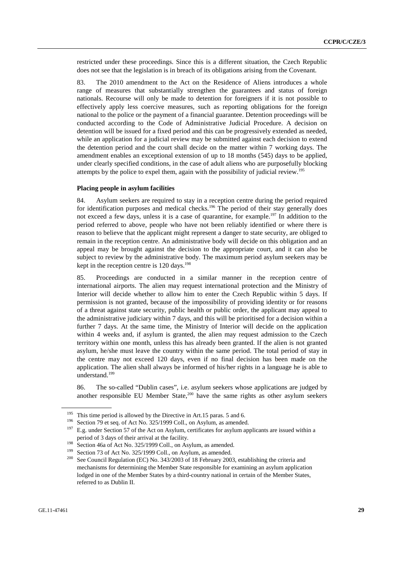restricted under these proceedings. Since this is a different situation, the Czech Republic does not see that the legislation is in breach of its obligations arising from the Covenant.

83. The 2010 amendment to the Act on the Residence of Aliens introduces a whole range of measures that substantially strengthen the guarantees and status of foreign nationals. Recourse will only be made to detention for foreigners if it is not possible to effectively apply less coercive measures, such as reporting obligations for the foreign national to the police or the payment of a financial guarantee. Detention proceedings will be conducted according to the Code of Administrative Judicial Procedure. A decision on detention will be issued for a fixed period and this can be progressively extended as needed, while an application for a judicial review may be submitted against each decision to extend the detention period and the court shall decide on the matter within 7 working days. The amendment enables an exceptional extension of up to 18 months (545) days to be applied, under clearly specified conditions, in the case of adult aliens who are purposefully blocking attempts by the police to expel them, again with the possibility of judicial review.<sup>195</sup>

#### **Placing people in asylum facilities**

84. Asylum seekers are required to stay in a reception centre during the period required for identification purposes and medical checks.<sup>196</sup> The period of their stay generally does not exceed a few days, unless it is a case of quarantine, for example.197 In addition to the period referred to above, people who have not been reliably identified or where there is reason to believe that the applicant might represent a danger to state security, are obliged to remain in the reception centre. An administrative body will decide on this obligation and an appeal may be brought against the decision to the appropriate court, and it can also be subject to review by the administrative body. The maximum period asylum seekers may be kept in the reception centre is  $120 \text{ days}$ .<sup>198</sup>

85. Proceedings are conducted in a similar manner in the reception centre of international airports. The alien may request international protection and the Ministry of Interior will decide whether to allow him to enter the Czech Republic within 5 days. If permission is not granted, because of the impossibility of providing identity or for reasons of a threat against state security, public health or public order, the applicant may appeal to the administrative judiciary within 7 days, and this will be prioritised for a decision within a further 7 days. At the same time, the Ministry of Interior will decide on the application within 4 weeks and, if asylum is granted, the alien may request admission to the Czech territory within one month, unless this has already been granted. If the alien is not granted asylum, he/she must leave the country within the same period. The total period of stay in the centre may not exceed 120 days, even if no final decision has been made on the application. The alien shall always be informed of his/her rights in a language he is able to understand.<sup>199</sup>

86. The so-called "Dublin cases", i.e. asylum seekers whose applications are judged by another responsible EU Member State, $200$  have the same rights as other asylum seekers

<sup>&</sup>lt;sup>195</sup> This time period is allowed by the Directive in Art.15 paras. 5 and 6.<br><sup>196</sup> Section 79 et seq. of Act No. 325/1999 Coll., on Asylum, as amended.<br><sup>197</sup> E.g. under Section 57 of the Act on Asylum, certificates for as period of 3 days of their arrival at the facility.<br>
<sup>198</sup> Section 46a of Act No. 325/1999 Coll., on Asylum, as amended.<br>
<sup>199</sup> Section 73 of Act No. 325/1999 Coll., on Asylum, as amended.<br>
<sup>200</sup> See Council Regulation (EC)

mechanisms for determining the Member State responsible for examining an asylum application lodged in one of the Member States by a third-country national in certain of the Member States, referred to as Dublin II.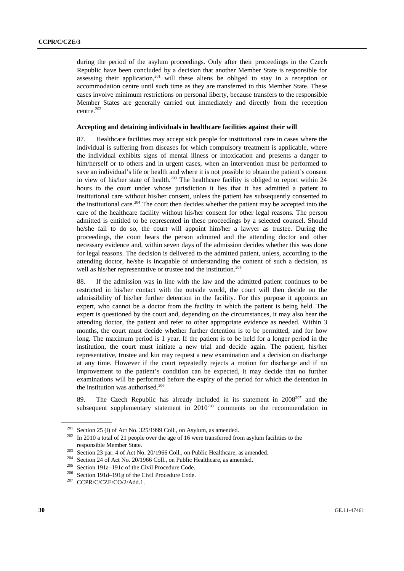during the period of the asylum proceedings. Only after their proceedings in the Czech Republic have been concluded by a decision that another Member State is responsible for assessing their application,<sup>201</sup> will these aliens be obliged to stay in a reception or accommodation centre until such time as they are transferred to this Member State. These cases involve minimum restrictions on personal liberty, because transfers to the responsible Member States are generally carried out immediately and directly from the reception centre.202

#### **Accepting and detaining individuals in healthcare facilities against their will**

87. Healthcare facilities may accept sick people for institutional care in cases where the individual is suffering from diseases for which compulsory treatment is applicable, where the individual exhibits signs of mental illness or intoxication and presents a danger to him/herself or to others and in urgent cases, when an intervention must be performed to save an individual's life or health and where it is not possible to obtain the patient's consent in view of his/her state of health.<sup>203</sup> The healthcare facility is obliged to report within 24 hours to the court under whose jurisdiction it lies that it has admitted a patient to institutional care without his/her consent, unless the patient has subsequently consented to the institutional care.<sup>204</sup> The court then decides whether the patient may be accepted into the care of the healthcare facility without his/her consent for other legal reasons. The person admitted is entitled to be represented in these proceedings by a selected counsel. Should he/she fail to do so, the court will appoint him/her a lawyer as trustee. During the proceedings, the court hears the person admitted and the attending doctor and other necessary evidence and, within seven days of the admission decides whether this was done for legal reasons. The decision is delivered to the admitted patient, unless, according to the attending doctor, he/she is incapable of understanding the content of such a decision, as well as his/her representative or trustee and the institution.<sup>205</sup>

88. If the admission was in line with the law and the admitted patient continues to be restricted in his/her contact with the outside world, the court will then decide on the admissibility of his/her further detention in the facility. For this purpose it appoints an expert, who cannot be a doctor from the facility in which the patient is being held. The expert is questioned by the court and, depending on the circumstances, it may also hear the attending doctor, the patient and refer to other appropriate evidence as needed. Within 3 months, the court must decide whether further detention is to be permitted, and for how long. The maximum period is 1 year. If the patient is to be held for a longer period in the institution, the court must initiate a new trial and decide again. The patient, his/her representative, trustee and kin may request a new examination and a decision on discharge at any time. However if the court repeatedly rejects a motion for discharge and if no improvement to the patient's condition can be expected, it may decide that no further examinations will be performed before the expiry of the period for which the detention in the institution was authorised.<sup>206</sup>

89. The Czech Republic has already included in its statement in  $2008^{207}$  and the subsequent supplementary statement in 2010<sup>208</sup> comments on the recommendation in

<sup>&</sup>lt;sup>201</sup> Section 25 (i) of Act No. 325/1999 Coll., on Asylum, as amended.<br><sup>202</sup> In 2010 a total of 21 people over the age of 16 were transferred from asylum facilities to the

responsible Member State.<br>
<sup>203</sup> Section 23 par. 4 of Act No. 20/1966 Coll., on Public Healthcare, as amended.<br>
<sup>204</sup> Section 24 of Act No. 20/1966 Coll., on Public Healthcare, as amended.<br>
<sup>205</sup> Section 191a–191c of the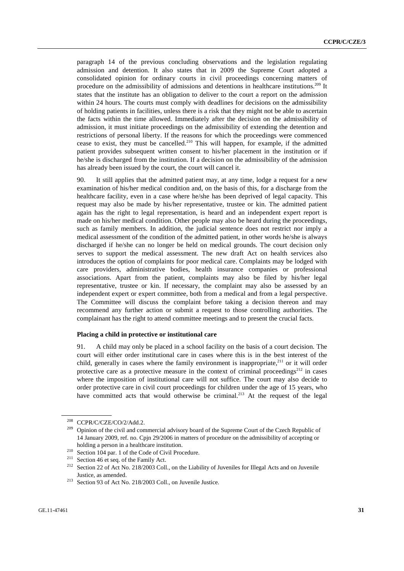paragraph 14 of the previous concluding observations and the legislation regulating admission and detention. It also states that in 2009 the Supreme Court adopted a consolidated opinion for ordinary courts in civil proceedings concerning matters of procedure on the admissibility of admissions and detentions in healthcare institutions.<sup>209</sup> It states that the institute has an obligation to deliver to the court a report on the admission within 24 hours. The courts must comply with deadlines for decisions on the admissibility of holding patients in facilities, unless there is a risk that they might not be able to ascertain the facts within the time allowed. Immediately after the decision on the admissibility of admission, it must initiate proceedings on the admissibility of extending the detention and restrictions of personal liberty. If the reasons for which the proceedings were commenced cease to exist, they must be cancelled.<sup>210</sup> This will happen, for example, if the admitted patient provides subsequent written consent to his/her placement in the institution or if he/she is discharged from the institution. If a decision on the admissibility of the admission has already been issued by the court, the court will cancel it.

90. It still applies that the admitted patient may, at any time, lodge a request for a new examination of his/her medical condition and, on the basis of this, for a discharge from the healthcare facility, even in a case where he/she has been deprived of legal capacity. This request may also be made by his/her representative, trustee or kin. The admitted patient again has the right to legal representation, is heard and an independent expert report is made on his/her medical condition. Other people may also be heard during the proceedings, such as family members. In addition, the judicial sentence does not restrict nor imply a medical assessment of the condition of the admitted patient, in other words he/she is always discharged if he/she can no longer be held on medical grounds. The court decision only serves to support the medical assessment. The new draft Act on health services also introduces the option of complaints for poor medical care. Complaints may be lodged with care providers, administrative bodies, health insurance companies or professional associations. Apart from the patient, complaints may also be filed by his/her legal representative, trustee or kin. If necessary, the complaint may also be assessed by an independent expert or expert committee, both from a medical and from a legal perspective. The Committee will discuss the complaint before taking a decision thereon and may recommend any further action or submit a request to those controlling authorities. The complainant has the right to attend committee meetings and to present the crucial facts.

#### **Placing a child in protective or institutional care**

91. A child may only be placed in a school facility on the basis of a court decision. The court will either order institutional care in cases where this is in the best interest of the child, generally in cases where the family environment is inappropriate, $211$  or it will order protective care as a protective measure in the context of criminal proceedings<sup>212</sup> in cases where the imposition of institutional care will not suffice. The court may also decide to order protective care in civil court proceedings for children under the age of 15 years, who have committed acts that would otherwise be criminal.<sup>213</sup> At the request of the legal

<sup>&</sup>lt;sup>208</sup> CCPR/C/CZE/CO/2/Add.2.<br><sup>209</sup> Opinion of the civil and commercial advisory board of the Supreme Court of the Czech Republic of 14 January 2009, ref. no. Cpjn 29/2006 in matters of procedure on the admissibility of accepting or holding a person in a healthcare institution.<br>
<sup>210</sup> Section 104 par. 1 of the Code of Civil Procedure.<br>
<sup>211</sup> Section 46 et seq. of the Family Act.<br>
<sup>212</sup> Section 22 of Act No. 218/2003 Coll., on the Liability of Juvenile

Justice, as amended. 213 Section 93 of Act No. 218/2003 Coll., on Juvenile Justice.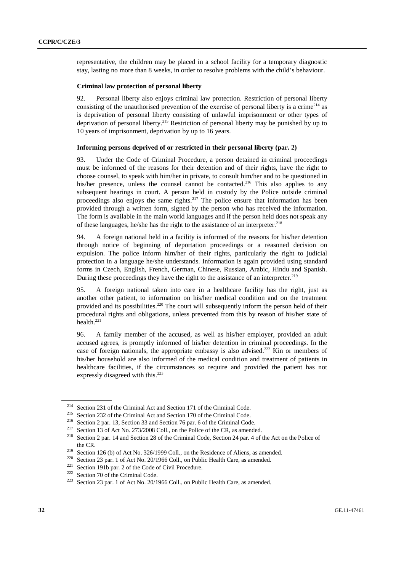representative, the children may be placed in a school facility for a temporary diagnostic stay, lasting no more than 8 weeks, in order to resolve problems with the child's behaviour.

#### **Criminal law protection of personal liberty**

92. Personal liberty also enjoys criminal law protection. Restriction of personal liberty consisting of the unauthorised prevention of the exercise of personal liberty is a crime<sup>214</sup> as is deprivation of personal liberty consisting of unlawful imprisonment or other types of deprivation of personal liberty.<sup>215</sup> Restriction of personal liberty may be punished by up to 10 years of imprisonment, deprivation by up to 16 years.

#### **Informing persons deprived of or restricted in their personal liberty (par. 2)**

93. Under the Code of Criminal Procedure, a person detained in criminal proceedings must be informed of the reasons for their detention and of their rights, have the right to choose counsel, to speak with him/her in private, to consult him/her and to be questioned in his/her presence, unless the counsel cannot be contacted.<sup>216</sup> This also applies to any subsequent hearings in court. A person held in custody by the Police outside criminal proceedings also enjoys the same rights.<sup>217</sup> The police ensure that information has been provided through a written form, signed by the person who has received the information. The form is available in the main world languages and if the person held does not speak any of these languages, he/she has the right to the assistance of an interpreter.<sup>218</sup>

94. A foreign national held in a facility is informed of the reasons for his/her detention through notice of beginning of deportation proceedings or a reasoned decision on expulsion. The police inform him/her of their rights, particularly the right to judicial protection in a language he/she understands. Information is again provided using standard forms in Czech, English, French, German, Chinese, Russian, Arabic, Hindu and Spanish. During these proceedings they have the right to the assistance of an interpreter.<sup>219</sup>

95. A foreign national taken into care in a healthcare facility has the right, just as another other patient, to information on his/her medical condition and on the treatment provided and its possibilities.<sup>220</sup> The court will subsequently inform the person held of their procedural rights and obligations, unless prevented from this by reason of his/her state of health. $^{221}$ 

96. A family member of the accused, as well as his/her employer, provided an adult accused agrees, is promptly informed of his/her detention in criminal proceedings. In the case of foreign nationals, the appropriate embassy is also advised.<sup>222</sup> Kin or members of his/her household are also informed of the medical condition and treatment of patients in healthcare facilities, if the circumstances so require and provided the patient has not expressly disagreed with this.<sup>223</sup>

<sup>&</sup>lt;sup>214</sup> Section 231 of the Criminal Act and Section 171 of the Criminal Code.<br><sup>215</sup> Section 232 of the Criminal Act and Section 170 of the Criminal Code.<br><sup>216</sup> Section 2 par. 13, Section 33 and Section 76 par. 6 of the Crim the CR.<br>
<sup>219</sup> Section 126 (b) of Act No. 326/1999 Coll., on the Residence of Aliens, as amended.<br>
<sup>220</sup> Section 23 par. 1 of Act No. 20/1966 Coll., on Public Health Care, as amended.<br>
<sup>221</sup> Section 191b par. 2 of the Code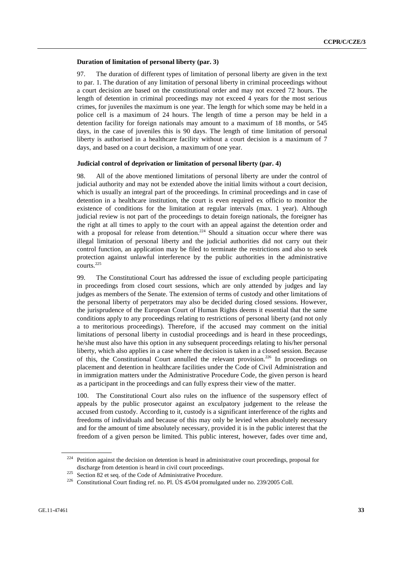#### **Duration of limitation of personal liberty (par. 3)**

97. The duration of different types of limitation of personal liberty are given in the text to par. 1. The duration of any limitation of personal liberty in criminal proceedings without a court decision are based on the constitutional order and may not exceed 72 hours. The length of detention in criminal proceedings may not exceed 4 years for the most serious crimes, for juveniles the maximum is one year. The length for which some may be held in a police cell is a maximum of 24 hours. The length of time a person may be held in a detention facility for foreign nationals may amount to a maximum of 18 months, or 545 days, in the case of juveniles this is 90 days. The length of time limitation of personal liberty is authorised in a healthcare facility without a court decision is a maximum of 7 days, and based on a court decision, a maximum of one year.

#### **Judicial control of deprivation or limitation of personal liberty (par. 4)**

98. All of the above mentioned limitations of personal liberty are under the control of judicial authority and may not be extended above the initial limits without a court decision, which is usually an integral part of the proceedings. In criminal proceedings and in case of detention in a healthcare institution, the court is even required ex officio to monitor the existence of conditions for the limitation at regular intervals (max. 1 year). Although judicial review is not part of the proceedings to detain foreign nationals, the foreigner has the right at all times to apply to the court with an appeal against the detention order and with a proposal for release from detention.<sup>224</sup> Should a situation occur where there was illegal limitation of personal liberty and the judicial authorities did not carry out their control function, an application may be filed to terminate the restrictions and also to seek protection against unlawful interference by the public authorities in the administrative courts. $225$ 

99. The Constitutional Court has addressed the issue of excluding people participating in proceedings from closed court sessions, which are only attended by judges and lay judges as members of the Senate. The extension of terms of custody and other limitations of the personal liberty of perpetrators may also be decided during closed sessions. However, the jurisprudence of the European Court of Human Rights deems it essential that the same conditions apply to any proceedings relating to restrictions of personal liberty (and not only a to meritorious proceedings). Therefore, if the accused may comment on the initial limitations of personal liberty in custodial proceedings and is heard in these proceedings, he/she must also have this option in any subsequent proceedings relating to his/her personal liberty, which also applies in a case where the decision is taken in a closed session. Because of this, the Constitutional Court annulled the relevant provision.<sup>226</sup> In proceedings on placement and detention in healthcare facilities under the Code of Civil Administration and in immigration matters under the Administrative Procedure Code, the given person is heard as a participant in the proceedings and can fully express their view of the matter.

100. The Constitutional Court also rules on the influence of the suspensory effect of appeals by the public prosecutor against an exculpatory judgement to the release the accused from custody. According to it, custody is a significant interference of the rights and freedoms of individuals and because of this may only be levied when absolutely necessary and for the amount of time absolutely necessary, provided it is in the public interest that the freedom of a given person be limited. This public interest, however, fades over time and,

<sup>&</sup>lt;sup>224</sup> Petition against the decision on detention is heard in administrative court proceedings, proposal for discharge from detention is heard in civil court proceedings.<br><sup>225</sup> Section 82 et seq. of the Code of Administrative Procedure.<br><sup>226</sup> Constitutional Court finding ref. no. Pl. ÚS 45/04 promulgated under no. 239/2005 Coll.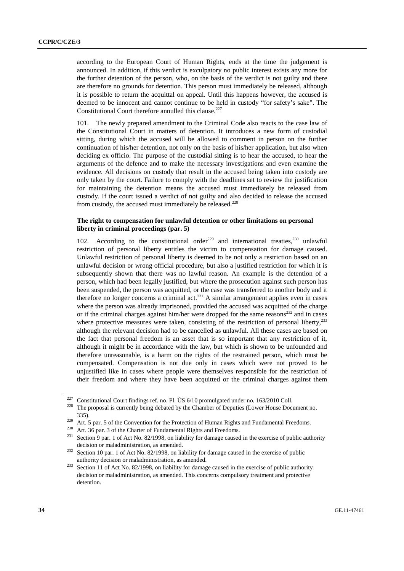according to the European Court of Human Rights, ends at the time the judgement is announced. In addition, if this verdict is exculpatory no public interest exists any more for the further detention of the person, who, on the basis of the verdict is not guilty and there are therefore no grounds for detention. This person must immediately be released, although it is possible to return the acquittal on appeal. Until this happens however, the accused is deemed to be innocent and cannot continue to be held in custody "for safety's sake". The Constitutional Court therefore annulled this clause.<sup>227</sup>

101. The newly prepared amendment to the Criminal Code also reacts to the case law of the Constitutional Court in matters of detention. It introduces a new form of custodial sitting, during which the accused will be allowed to comment in person on the further continuation of his/her detention, not only on the basis of his/her application, but also when deciding ex officio. The purpose of the custodial sitting is to hear the accused, to hear the arguments of the defence and to make the necessary investigations and even examine the evidence. All decisions on custody that result in the accused being taken into custody are only taken by the court. Failure to comply with the deadlines set to review the justification for maintaining the detention means the accused must immediately be released from custody. If the court issued a verdict of not guilty and also decided to release the accused from custody, the accused must immediately be released.<sup>228</sup>

## **The right to compensation for unlawful detention or other limitations on personal liberty in criminal proceedings (par. 5)**

102. According to the constitutional order<sup>229</sup> and international treaties,<sup>230</sup> unlawful restriction of personal liberty entitles the victim to compensation for damage caused. Unlawful restriction of personal liberty is deemed to be not only a restriction based on an unlawful decision or wrong official procedure, but also a justified restriction for which it is subsequently shown that there was no lawful reason. An example is the detention of a person, which had been legally justified, but where the prosecution against such person has been suspended, the person was acquitted, or the case was transferred to another body and it therefore no longer concerns a criminal act.<sup>231</sup> A similar arrangement applies even in cases where the person was already imprisoned, provided the accused was acquitted of the charge or if the criminal charges against him/her were dropped for the same reasons<sup>232</sup> and in cases where protective measures were taken, consisting of the restriction of personal liberty, $233$ although the relevant decision had to be cancelled as unlawful. All these cases are based on the fact that personal freedom is an asset that is so important that any restriction of it, although it might be in accordance with the law, but which is shown to be unfounded and therefore unreasonable, is a harm on the rights of the restrained person, which must be compensated. Compensation is not due only in cases which were not proved to be unjustified like in cases where people were themselves responsible for the restriction of their freedom and where they have been acquitted or the criminal charges against them

<sup>&</sup>lt;sup>227</sup> Constitutional Court findings ref. no. Pl. ÚS  $6/10$  promulgated under no. 163/2010 Coll.<br><sup>228</sup> The proposal is currently being debated by the Chamber of Deputies (Lower House Document no.

<sup>335).&</sup>lt;br>
<sup>229</sup> Art. 5 par. 5 of the Convention for the Protection of Human Rights and Fundamental Freedoms.<br>
<sup>229</sup> Art. 36 par. 3 of the Charter of Fundamental Rights and Freedoms.<br>
<sup>230</sup> Art. 36 par. 3 of the Charter of Fu

decision or maladministration, as amended.<br><sup>232</sup> Section 10 par. 1 of Act No. 82/1998, on liability for damage caused in the exercise of public

authority decision or maladministration, as amended. 233 Section 11 of Act No. 82/1998, on liability for damage caused in the exercise of public authority decision or maladministration, as amended. This concerns compulsory treatment and protective detention.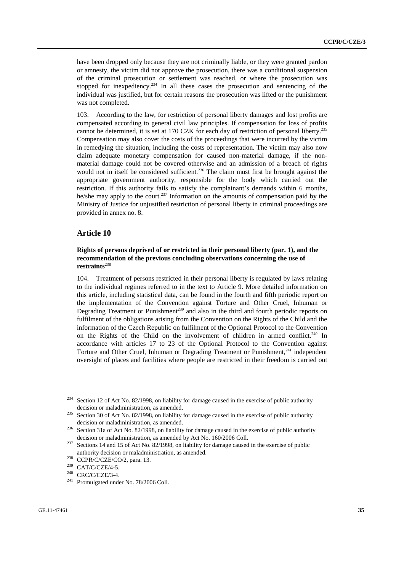have been dropped only because they are not criminally liable, or they were granted pardon or amnesty, the victim did not approve the prosecution, there was a conditional suspension of the criminal prosecution or settlement was reached, or where the prosecution was stopped for inexpediency.<sup>234</sup> In all these cases the prosecution and sentencing of the individual was justified, but for certain reasons the prosecution was lifted or the punishment was not completed.

103. According to the law, for restriction of personal liberty damages and lost profits are compensated according to general civil law principles. If compensation for loss of profits cannot be determined, it is set at 170 CZK for each day of restriction of personal liberty.<sup>235</sup> Compensation may also cover the costs of the proceedings that were incurred by the victim in remedying the situation, including the costs of representation. The victim may also now claim adequate monetary compensation for caused non-material damage, if the nonmaterial damage could not be covered otherwise and an admission of a breach of rights would not in itself be considered sufficient.<sup>236</sup> The claim must first be brought against the appropriate government authority, responsible for the body which carried out the restriction. If this authority fails to satisfy the complainant's demands within 6 months, he/she may apply to the court.<sup>237</sup> Information on the amounts of compensation paid by the Ministry of Justice for unjustified restriction of personal liberty in criminal proceedings are provided in annex no. 8.

## **Article 10**

#### **Rights of persons deprived of or restricted in their personal liberty (par. 1), and the recommendation of the previous concluding observations concerning the use of restraints**<sup>238</sup>

104. Treatment of persons restricted in their personal liberty is regulated by laws relating to the individual regimes referred to in the text to Article 9. More detailed information on this article, including statistical data, can be found in the fourth and fifth periodic report on the implementation of the Convention against Torture and Other Cruel, Inhuman or Degrading Treatment or Punishment<sup>239</sup> and also in the third and fourth periodic reports on fulfilment of the obligations arising from the Convention on the Rights of the Child and the information of the Czech Republic on fulfilment of the Optional Protocol to the Convention on the Rights of the Child on the involvement of children in armed conflict.<sup>240</sup> In accordance with articles 17 to 23 of the Optional Protocol to the Convention against Torture and Other Cruel, Inhuman or Degrading Treatment or Punishment,<sup>241</sup> independent oversight of places and facilities where people are restricted in their freedom is carried out

<sup>&</sup>lt;sup>234</sup> Section 12 of Act No. 82/1998, on liability for damage caused in the exercise of public authority

decision or maladministration, as amended.<br><sup>235</sup> Section 30 of Act No. 82/1998, on liability for damage caused in the exercise of public authority decision or maladministration, as amended.<br><sup>236</sup> Section 31a of Act No. 82/1998, on liability for damage caused in the exercise of public authority

decision or maladministration, as amended by Act No. 160/2006 Coll.<br><sup>237</sup> Sections 14 and 15 of Act No. 82/1998, on liability for damage caused in the exercise of public

authority decision or maladministration, as amended.<br>
<sup>238</sup> CCPR/C/CZE/CO/2, para. 13.<br>
<sup>239</sup> CAT/C/CZE/4-5.<br>
<sup>240</sup> CRC/C/CZE/3-4.<br>
<sup>241</sup> Promulgated under No. 78/2006 Coll.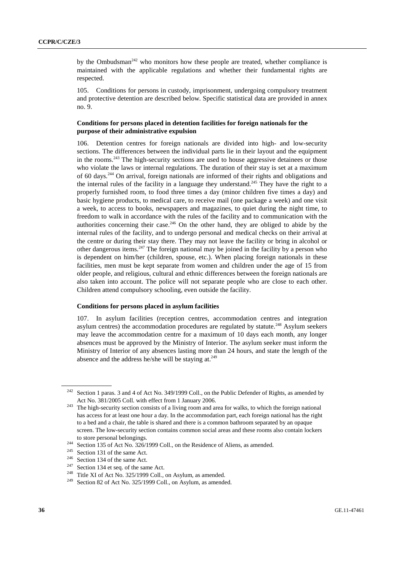by the Ombudsman<sup>242</sup> who monitors how these people are treated, whether compliance is maintained with the applicable regulations and whether their fundamental rights are respected.

105. Conditions for persons in custody, imprisonment, undergoing compulsory treatment and protective detention are described below. Specific statistical data are provided in annex no. 9.

#### **Conditions for persons placed in detention facilities for foreign nationals for the purpose of their administrative expulsion**

106. Detention centres for foreign nationals are divided into high- and low-security sections. The differences between the individual parts lie in their layout and the equipment in the rooms.<sup>243</sup> The high-security sections are used to house aggressive detainees or those who violate the laws or internal regulations. The duration of their stay is set at a maximum of 60 days.244 On arrival, foreign nationals are informed of their rights and obligations and the internal rules of the facility in a language they understand.<sup>245</sup> They have the right to a properly furnished room, to food three times a day (minor children five times a day) and basic hygiene products, to medical care, to receive mail (one package a week) and one visit a week, to access to books, newspapers and magazines, to quiet during the night time, to freedom to walk in accordance with the rules of the facility and to communication with the authorities concerning their case.<sup>246</sup> On the other hand, they are obliged to abide by the internal rules of the facility, and to undergo personal and medical checks on their arrival at the centre or during their stay there. They may not leave the facility or bring in alcohol or other dangerous items.<sup>247</sup> The foreign national may be joined in the facility by a person who is dependent on him/her (children, spouse, etc.). When placing foreign nationals in these facilities, men must be kept separate from women and children under the age of 15 from older people, and religious, cultural and ethnic differences between the foreign nationals are also taken into account. The police will not separate people who are close to each other. Children attend compulsory schooling, even outside the facility.

#### **Conditions for persons placed in asylum facilities**

107. In asylum facilities (reception centres, accommodation centres and integration asylum centres) the accommodation procedures are regulated by statute.<sup>248</sup> Asylum seekers may leave the accommodation centre for a maximum of 10 days each month, any longer absences must be approved by the Ministry of Interior. The asylum seeker must inform the Ministry of Interior of any absences lasting more than 24 hours, and state the length of the absence and the address he/she will be staying at. $249$ 

<sup>&</sup>lt;sup>242</sup> Section 1 paras. 3 and 4 of Act No. 349/1999 Coll., on the Public Defender of Rights, as amended by

Act No. 381/2005 Coll. with effect from 1 January 2006.<br><sup>243</sup> The high-security section consists of a living room and area for walks, to which the foreign national has access for at least one hour a day. In the accommodation part, each foreign national has the right to a bed and a chair, the table is shared and there is a common bathroom separated by an opaque screen. The low-security section contains common social areas and these rooms also contain lockers to store personal belongings.<br>
<sup>244</sup> Section 135 of Act No. 326/1999 Coll., on the Residence of Aliens, as amended.<br>
<sup>245</sup> Section 131 of the same Act.<br>
<sup>246</sup> Section 134 of the same Act.<br>
<sup>247</sup> Section 134 et seq. of the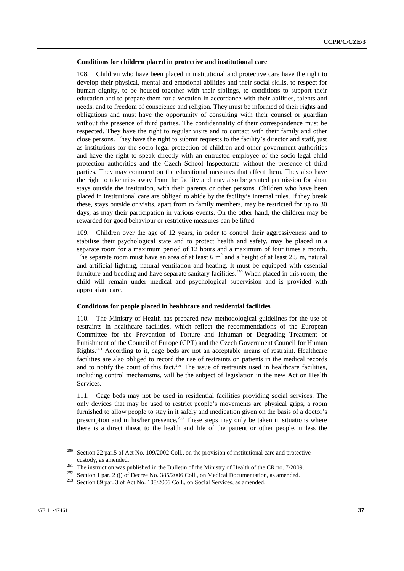#### **Conditions for children placed in protective and institutional care**

108. Children who have been placed in institutional and protective care have the right to develop their physical, mental and emotional abilities and their social skills, to respect for human dignity, to be housed together with their siblings, to conditions to support their education and to prepare them for a vocation in accordance with their abilities, talents and needs, and to freedom of conscience and religion. They must be informed of their rights and obligations and must have the opportunity of consulting with their counsel or guardian without the presence of third parties. The confidentiality of their correspondence must be respected. They have the right to regular visits and to contact with their family and other close persons. They have the right to submit requests to the facility's director and staff, just as institutions for the socio-legal protection of children and other government authorities and have the right to speak directly with an entrusted employee of the socio-legal child protection authorities and the Czech School Inspectorate without the presence of third parties. They may comment on the educational measures that affect them. They also have the right to take trips away from the facility and may also be granted permission for short stays outside the institution, with their parents or other persons. Children who have been placed in institutional care are obliged to abide by the facility's internal rules. If they break these, stays outside or visits, apart from to family members, may be restricted for up to 30 days, as may their participation in various events. On the other hand, the children may be rewarded for good behaviour or restrictive measures can be lifted.

109. Children over the age of 12 years, in order to control their aggressiveness and to stabilise their psychological state and to protect health and safety, may be placed in a separate room for a maximum period of 12 hours and a maximum of four times a month. The separate room must have an area of at least 6  $m<sup>2</sup>$  and a height of at least 2.5 m, natural and artificial lighting, natural ventilation and heating. It must be equipped with essential furniture and bedding and have separate sanitary facilities.<sup>250</sup> When placed in this room, the child will remain under medical and psychological supervision and is provided with appropriate care.

#### **Conditions for people placed in healthcare and residential facilities**

110. The Ministry of Health has prepared new methodological guidelines for the use of restraints in healthcare facilities, which reflect the recommendations of the European Committee for the Prevention of Torture and Inhuman or Degrading Treatment or Punishment of the Council of Europe (CPT) and the Czech Government Council for Human Rights.251 According to it, cage beds are not an acceptable means of restraint. Healthcare facilities are also obliged to record the use of restraints on patients in the medical records and to notify the court of this fact.<sup>252</sup> The issue of restraints used in healthcare facilities, including control mechanisms, will be the subject of legislation in the new Act on Health Services.

111. Cage beds may not be used in residential facilities providing social services. The only devices that may be used to restrict people's movements are physical grips, a room furnished to allow people to stay in it safely and medication given on the basis of a doctor's prescription and in his/her presence.<sup>253</sup> These steps may only be taken in situations where there is a direct threat to the health and life of the patient or other people, unless the

<sup>250</sup> Section 22 par.5 of Act No. 109/2002 Coll., on the provision of institutional care and protective

custody, as amended.<br><sup>251</sup> The instruction was published in the Bulletin of the Ministry of Health of the CR no. 7/2009.<br><sup>252</sup> Section 1 par. 2 (j) of Decree No. 385/2006 Coll., on Medical Documentation, as amended.<br><sup>253</sup>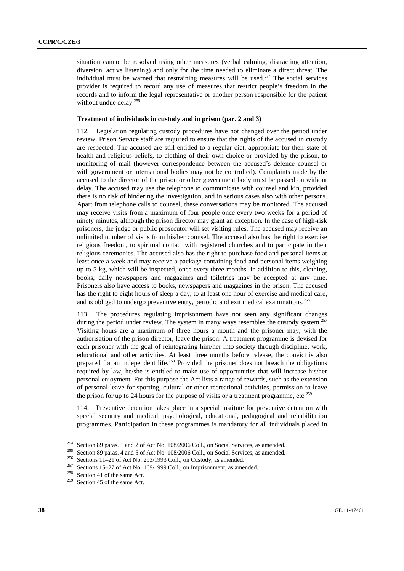situation cannot be resolved using other measures (verbal calming, distracting attention, diversion, active listening) and only for the time needed to eliminate a direct threat. The individual must be warned that restraining measures will be used.<sup>254</sup> The social services provider is required to record any use of measures that restrict people's freedom in the records and to inform the legal representative or another person responsible for the patient without undue delay.<sup>255</sup>

## **Treatment of individuals in custody and in prison (par. 2 and 3)**

112. Legislation regulating custody procedures have not changed over the period under review. Prison Service staff are required to ensure that the rights of the accused in custody are respected. The accused are still entitled to a regular diet, appropriate for their state of health and religious beliefs, to clothing of their own choice or provided by the prison, to monitoring of mail (however correspondence between the accused's defence counsel or with government or international bodies may not be controlled). Complaints made by the accused to the director of the prison or other government body must be passed on without delay. The accused may use the telephone to communicate with counsel and kin, provided there is no risk of hindering the investigation, and in serious cases also with other persons. Apart from telephone calls to counsel, these conversations may be monitored. The accused may receive visits from a maximum of four people once every two weeks for a period of ninety minutes, although the prison director may grant an exception. In the case of high-risk prisoners, the judge or public prosecutor will set visiting rules. The accused may receive an unlimited number of visits from his/her counsel. The accused also has the right to exercise religious freedom, to spiritual contact with registered churches and to participate in their religious ceremonies. The accused also has the right to purchase food and personal items at least once a week and may receive a package containing food and personal items weighing up to 5 kg, which will be inspected, once every three months. In addition to this, clothing, books, daily newspapers and magazines and toiletries may be accepted at any time. Prisoners also have access to books, newspapers and magazines in the prison. The accused has the right to eight hours of sleep a day, to at least one hour of exercise and medical care, and is obliged to undergo preventive entry, periodic and exit medical examinations.<sup>256</sup>

113. The procedures regulating imprisonment have not seen any significant changes during the period under review. The system in many ways resembles the custody system.<sup>257</sup> Visiting hours are a maximum of three hours a month and the prisoner may, with the authorisation of the prison director, leave the prison. A treatment programme is devised for each prisoner with the goal of reintegrating him/her into society through discipline, work, educational and other activities. At least three months before release, the convict is also prepared for an independent life.<sup>258</sup> Provided the prisoner does not breach the obligations required by law, he/she is entitled to make use of opportunities that will increase his/her personal enjoyment. For this purpose the Act lists a range of rewards, such as the extension of personal leave for sporting, cultural or other recreational activities, permission to leave the prison for up to 24 hours for the purpose of visits or a treatment programme, etc.<sup>259</sup>

114. Preventive detention takes place in a special institute for preventive detention with special security and medical, psychological, educational, pedagogical and rehabilitation programmes. Participation in these programmes is mandatory for all individuals placed in

<sup>&</sup>lt;sup>254</sup> Section 89 paras. 1 and 2 of Act No. 108/2006 Coll., on Social Services, as amended.<br><sup>255</sup> Section 89 paras. 4 and 5 of Act No. 108/2006 Coll., on Social Services, as amended.<br><sup>256</sup> Sections 11–21 of Act No. 293/199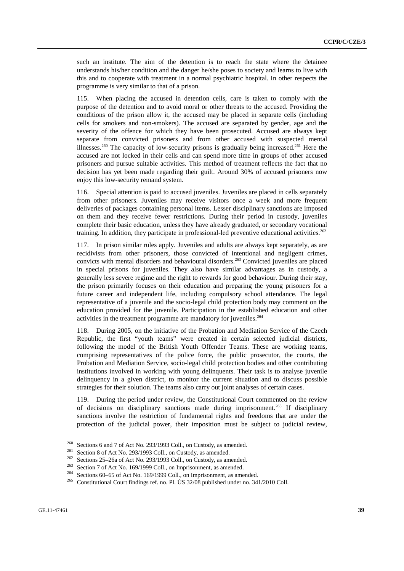such an institute. The aim of the detention is to reach the state where the detainee understands his/her condition and the danger he/she poses to society and learns to live with this and to cooperate with treatment in a normal psychiatric hospital. In other respects the programme is very similar to that of a prison.

115. When placing the accused in detention cells, care is taken to comply with the purpose of the detention and to avoid moral or other threats to the accused. Providing the conditions of the prison allow it, the accused may be placed in separate cells (including cells for smokers and non-smokers). The accused are separated by gender, age and the severity of the offence for which they have been prosecuted. Accused are always kept separate from convicted prisoners and from other accused with suspected mental illnesses.<sup>260</sup> The capacity of low-security prisons is gradually being increased.<sup>261</sup> Here the accused are not locked in their cells and can spend more time in groups of other accused prisoners and pursue suitable activities. This method of treatment reflects the fact that no decision has yet been made regarding their guilt. Around 30% of accused prisoners now enjoy this low-security remand system.

116. Special attention is paid to accused juveniles. Juveniles are placed in cells separately from other prisoners. Juveniles may receive visitors once a week and more frequent deliveries of packages containing personal items. Lesser disciplinary sanctions are imposed on them and they receive fewer restrictions. During their period in custody, juveniles complete their basic education, unless they have already graduated, or secondary vocational training. In addition, they participate in professional-led preventive educational activities.<sup>262</sup>

117. In prison similar rules apply. Juveniles and adults are always kept separately, as are recidivists from other prisoners, those convicted of intentional and negligent crimes, convicts with mental disorders and behavioural disorders.<sup>263</sup> Convicted juveniles are placed in special prisons for juveniles. They also have similar advantages as in custody, a generally less severe regime and the right to rewards for good behaviour. During their stay, the prison primarily focuses on their education and preparing the young prisoners for a future career and independent life, including compulsory school attendance. The legal representative of a juvenile and the socio-legal child protection body may comment on the education provided for the juvenile. Participation in the established education and other activities in the treatment programme are mandatory for juveniles.<sup>264</sup>

118. During 2005, on the initiative of the Probation and Mediation Service of the Czech Republic, the first "youth teams" were created in certain selected judicial districts, following the model of the British Youth Offender Teams. These are working teams, comprising representatives of the police force, the public prosecutor, the courts, the Probation and Mediation Service, socio-legal child protection bodies and other contributing institutions involved in working with young delinquents. Their task is to analyse juvenile delinquency in a given district, to monitor the current situation and to discuss possible strategies for their solution. The teams also carry out joint analyses of certain cases.

119. During the period under review, the Constitutional Court commented on the review of decisions on disciplinary sanctions made during imprisonment.265 If disciplinary sanctions involve the restriction of fundamental rights and freedoms that are under the protection of the judicial power, their imposition must be subject to judicial review,

<sup>&</sup>lt;sup>260</sup> Sections 6 and 7 of Act No. 293/1993 Coll., on Custody, as amended.<br><sup>261</sup> Section 8 of Act No. 293/1993 Coll., on Custody, as amended.<br><sup>262</sup> Sections 25–26a of Act No. 293/1993 Coll., on Custody, as amended.<br><sup>263</sup> S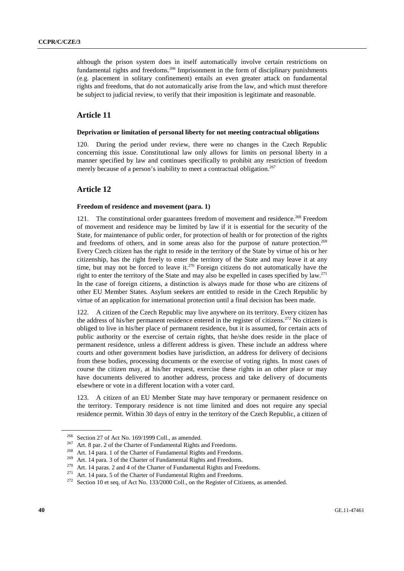although the prison system does in itself automatically involve certain restrictions on fundamental rights and freedoms.<sup>266</sup> Imprisonment in the form of disciplinary punishments (e.g. placement in solitary confinement) entails an even greater attack on fundamental rights and freedoms, that do not automatically arise from the law, and which must therefore be subject to judicial review, to verify that their imposition is legitimate and reasonable.

# **Article 11**

## **Deprivation or limitation of personal liberty for not meeting contractual obligations**

120. During the period under review, there were no changes in the Czech Republic concerning this issue. Constitutional law only allows for limits on personal liberty in a manner specified by law and continues specifically to prohibit any restriction of freedom merely because of a person's inability to meet a contractual obligation.<sup>267</sup>

## **Article 12**

#### **Freedom of residence and movement (para. 1)**

121. The constitutional order guarantees freedom of movement and residence.<sup>268</sup> Freedom of movement and residence may be limited by law if it is essential for the security of the State, for maintenance of public order, for protection of health or for protection of the rights and freedoms of others, and in some areas also for the purpose of nature protection.<sup>269</sup> Every Czech citizen has the right to reside in the territory of the State by virtue of his or her citizenship, has the right freely to enter the territory of the State and may leave it at any time, but may not be forced to leave it.<sup>270</sup> Foreign citizens do not automatically have the right to enter the territory of the State and may also be expelled in cases specified by law.<sup>271</sup> In the case of foreign citizens, a distinction is always made for those who are citizens of other EU Member States. Asylum seekers are entitled to reside in the Czech Republic by virtue of an application for international protection until a final decision has been made.

A citizen of the Czech Republic may live anywhere on its territory. Every citizen has the address of his/her permanent residence entered in the register of citizens.<sup>272</sup> No citizen is obliged to live in his/her place of permanent residence, but it is assumed, for certain acts of public authority or the exercise of certain rights, that he/she does reside in the place of permanent residence, unless a different address is given. These include an address where courts and other government bodies have jurisdiction, an address for delivery of decisions from these bodies, processing documents or the exercise of voting rights. In most cases of course the citizen may, at his/her request, exercise these rights in an other place or may have documents delivered to another address, process and take delivery of documents elsewhere or vote in a different location with a voter card.

123. A citizen of an EU Member State may have temporary or permanent residence on the territory. Temporary residence is not time limited and does not require any special residence permit. Within 30 days of entry in the territory of the Czech Republic, a citizen of

<sup>&</sup>lt;sup>266</sup> Section 27 of Act No. 169/1999 Coll., as amended.<br>
<sup>267</sup> Art. 8 par. 2 of the Charter of Fundamental Rights and Freedoms.<br>
<sup>268</sup> Art. 14 para. 1 of the Charter of Fundamental Rights and Freedoms.<br>
<sup>269</sup> Art. 14 para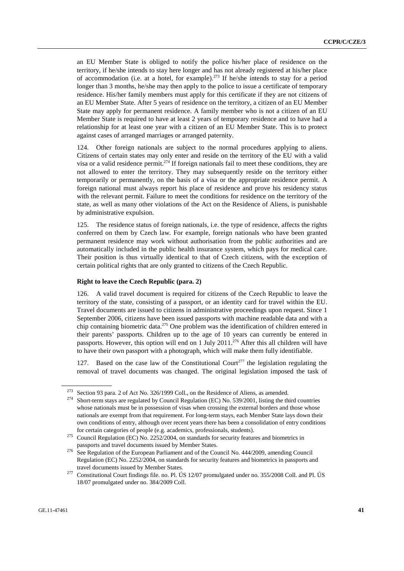an EU Member State is obliged to notify the police his/her place of residence on the territory, if he/she intends to stay here longer and has not already registered at his/her place of accommodation (i.e. at a hotel, for example).<sup>273</sup> If he/she intends to stay for a period longer than 3 months, he/she may then apply to the police to issue a certificate of temporary residence. His/her family members must apply for this certificate if they are not citizens of an EU Member State. After 5 years of residence on the territory, a citizen of an EU Member State may apply for permanent residence. A family member who is not a citizen of an EU Member State is required to have at least 2 years of temporary residence and to have had a relationship for at least one year with a citizen of an EU Member State. This is to protect against cases of arranged marriages or arranged paternity.

124. Other foreign nationals are subject to the normal procedures applying to aliens. Citizens of certain states may only enter and reside on the territory of the EU with a valid visa or a valid residence permit.<sup>274</sup> If foreign nationals fail to meet these conditions, they are not allowed to enter the territory. They may subsequently reside on the territory either temporarily or permanently, on the basis of a visa or the appropriate residence permit. A foreign national must always report his place of residence and prove his residency status with the relevant permit. Failure to meet the conditions for residence on the territory of the state, as well as many other violations of the Act on the Residence of Aliens, is punishable by administrative expulsion.

125. The residence status of foreign nationals, i.e. the type of residence, affects the rights conferred on them by Czech law. For example, foreign nationals who have been granted permanent residence may work without authorisation from the public authorities and are automatically included in the public health insurance system, which pays for medical care. Their position is thus virtually identical to that of Czech citizens, with the exception of certain political rights that are only granted to citizens of the Czech Republic.

#### **Right to leave the Czech Republic (para. 2)**

126. A valid travel document is required for citizens of the Czech Republic to leave the territory of the state, consisting of a passport, or an identity card for travel within the EU. Travel documents are issued to citizens in administrative proceedings upon request. Since 1 September 2006, citizens have been issued passports with machine readable data and with a chip containing biometric data.275 One problem was the identification of children entered in their parents' passports. Children up to the age of 10 years can currently be entered in passports. However, this option will end on 1 July 2011.<sup>276</sup> After this all children will have to have their own passport with a photograph, which will make them fully identifiable.

127. Based on the case law of the Constitutional Court<sup> $277$ </sup> the legislation regulating the removal of travel documents was changed. The original legislation imposed the task of

<sup>&</sup>lt;sup>273</sup> Section 93 para. 2 of Act No. 326/1999 Coll., on the Residence of Aliens, as amended.<br><sup>274</sup> Short-term stays are regulated by Council Regulation (EC) No. 539/2001, listing the third countries whose nationals must be in possession of visas when crossing the external borders and those whose nationals are exempt from that requirement. For long-term stays, each Member State lays down their own conditions of entry, although over recent years there has been a consolidation of entry conditions

for certain categories of people (e.g. academics, professionals, students). 275 Council Regulation (EC) No. 2252/2004, on standards for security features and biometrics in

passports and travel documents issued by Member States. 276 See Regulation of the European Parliament and of the Council No. 444/2009, amending Council Regulation (EC) No. 2252/2004, on standards for security features and biometrics in passports and

travel documents issued by Member States.<br><sup>277</sup> Constitutional Court findings file. no. Pl. ÚS 12/07 promulgated under no. 355/2008 Coll. and Pl. ÚS 18/07 promulgated under no. 384/2009 Coll.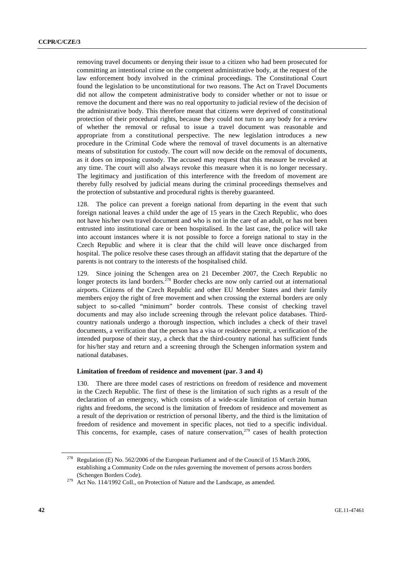removing travel documents or denying their issue to a citizen who had been prosecuted for committing an intentional crime on the competent administrative body, at the request of the law enforcement body involved in the criminal proceedings. The Constitutional Court found the legislation to be unconstitutional for two reasons. The Act on Travel Documents did not allow the competent administrative body to consider whether or not to issue or remove the document and there was no real opportunity to judicial review of the decision of the administrative body. This therefore meant that citizens were deprived of constitutional protection of their procedural rights, because they could not turn to any body for a review of whether the removal or refusal to issue a travel document was reasonable and appropriate from a constitutional perspective. The new legislation introduces a new procedure in the Criminal Code where the removal of travel documents is an alternative means of substitution for custody. The court will now decide on the removal of documents, as it does on imposing custody. The accused may request that this measure be revoked at any time. The court will also always revoke this measure when it is no longer necessary. The legitimacy and justification of this interference with the freedom of movement are thereby fully resolved by judicial means during the criminal proceedings themselves and the protection of substantive and procedural rights is thereby guaranteed.

128. The police can prevent a foreign national from departing in the event that such foreign national leaves a child under the age of 15 years in the Czech Republic, who does not have his/her own travel document and who is not in the care of an adult, or has not been entrusted into institutional care or been hospitalised. In the last case, the police will take into account instances where it is not possible to force a foreign national to stay in the Czech Republic and where it is clear that the child will leave once discharged from hospital. The police resolve these cases through an affidavit stating that the departure of the parents is not contrary to the interests of the hospitalised child.

129. Since joining the Schengen area on 21 December 2007, the Czech Republic no longer protects its land borders.<sup>278</sup> Border checks are now only carried out at international airports. Citizens of the Czech Republic and other EU Member States and their family members enjoy the right of free movement and when crossing the external borders are only subject to so-called "minimum" border controls. These consist of checking travel documents and may also include screening through the relevant police databases. Thirdcountry nationals undergo a thorough inspection, which includes a check of their travel documents, a verification that the person has a visa or residence permit, a verification of the intended purpose of their stay, a check that the third-country national has sufficient funds for his/her stay and return and a screening through the Schengen information system and national databases.

### **Limitation of freedom of residence and movement (par. 3 and 4)**

130. There are three model cases of restrictions on freedom of residence and movement in the Czech Republic. The first of these is the limitation of such rights as a result of the declaration of an emergency, which consists of a wide-scale limitation of certain human rights and freedoms, the second is the limitation of freedom of residence and movement as a result of the deprivation or restriction of personal liberty, and the third is the limitation of freedom of residence and movement in specific places, not tied to a specific individual. This concerns, for example, cases of nature conservation, $279$  cases of health protection

<sup>&</sup>lt;sup>278</sup> Regulation (E) No. 562/2006 of the European Parliament and of the Council of 15 March 2006, establishing a Community Code on the rules governing the movement of persons across borders

<sup>(</sup>Schengen Borders Code). 279 Act No. 114/1992 Coll., on Protection of Nature and the Landscape, as amended.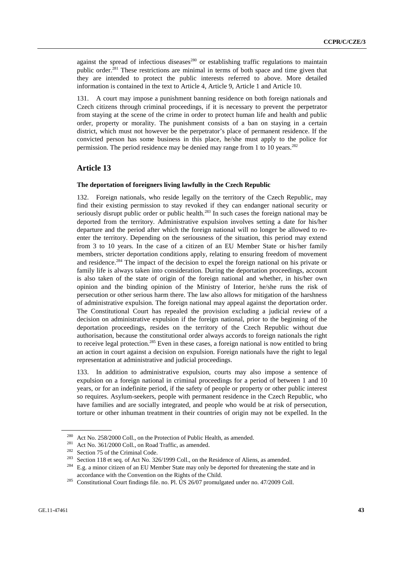against the spread of infectious diseases<sup>280</sup> or establishing traffic regulations to maintain public order.<sup>281</sup> These restrictions are minimal in terms of both space and time given that they are intended to protect the public interests referred to above. More detailed information is contained in the text to Article 4, Article 9, Article 1 and Article 10.

131. A court may impose a punishment banning residence on both foreign nationals and Czech citizens through criminal proceedings, if it is necessary to prevent the perpetrator from staying at the scene of the crime in order to protect human life and health and public order, property or morality. The punishment consists of a ban on staying in a certain district, which must not however be the perpetrator's place of permanent residence. If the convicted person has some business in this place, he/she must apply to the police for permission. The period residence may be denied may range from 1 to 10 years.<sup>282</sup>

# **Article 13**

### **The deportation of foreigners living lawfully in the Czech Republic**

132. Foreign nationals, who reside legally on the territory of the Czech Republic, may find their existing permission to stay revoked if they can endanger national security or seriously disrupt public order or public health. $^{283}$  In such cases the foreign national may be deported from the territory. Administrative expulsion involves setting a date for his/her departure and the period after which the foreign national will no longer be allowed to reenter the territory. Depending on the seriousness of the situation, this period may extend from 3 to 10 years. In the case of a citizen of an EU Member State or his/her family members, stricter deportation conditions apply, relating to ensuring freedom of movement and residence.<sup>284</sup> The impact of the decision to expel the foreign national on his private or family life is always taken into consideration. During the deportation proceedings, account is also taken of the state of origin of the foreign national and whether, in his/her own opinion and the binding opinion of the Ministry of Interior, he/she runs the risk of persecution or other serious harm there. The law also allows for mitigation of the harshness of administrative expulsion. The foreign national may appeal against the deportation order. The Constitutional Court has repealed the provision excluding a judicial review of a decision on administrative expulsion if the foreign national, prior to the beginning of the deportation proceedings, resides on the territory of the Czech Republic without due authorisation, because the constitutional order always accords to foreign nationals the right to receive legal protection.285 Even in these cases, a foreign national is now entitled to bring an action in court against a decision on expulsion. Foreign nationals have the right to legal representation at administrative and judicial proceedings.

133. In addition to administrative expulsion, courts may also impose a sentence of expulsion on a foreign national in criminal proceedings for a period of between 1 and 10 years, or for an indefinite period, if the safety of people or property or other public interest so requires. Asylum-seekers, people with permanent residence in the Czech Republic, who have families and are socially integrated, and people who would be at risk of persecution, torture or other inhuman treatment in their countries of origin may not be expelled. In the

<sup>&</sup>lt;sup>280</sup> Act No. 258/2000 Coll., on the Protection of Public Health, as amended.<br><sup>281</sup> Act No. 361/2000 Coll., on Road Traffic, as amended.<br><sup>282</sup> Section 75 of the Criminal Code.<br><sup>282</sup> Section 118 et seq. of Act No. 326/1999

accordance with the Convention on the Rights of the Child. 285 Constitutional Court findings file. no. Pl. ÚS 26/07 promulgated under no. 47/2009 Coll.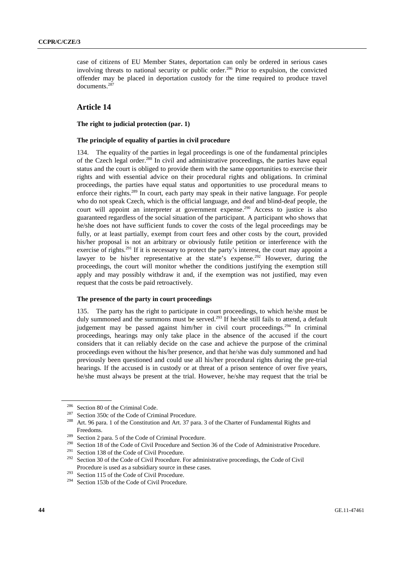case of citizens of EU Member States, deportation can only be ordered in serious cases involving threats to national security or public order.<sup>286</sup> Prior to expulsion, the convicted offender may be placed in deportation custody for the time required to produce travel documents.287

# **Article 14**

## **The right to judicial protection (par. 1)**

#### **The principle of equality of parties in civil procedure**

134. The equality of the parties in legal proceedings is one of the fundamental principles of the Czech legal order.<sup>288</sup> In civil and administrative proceedings, the parties have equal status and the court is obliged to provide them with the same opportunities to exercise their rights and with essential advice on their procedural rights and obligations. In criminal proceedings, the parties have equal status and opportunities to use procedural means to enforce their rights.<sup>289</sup> In court, each party may speak in their native language. For people who do not speak Czech, which is the official language, and deaf and blind-deaf people, the court will appoint an interpreter at government expense.<sup>290</sup> Access to justice is also guaranteed regardless of the social situation of the participant. A participant who shows that he/she does not have sufficient funds to cover the costs of the legal proceedings may be fully, or at least partially, exempt from court fees and other costs by the court, provided his/her proposal is not an arbitrary or obviously futile petition or interference with the exercise of rights.<sup>291</sup> If it is necessary to protect the party's interest, the court may appoint a lawyer to be his/her representative at the state's expense.<sup>292</sup> However, during the proceedings, the court will monitor whether the conditions justifying the exemption still apply and may possibly withdraw it and, if the exemption was not justified, may even request that the costs be paid retroactively.

#### **The presence of the party in court proceedings**

135. The party has the right to participate in court proceedings, to which he/she must be duly summoned and the summons must be served.<sup>293</sup> If he/she still fails to attend, a default judgement may be passed against him/her in civil court proceedings.<sup>294</sup> In criminal proceedings, hearings may only take place in the absence of the accused if the court considers that it can reliably decide on the case and achieve the purpose of the criminal proceedings even without the his/her presence, and that he/she was duly summoned and had previously been questioned and could use all his/her procedural rights during the pre-trial hearings. If the accused is in custody or at threat of a prison sentence of over five years, he/she must always be present at the trial. However, he/she may request that the trial be

<sup>&</sup>lt;sup>286</sup> Section 80 of the Criminal Code.<br><sup>287</sup> Section 350c of the Code of Criminal Procedure.<br><sup>288</sup> Art. 96 para. 1 of the Constitution and Art. 37 para. 3 of the Charter of Fundamental Rights and Freedoms.<br><sup>289</sup> Section 2 para. 5 of the Code of Criminal Procedure.<br><sup>290</sup> Section 18 of the Code of Civil Procedure and Section 36 of the Code of Administrative Procedure.<br><sup>291</sup> Section 138 of the Code of Civil Procedure

Procedure is used as a subsidiary source in these cases.<br><sup>293</sup> Section 115 of the Code of Civil Procedure.<br><sup>294</sup> Section 153b of the Code of Civil Procedure.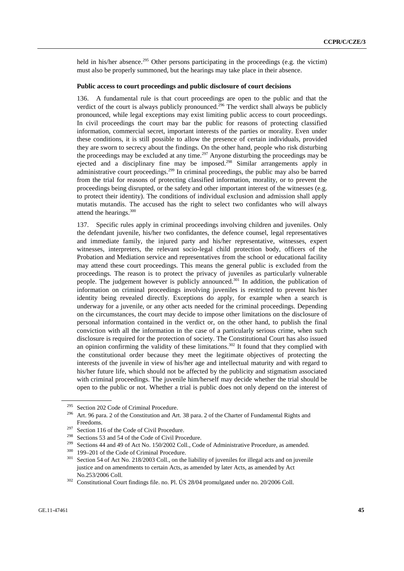held in his/her absence.<sup>295</sup> Other persons participating in the proceedings (e.g. the victim) must also be properly summoned, but the hearings may take place in their absence.

#### **Public access to court proceedings and public disclosure of court decisions**

136. A fundamental rule is that court proceedings are open to the public and that the verdict of the court is always publicly pronounced.<sup>296</sup> The verdict shall always be publicly pronounced, while legal exceptions may exist limiting public access to court proceedings. In civil proceedings the court may bar the public for reasons of protecting classified information, commercial secret, important interests of the parties or morality. Even under these conditions, it is still possible to allow the presence of certain individuals, provided they are sworn to secrecy about the findings. On the other hand, people who risk disturbing the proceedings may be excluded at any time.<sup>297</sup> Anyone disturbing the proceedings may be ejected and a disciplinary fine may be imposed.<sup>298</sup> Similar arrangements apply in administrative court proceedings.<sup>299</sup> In criminal proceedings, the public may also be barred from the trial for reasons of protecting classified information, morality, or to prevent the proceedings being disrupted, or the safety and other important interest of the witnesses (e.g. to protect their identity). The conditions of individual exclusion and admission shall apply mutatis mutandis. The accused has the right to select two confidantes who will always attend the hearings.<sup>300</sup>

137. Specific rules apply in criminal proceedings involving children and juveniles. Only the defendant juvenile, his/her two confidantes, the defence counsel, legal representatives and immediate family, the injured party and his/her representative, witnesses, expert witnesses, interpreters, the relevant socio-legal child protection body, officers of the Probation and Mediation service and representatives from the school or educational facility may attend these court proceedings. This means the general public is excluded from the proceedings. The reason is to protect the privacy of juveniles as particularly vulnerable people. The judgement however is publicly announced.<sup>301</sup> In addition, the publication of information on criminal proceedings involving juveniles is restricted to prevent his/her identity being revealed directly. Exceptions do apply, for example when a search is underway for a juvenile, or any other acts needed for the criminal proceedings. Depending on the circumstances, the court may decide to impose other limitations on the disclosure of personal information contained in the verdict or, on the other hand, to publish the final conviction with all the information in the case of a particularly serious crime, when such disclosure is required for the protection of society. The Constitutional Court has also issued an opinion confirming the validity of these limitations.<sup>302</sup> It found that they complied with the constitutional order because they meet the legitimate objectives of protecting the interests of the juvenile in view of his/her age and intellectual maturity and with regard to his/her future life, which should not be affected by the publicity and stigmatism associated with criminal proceedings. The juvenile him/herself may decide whether the trial should be open to the public or not. Whether a trial is public does not only depend on the interest of

<sup>&</sup>lt;sup>295</sup> Section 202 Code of Criminal Procedure.<br><sup>296</sup> Art. 96 para. 2 of the Constitution and Art. 38 para. 2 of the Charter of Fundamental Rights and

Freedoms.<br>
<sup>297</sup> Section 116 of the Code of Civil Procedure.<br>
<sup>298</sup> Sections 53 and 54 of the Code of Civil Procedure.<br>
<sup>299</sup> Sections 44 and 49 of Act No. 150/2002 Coll., Code of Administrative Procedure, as amended.<br>
<sup>30</sup> justice and on amendments to certain Acts, as amended by later Acts, as amended by Act

No.253/2006 Coll. 302 Constitutional Court findings file. no. Pl. ÚS 28/04 promulgated under no. 20/2006 Coll.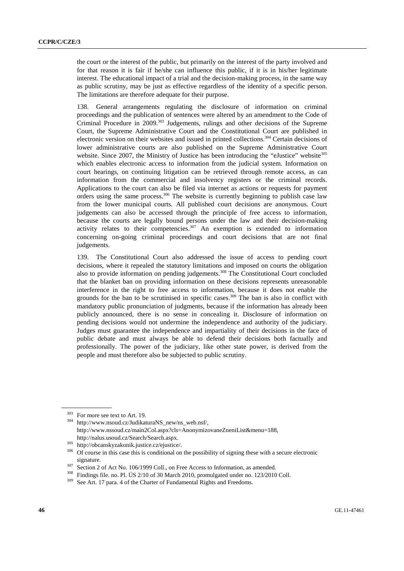the court or the interest of the public, but primarily on the interest of the party involved and for that reason it is fair if he/she can influence this public, if it is in his/her legitimate interest. The educational impact of a trial and the decision-making process, in the same way as public scrutiny, may be just as effective regardless of the identity of a specific person. The limitations are therefore adequate for their purpose.

138. General arrangements regulating the disclosure of information on criminal proceedings and the publication of sentences were altered by an amendment to the Code of Criminal Procedure in 2009.<sup>303</sup> Judgements, rulings and other decisions of the Supreme Court, the Supreme Administrative Court and the Constitutional Court are published in electronic version on their websites and issued in printed collections.<sup>304</sup> Certain decisions of lower administrative courts are also published on the Supreme Administrative Court website. Since 2007, the Ministry of Justice has been introducing the "eJustice" website $^{305}$ which enables electronic access to information from the judicial system. Information on court hearings, on continuing litigation can be retrieved through remote access, as can information from the commercial and insolvency registers or the criminal records. Applications to the court can also be filed via internet as actions or requests for payment orders using the same process.<sup>306</sup> The website is currently beginning to publish case law from the lower municipal courts. All published court decisions are anonymous. Court judgements can also be accessed through the principle of free access to information, because the courts are legally bound persons under the law and their decision-making activity relates to their competencies.<sup>307</sup> An exemption is extended to information concerning on-going criminal proceedings and court decisions that are not final judgements.

139. The Constitutional Court also addressed the issue of access to pending court decisions, where it repealed the statutory limitations and imposed on courts the obligation also to provide information on pending judgements.308 The Constitutional Court concluded that the blanket ban on providing information on these decisions represents unreasonable interference in the right to free access to information, because it does not enable the grounds for the ban to be scrutinised in specific cases.<sup>309</sup> The ban is also in conflict with mandatory public pronunciation of judgments, because if the information has already been publicly announced, there is no sense in concealing it. Disclosure of information on pending decisions would not undermine the independence and authority of the judiciary. Judges must guarantee the independence and impartiality of their decisions in the face of public debate and must always be able to defend their decisions both factually and professionally. The power of the judiciary, like other state power, is derived from the people and must therefore also be subjected to public scrutiny.

 $303$  For more see text to Art. 19.<br> $304$  http://www.nsoud.cz/JudikaturaNS\_new/ns\_web.nsf/, http://www.nssoud.cz/main2Col.aspx?cls=AnonymizovaneZneniList&menu=188,

http://nalus.usoud.cz/Search/Search.aspx.<br><sup>305</sup> http://obcanskyzakonik.justice.cz/ejustice/.<br><sup>306</sup> Of course in this case this is conditional on the possibility of signing these with a secure electronic

signature.<br>
<sup>307</sup> Section 2 of Act No. 106/1999 Coll., on Free Access to Information, as amended.<br>
<sup>308</sup> Findings file. no. Pl. ÚS 2/10 of 30 March 2010, promulgated under no. 123/2010 Coll.<br>
<sup>309</sup> See Art. 17 para. 4 of t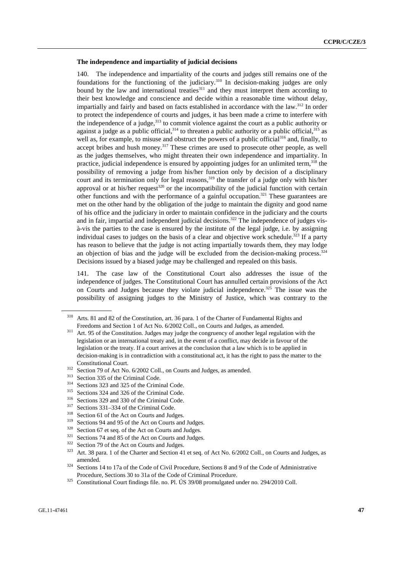#### **The independence and impartiality of judicial decisions**

140. The independence and impartiality of the courts and judges still remains one of the foundations for the functioning of the judiciary.<sup>310</sup> In decision-making judges are only bound by the law and international treaties<sup>311</sup> and they must interpret them according to their best knowledge and conscience and decide within a reasonable time without delay, impartially and fairly and based on facts established in accordance with the law.<sup>312</sup> In order to protect the independence of courts and judges, it has been made a crime to interfere with the independence of a judge, $313$  to commit violence against the court as a public authority or against a judge as a public official,  $314$  to threaten a public authority or a public official,  $315$  as well as, for example, to misuse and obstruct the powers of a public official<sup>316</sup> and, finally, to accept bribes and hush money.<sup>317</sup> These crimes are used to prosecute other people, as well as the judges themselves, who might threaten their own independence and impartiality. In practice, judicial independence is ensured by appointing judges for an unlimited term,  $318$  the possibility of removing a judge from his/her function only by decision of a disciplinary court and its termination only for legal reasons,<sup>319</sup> the transfer of a judge only with his/her approval or at his/her request $320$  or the incompatibility of the judicial function with certain other functions and with the performance of a gainful occupation.<sup>321</sup> These guarantees are met on the other hand by the obligation of the judge to maintain the dignity and good name of his office and the judiciary in order to maintain confidence in the judiciary and the courts and in fair, impartial and independent judicial decisions.<sup>322</sup> The independence of judges visà-vis the parties to the case is ensured by the institute of the legal judge, i.e. by assigning individual cases to judges on the basis of a clear and objective work schedule.<sup>323</sup> If a party has reason to believe that the judge is not acting impartially towards them, they may lodge an objection of bias and the judge will be excluded from the decision-making process.<sup>324</sup> Decisions issued by a biased judge may be challenged and repealed on this basis.

141. The case law of the Constitutional Court also addresses the issue of the independence of judges. The Constitutional Court has annulled certain provisions of the Act on Courts and Judges because they violate judicial independence.<sup>325</sup> The issue was the possibility of assigning judges to the Ministry of Justice, which was contrary to the

<sup>310</sup> Arts. 81 and 82 of the Constitution, art. 36 para. 1 of the Charter of Fundamental Rights and Freedoms and Section 1 of Act No. 6/2002 Coll., on Courts and Judges, as amended.<br><sup>311</sup> Art. 95 of the Constitution. Judges may judge the congruency of another legal regulation with the

legislation or an international treaty and, in the event of a conflict, may decide in favour of the legislation or the treaty. If a court arrives at the conclusion that a law which is to be applied in decision-making is in contradiction with a constitutional act, it has the right to pass the matter to the

Constitutional Court.<br>
<sup>312</sup> Section 79 of Act No. 6/2002 Coll., on Courts and Judges, as amended.<br>
<sup>313</sup> Section 335 of the Criminal Code.<br>
<sup>314</sup> Sections 323 and 325 of the Criminal Code.<br>
<sup>315</sup> Sections 329 and 330 of t amended. 324 Sections 14 to 17a of the Code of Civil Procedure, Sections 8 and 9 of the Code of Administrative

Procedure, Sections 30 to 31a of the Code of Criminal Procedure. 325 Constitutional Court findings file. no. Pl. ÚS 39/08 promulgated under no. 294/2010 Coll.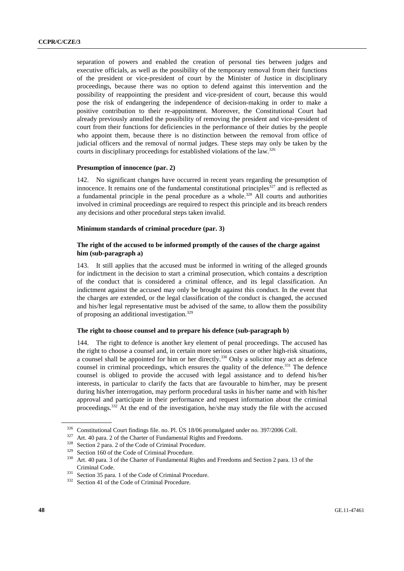separation of powers and enabled the creation of personal ties between judges and executive officials, as well as the possibility of the temporary removal from their functions of the president or vice-president of court by the Minister of Justice in disciplinary proceedings, because there was no option to defend against this intervention and the possibility of reappointing the president and vice-president of court, because this would pose the risk of endangering the independence of decision-making in order to make a positive contribution to their re-appointment. Moreover, the Constitutional Court had already previously annulled the possibility of removing the president and vice-president of court from their functions for deficiencies in the performance of their duties by the people who appoint them, because there is no distinction between the removal from office of judicial officers and the removal of normal judges. These steps may only be taken by the courts in disciplinary proceedings for established violations of the law.326

## **Presumption of innocence (par. 2)**

142. No significant changes have occurred in recent years regarding the presumption of innocence. It remains one of the fundamental constitutional principles<sup>327</sup> and is reflected as a fundamental principle in the penal procedure as a whole.<sup>328</sup> All courts and authorities involved in criminal proceedings are required to respect this principle and its breach renders any decisions and other procedural steps taken invalid.

## **Minimum standards of criminal procedure (par. 3)**

## **The right of the accused to be informed promptly of the causes of the charge against him (sub-paragraph a)**

143. It still applies that the accused must be informed in writing of the alleged grounds for indictment in the decision to start a criminal prosecution, which contains a description of the conduct that is considered a criminal offence, and its legal classification. An indictment against the accused may only be brought against this conduct. In the event that the charges are extended, or the legal classification of the conduct is changed, the accused and his/her legal representative must be advised of the same, to allow them the possibility of proposing an additional investigation.329

### **The right to choose counsel and to prepare his defence (sub-paragraph b)**

144. The right to defence is another key element of penal proceedings. The accused has the right to choose a counsel and, in certain more serious cases or other high-risk situations, a counsel shall be appointed for him or her directly.<sup>330</sup> Only a solicitor may act as defence counsel in criminal proceedings, which ensures the quality of the defence.<sup>331</sup> The defence counsel is obliged to provide the accused with legal assistance and to defend his/her interests, in particular to clarify the facts that are favourable to him/her, may be present during his/her interrogation, may perform procedural tasks in his/her name and with his/her approval and participate in their performance and request information about the criminal proceedings.<sup>332</sup> At the end of the investigation, he/she may study the file with the accused

<sup>&</sup>lt;sup>326</sup> Constitutional Court findings file. no. Pl. ÚS 18/06 promulgated under no. 397/2006 Coll.<br><sup>327</sup> Art. 40 para. 2 of the Charter of Fundamental Rights and Freedoms.<br><sup>328</sup> Section 2 para. 2 of the Code of Criminal Proc

Criminal Code. 331 Section 35 para. 1 of the Code of Criminal Procedure. 332 Section 41 of the Code of Criminal Procedure.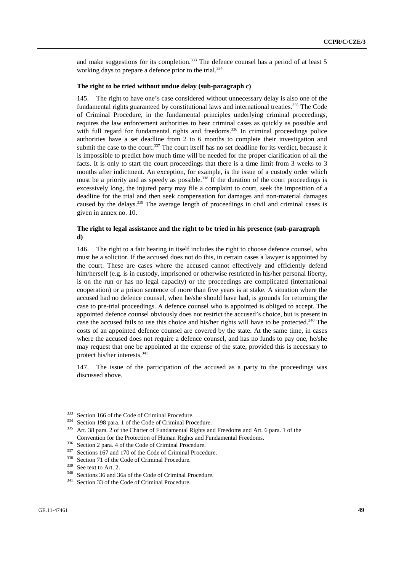and make suggestions for its completion.<sup>333</sup> The defence counsel has a period of at least 5 working days to prepare a defence prior to the trial.<sup>334</sup>

#### **The right to be tried without undue delay (sub-paragraph c)**

145. The right to have one's case considered without unnecessary delay is also one of the fundamental rights guaranteed by constitutional laws and international treaties.<sup>335</sup> The Code of Criminal Procedure, in the fundamental principles underlying criminal proceedings, requires the law enforcement authorities to hear criminal cases as quickly as possible and with full regard for fundamental rights and freedoms.<sup>336</sup> In criminal proceedings police authorities have a set deadline from 2 to 6 months to complete their investigation and submit the case to the court.<sup>337</sup> The court itself has no set deadline for its verdict, because it is impossible to predict how much time will be needed for the proper clarification of all the facts. It is only to start the court proceedings that there is a time limit from 3 weeks to 3 months after indictment. An exception, for example, is the issue of a custody order which must be a priority and as speedy as possible.<sup>338</sup> If the duration of the court proceedings is excessively long, the injured party may file a complaint to court, seek the imposition of a deadline for the trial and then seek compensation for damages and non-material damages caused by the delays.<sup>339</sup> The average length of proceedings in civil and criminal cases is given in annex no. 10.

## **The right to legal assistance and the right to be tried in his presence (sub-paragraph d)**

146. The right to a fair hearing in itself includes the right to choose defence counsel, who must be a solicitor. If the accused does not do this, in certain cases a lawyer is appointed by the court. These are cases where the accused cannot effectively and efficiently defend him/herself (e.g. is in custody, imprisoned or otherwise restricted in his/her personal liberty, is on the run or has no legal capacity) or the proceedings are complicated (international cooperation) or a prison sentence of more than five years is at stake. A situation where the accused had no defence counsel, when he/she should have had, is grounds for returning the case to pre-trial proceedings. A defence counsel who is appointed is obliged to accept. The appointed defence counsel obviously does not restrict the accused's choice, but is present in case the accused fails to use this choice and his/her rights will have to be protected.<sup>340</sup> The costs of an appointed defence counsel are covered by the state. At the same time, in cases where the accused does not require a defence counsel, and has no funds to pay one, he/she may request that one be appointed at the expense of the state, provided this is necessary to protect his/her interests.341

147. The issue of the participation of the accused as a party to the proceedings was discussed above.

<sup>333</sup> Section 166 of the Code of Criminal Procedure.<br><sup>334</sup> Section 198 para. 1 of the Code of Criminal Procedure.<br><sup>335</sup> Art. 38 para. 2 of the Charter of Fundamental Rights and Freedoms and Art. 6 para. 1 of the

Convention for the Protection of Human Rights and Fundamental Freedoms.<br>
<sup>336</sup> Section 2 para. 4 of the Code of Criminal Procedure.<br>
<sup>337</sup> Sections 167 and 170 of the Code of Criminal Procedure.<br>
<sup>338</sup> Section 71 of the Co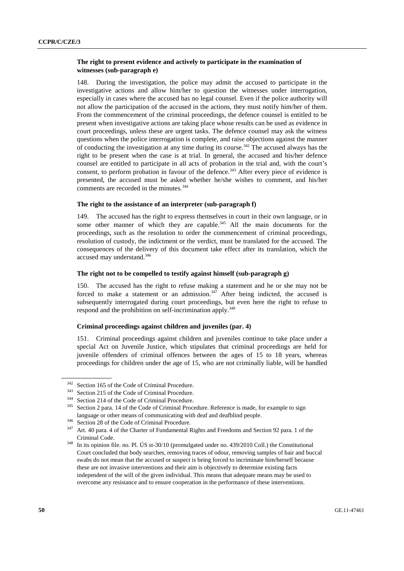## **The right to present evidence and actively to participate in the examination of witnesses (sub-paragraph e)**

148. During the investigation, the police may admit the accused to participate in the investigative actions and allow him/her to question the witnesses under interrogation, especially in cases where the accused has no legal counsel. Even if the police authority will not allow the participation of the accused in the actions, they must notify him/her of them. From the commencement of the criminal proceedings, the defence counsel is entitled to be present when investigative actions are taking place whose results can be used as evidence in court proceedings, unless these are urgent tasks. The defence counsel may ask the witness questions when the police interrogation is complete, and raise objections against the manner of conducting the investigation at any time during its course.<sup>342</sup> The accused always has the right to be present when the case is at trial. In general, the accused and his/her defence counsel are entitled to participate in all acts of probation in the trial and, with the court's consent, to perform probation in favour of the defence.<sup>343</sup> After every piece of evidence is presented, the accused must be asked whether he/she wishes to comment, and his/her comments are recorded in the minutes.<sup>344</sup>

## **The right to the assistance of an interpreter (sub-paragraph f)**

149. The accused has the right to express themselves in court in their own language, or in some other manner of which they are capable.<sup>345</sup> All the main documents for the proceedings, such as the resolution to order the commencement of criminal proceedings, resolution of custody, the indictment or the verdict, must be translated for the accused. The consequences of the delivery of this document take effect after its translation, which the accused may understand.<sup>346</sup>

# **The right not to be compelled to testify against himself (sub-paragraph g)**

150. The accused has the right to refuse making a statement and he or she may not be forced to make a statement or an admission.<sup>347</sup> After being indicted, the accused is subsequently interrogated during court proceedings, but even here the right to refuse to respond and the prohibition on self-incrimination apply.<sup>348</sup>

## **Criminal proceedings against children and juveniles (par. 4)**

151. Criminal proceedings against children and juveniles continue to take place under a special Act on Juvenile Justice, which stipulates that criminal proceedings are held for juvenile offenders of criminal offences between the ages of 15 to 18 years, whereas proceedings for children under the age of 15, who are not criminally liable, will be handled

<sup>&</sup>lt;sup>342</sup> Section 165 of the Code of Criminal Procedure.<br><sup>343</sup> Section 215 of the Code of Criminal Procedure.<br><sup>344</sup> Section 214 of the Code of Criminal Procedure.<br><sup>345</sup> Section 2 para. 14 of the Code of Criminal Procedure. Re language or other means of communicating with deaf and deafblind people.<br><sup>346</sup> Section 28 of the Code of Criminal Procedure.<br><sup>347</sup> Art. 40 para. 4 of the Charter of Fundamental Rights and Freedoms and Section 92 para. 1 of

Criminal Code. 348 In its opinion file. no. Pl. ÚS st-30/10 (promulgated under no. 439/2010 Coll.) the Constitutional Court concluded that body searches, removing traces of odour, removing samples of hair and buccal swabs do not mean that the accused or suspect is being forced to incriminate him/herself because these are not invasive interventions and their aim is objectively to determine existing facts independent of the will of the given individual. This means that adequate means may be used to overcome any resistance and to ensure cooperation in the performance of these interventions.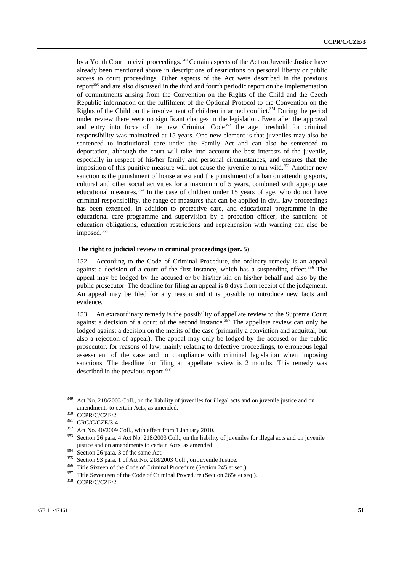by a Youth Court in civil proceedings.<sup>349</sup> Certain aspects of the Act on Juvenile Justice have already been mentioned above in descriptions of restrictions on personal liberty or public access to court proceedings. Other aspects of the Act were described in the previous report<sup>350</sup> and are also discussed in the third and fourth periodic report on the implementation of commitments arising from the Convention on the Rights of the Child and the Czech Republic information on the fulfilment of the Optional Protocol to the Convention on the Rights of the Child on the involvement of children in armed conflict.<sup>351</sup> During the period under review there were no significant changes in the legislation. Even after the approval and entry into force of the new Criminal  $Code<sup>352</sup>$  the age threshold for criminal responsibility was maintained at 15 years. One new element is that juveniles may also be sentenced to institutional care under the Family Act and can also be sentenced to deportation, although the court will take into account the best interests of the juvenile, especially in respect of his/her family and personal circumstances, and ensures that the imposition of this punitive measure will not cause the juvenile to run wild.<sup>353</sup> Another new sanction is the punishment of house arrest and the punishment of a ban on attending sports, cultural and other social activities for a maximum of 5 years, combined with appropriate educational measures.<sup>354</sup> In the case of children under 15 years of age, who do not have criminal responsibility, the range of measures that can be applied in civil law proceedings has been extended. In addition to protective care, and educational programme in the educational care programme and supervision by a probation officer, the sanctions of education obligations, education restrictions and reprehension with warning can also be imposed.<sup>355</sup>

#### **The right to judicial review in criminal proceedings (par. 5)**

152. According to the Code of Criminal Procedure, the ordinary remedy is an appeal against a decision of a court of the first instance, which has a suspending effect.<sup>356</sup> The appeal may be lodged by the accused or by his/her kin on his/her behalf and also by the public prosecutor. The deadline for filing an appeal is 8 days from receipt of the judgement. An appeal may be filed for any reason and it is possible to introduce new facts and evidence.

153. An extraordinary remedy is the possibility of appellate review to the Supreme Court against a decision of a court of the second instance.<sup>357</sup> The appellate review can only be lodged against a decision on the merits of the case (primarily a conviction and acquittal, but also a rejection of appeal). The appeal may only be lodged by the accused or the public prosecutor, for reasons of law, mainly relating to defective proceedings, to erroneous legal assessment of the case and to compliance with criminal legislation when imposing sanctions. The deadline for filing an appellate review is 2 months. This remedy was described in the previous report.<sup>358</sup>

<sup>&</sup>lt;sup>349</sup> Act No. 218/2003 Coll., on the liability of juveniles for illegal acts and on juvenile justice and on amendments to certain Acts, as amended.<br>
<sup>350</sup> CCPR/C/CZE/2.<br>
<sup>351</sup> CRC/C/CZE/3-4.<br>
<sup>352</sup> Act No. 40/2009 Coll., with effect from 1 January 2010.<br>
<sup>352</sup> Section 26 para. 4 Act No. 218/2003 Coll., on the liability of juveni

justice and on amendments to certain Acts, as amended.<br>
<sup>354</sup> Section 26 para. 3 of the same Act.<br>
<sup>355</sup> Section 93 para. 1 of Act No. 218/2003 Coll., on Juvenile Justice.<br>
<sup>356</sup> Title Sixteen of the Code of Criminal Proce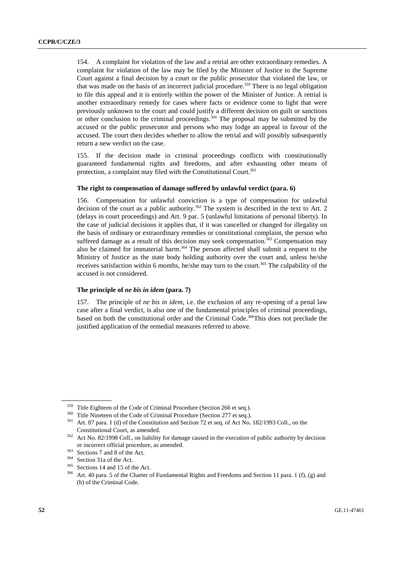154. A complaint for violation of the law and a retrial are other extraordinary remedies. A complaint for violation of the law may be filed by the Minister of Justice to the Supreme Court against a final decision by a court or the public prosecutor that violated the law, or that was made on the basis of an incorrect judicial procedure.<sup>359</sup> There is no legal obligation to file this appeal and it is entirely within the power of the Minister of Justice. A retrial is another extraordinary remedy for cases where facts or evidence come to light that were previously unknown to the court and could justify a different decision on guilt or sanctions or other conclusion to the criminal proceedings.<sup>360</sup> The proposal may be submitted by the accused or the public prosecutor and persons who may lodge an appeal in favour of the accused. The court then decides whether to allow the retrial and will possibly subsequently return a new verdict on the case.

155. If the decision made in criminal proceedings conflicts with constitutionally guaranteed fundamental rights and freedoms, and after exhausting other means of protection, a complaint may filed with the Constitutional Court.<sup>361</sup>

### **The right to compensation of damage suffered by unlawful verdict (para. 6)**

156. Compensation for unlawful conviction is a type of compensation for unlawful decision of the court as a public authority.<sup>362</sup> The system is described in the text to Art. 2 (delays in court proceedings) and Art. 9 par. 5 (unlawful limitations of personal liberty). In the case of judicial decisions it applies that, if it was cancelled or changed for illegality on the basis of ordinary or extraordinary remedies or constitutional complaint, the person who suffered damage as a result of this decision may seek compensation.<sup>363</sup> Compensation may also be claimed for immaterial harm.<sup>364</sup> The person affected shall submit a request to the Ministry of Justice as the state body holding authority over the court and, unless he/she receives satisfaction within 6 months, he/she may turn to the court.<sup>365</sup> The culpability of the accused is not considered.

### **The principle of** *ne bis in idem* **(para. 7)**

157. The principle of *ne bis in idem*, i.e. the exclusion of any re-opening of a penal law case after a final verdict, is also one of the fundamental principles of criminal proceedings, based on both the constitutional order and the Criminal Code.366This does not preclude the justified application of the remedial measures referred to above.

<sup>&</sup>lt;sup>359</sup> Title Eighteen of the Code of Criminal Procedure (Section 266 et seq.).<br><sup>360</sup> Title Nineteen of the Code of Criminal Procedure (Section 277 et seq.).<br><sup>361</sup> Art. 87 para. 1 (d) of the Constitution and Section 72 et s Constitutional Court, as amended.<br><sup>362</sup> Act No. 82/1998 Coll., on liability for damage caused in the execution of public authority by decision

or incorrect official procedure, as amended.<br>
<sup>363</sup> Sections 7 and 8 of the Act.<br>
<sup>364</sup> Section 31a of the Act.<br>
<sup>365</sup> Sections 14 and 15 of the Act.<br>
<sup>366</sup> Art. 40 para. 5 of the Charter of Fundamental Rights and Freedoms

<sup>(</sup>h) of the Criminal Code.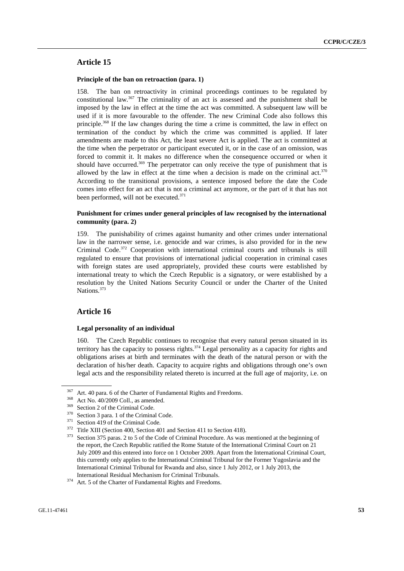# **Article 15**

### **Principle of the ban on retroaction (para. 1)**

158. The ban on retroactivity in criminal proceedings continues to be regulated by constitutional law.<sup>367</sup> The criminality of an act is assessed and the punishment shall be imposed by the law in effect at the time the act was committed. A subsequent law will be used if it is more favourable to the offender. The new Criminal Code also follows this principle.368 If the law changes during the time a crime is committed, the law in effect on termination of the conduct by which the crime was committed is applied. If later amendments are made to this Act, the least severe Act is applied. The act is committed at the time when the perpetrator or participant executed it, or in the case of an omission, was forced to commit it. It makes no difference when the consequence occurred or when it should have occurred.<sup>369</sup> The perpetrator can only receive the type of punishment that is allowed by the law in effect at the time when a decision is made on the criminal act. $370$ According to the transitional provisions, a sentence imposed before the date the Code comes into effect for an act that is not a criminal act anymore, or the part of it that has not been performed, will not be executed.<sup>371</sup>

## **Punishment for crimes under general principles of law recognised by the international community (para. 2)**

159. The punishability of crimes against humanity and other crimes under international law in the narrower sense, i.e. genocide and war crimes, is also provided for in the new Criminal Code.372 Cooperation with international criminal courts and tribunals is still regulated to ensure that provisions of international judicial cooperation in criminal cases with foreign states are used appropriately, provided these courts were established by international treaty to which the Czech Republic is a signatory, or were established by a resolution by the United Nations Security Council or under the Charter of the United Nations.<sup>373</sup>

## **Article 16**

#### **Legal personality of an individual**

160. The Czech Republic continues to recognise that every natural person situated in its territory has the capacity to possess rights.<sup>374</sup> Legal personality as a capacity for rights and obligations arises at birth and terminates with the death of the natural person or with the declaration of his/her death. Capacity to acquire rights and obligations through one's own legal acts and the responsibility related thereto is incurred at the full age of majority, i.e. on

<sup>&</sup>lt;sup>367</sup> Art. 40 para. 6 of the Charter of Fundamental Rights and Freedoms.<br><sup>368</sup> Act No. 40/2009 Coll., as amended.<br><sup>369</sup> Section 2 of the Criminal Code.<br><sup>370</sup> Section 3 para. 1 of the Criminal Code.<br><sup>371</sup> Section 419 of th the report, the Czech Republic ratified the Rome Statute of the International Criminal Court on 21 July 2009 and this entered into force on 1 October 2009. Apart from the International Criminal Court, this currently only applies to the International Criminal Tribunal for the Former Yugoslavia and the International Criminal Tribunal for Rwanda and also, since 1 July 2012, or 1 July 2013, the

International Residual Mechanism for Criminal Tribunals. 374 Art. 5 of the Charter of Fundamental Rights and Freedoms.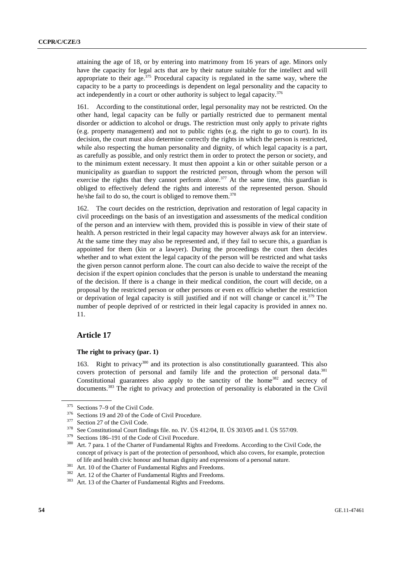attaining the age of 18, or by entering into matrimony from 16 years of age. Minors only have the capacity for legal acts that are by their nature suitable for the intellect and will appropriate to their age.<sup>375</sup> Procedural capacity is regulated in the same way, where the capacity to be a party to proceedings is dependent on legal personality and the capacity to act independently in a court or other authority is subject to legal capacity.<sup>376</sup>

161. According to the constitutional order, legal personality may not be restricted. On the other hand, legal capacity can be fully or partially restricted due to permanent mental disorder or addiction to alcohol or drugs. The restriction must only apply to private rights (e.g. property management) and not to public rights (e.g. the right to go to court). In its decision, the court must also determine correctly the rights in which the person is restricted, while also respecting the human personality and dignity, of which legal capacity is a part, as carefully as possible, and only restrict them in order to protect the person or society, and to the minimum extent necessary. It must then appoint a kin or other suitable person or a municipality as guardian to support the restricted person, through whom the person will exercise the rights that they cannot perform alone.<sup>377</sup> At the same time, this guardian is obliged to effectively defend the rights and interests of the represented person. Should he/she fail to do so, the court is obliged to remove them.<sup>378</sup>

162. The court decides on the restriction, deprivation and restoration of legal capacity in civil proceedings on the basis of an investigation and assessments of the medical condition of the person and an interview with them, provided this is possible in view of their state of health. A person restricted in their legal capacity may however always ask for an interview. At the same time they may also be represented and, if they fail to secure this, a guardian is appointed for them (kin or a lawyer). During the proceedings the court then decides whether and to what extent the legal capacity of the person will be restricted and what tasks the given person cannot perform alone. The court can also decide to waive the receipt of the decision if the expert opinion concludes that the person is unable to understand the meaning of the decision. If there is a change in their medical condition, the court will decide, on a proposal by the restricted person or other persons or even ex officio whether the restriction or deprivation of legal capacity is still justified and if not will change or cancel it.<sup>379</sup> The number of people deprived of or restricted in their legal capacity is provided in annex no. 11.

## **Article 17**

## **The right to privacy (par. 1)**

163. Right to privacy<sup>380</sup> and its protection is also constitutionally guaranteed. This also covers protection of personal and family life and the protection of personal data.<sup>381</sup> Constitutional guarantees also apply to the sanctity of the home<sup>382</sup> and secrecy of documents.<sup>383</sup> The right to privacy and protection of personality is elaborated in the Civil

<sup>&</sup>lt;sup>375</sup> Sections 7–9 of the Civil Code.<br><sup>376</sup> Sections 19 and 20 of the Code of Civil Procedure.<br><sup>377</sup> Section 27 of the Civil Code.<br><sup>378</sup> See Constitutional Court findings file. no. IV. US 412/04, II. US 303/05 and I. US 5

concept of privacy is part of the protection of personhood, which also covers, for example, protection of life and health civic honour and human dignity and expressions of a personal nature.<br>
<sup>381</sup> Art. 10 of the Charter of Fundamental Rights and Freedoms.<br>
<sup>382</sup> Art. 12 of the Charter of Fundamental Rights and Freedoms.<br>
<sup></sup>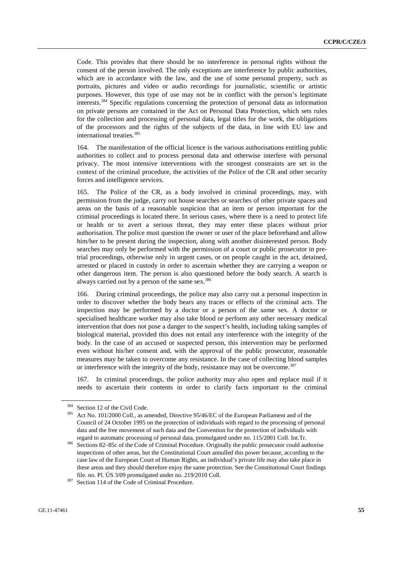Code. This provides that there should be no interference in personal rights without the consent of the person involved. The only exceptions are interference by public authorities, which are in accordance with the law, and the use of some personal property, such as portraits, pictures and video or audio recordings for journalistic, scientific or artistic purposes. However, this type of use may not be in conflict with the person's legitimate interests.384 Specific regulations concerning the protection of personal data as information on private persons are contained in the Act on Personal Data Protection, which sets rules for the collection and processing of personal data, legal titles for the work, the obligations of the processors and the rights of the subjects of the data, in line with EU law and international treaties.385

164. The manifestation of the official licence is the various authorisations entitling public authorities to collect and to process personal data and otherwise interfere with personal privacy. The most intensive interventions with the strongest constraints are set in the context of the criminal procedure, the activities of the Police of the CR and other security forces and intelligence services.

165. The Police of the CR, as a body involved in criminal proceedings, may, with permission from the judge, carry out house searches or searches of other private spaces and areas on the basis of a reasonable suspicion that an item or person important for the criminal proceedings is located there. In serious cases, where there is a need to protect life or health or to avert a serious threat, they may enter these places without prior authorisation. The police must question the owner or user of the place beforehand and allow him/her to be present during the inspection, along with another disinterested person. Body searches may only be performed with the permission of a court or public prosecutor in pretrial proceedings, otherwise only in urgent cases, or on people caught in the act, detained, arrested or placed in custody in order to ascertain whether they are carrying a weapon or other dangerous item. The person is also questioned before the body search. A search is always carried out by a person of the same sex.<sup>386</sup>

166. During criminal proceedings, the police may also carry out a personal inspection in order to discover whether the body bears any traces or effects of the criminal acts. The inspection may be performed by a doctor or a person of the same sex. A doctor or specialised healthcare worker may also take blood or perform any other necessary medical intervention that does not pose a danger to the suspect's health, including taking samples of biological material, provided this does not entail any interference with the integrity of the body. In the case of an accused or suspected person, this intervention may be performed even without his/her consent and, with the approval of the public prosecutor, reasonable measures may be taken to overcome any resistance. In the case of collecting blood samples or interference with the integrity of the body, resistance may not be overcome.<sup>387</sup>

167. In criminal proceedings, the police authority may also open and replace mail if it needs to ascertain their contents in order to clarify facts important to the criminal

<sup>&</sup>lt;sup>384</sup> Section 12 of the Civil Code.<br><sup>385</sup> Act No. 101/2000 Coll., as amended, Directive 95/46/EC of the European Parliament and of the Council of 24 October 1995 on the protection of individuals with regard to the processing of personal data and the free movement of such data and the Convention for the protection of individuals with

regard to automatic processing of personal data, promulgated under no. 115/2001 Coll. Int.Tr. 386 Sections 82–85c of the Code of Criminal Procedure. Originally the public prosecutor could authorise inspections of other areas, but the Constitutional Court annulled this power because, according to the case law of the European Court of Human Rights, an individual's private life may also take place in these areas and they should therefore enjoy the same protection. See the Constitutional Court findings file. no. Pl. ÚS 3/09 promulgated under no. 219/2010 Coll. 387 Section 114 of the Code of Criminal Procedure.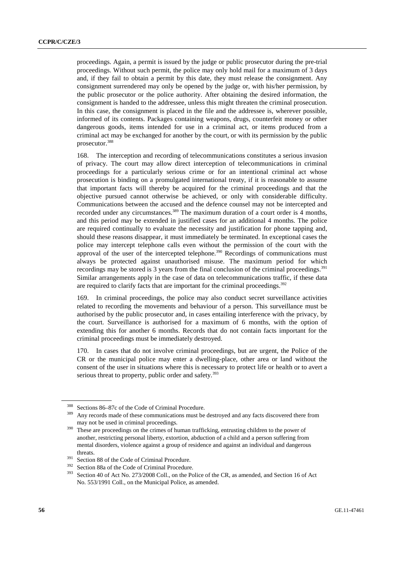proceedings. Again, a permit is issued by the judge or public prosecutor during the pre-trial proceedings. Without such permit, the police may only hold mail for a maximum of 3 days and, if they fail to obtain a permit by this date, they must release the consignment. Any consignment surrendered may only be opened by the judge or, with his/her permission, by the public prosecutor or the police authority. After obtaining the desired information, the consignment is handed to the addressee, unless this might threaten the criminal prosecution. In this case, the consignment is placed in the file and the addressee is, wherever possible, informed of its contents. Packages containing weapons, drugs, counterfeit money or other dangerous goods, items intended for use in a criminal act, or items produced from a criminal act may be exchanged for another by the court, or with its permission by the public prosecutor.388

168. The interception and recording of telecommunications constitutes a serious invasion of privacy. The court may allow direct interception of telecommunications in criminal proceedings for a particularly serious crime or for an intentional criminal act whose prosecution is binding on a promulgated international treaty, if it is reasonable to assume that important facts will thereby be acquired for the criminal proceedings and that the objective pursued cannot otherwise be achieved, or only with considerable difficulty. Communications between the accused and the defence counsel may not be intercepted and recorded under any circumstances.<sup>389</sup> The maximum duration of a court order is 4 months, and this period may be extended in justified cases for an additional 4 months. The police are required continually to evaluate the necessity and justification for phone tapping and, should these reasons disappear, it must immediately be terminated. In exceptional cases the police may intercept telephone calls even without the permission of the court with the approval of the user of the intercepted telephone.<sup>390</sup> Recordings of communications must always be protected against unauthorised misuse. The maximum period for which recordings may be stored is 3 years from the final conclusion of the criminal proceedings.<sup>391</sup> Similar arrangements apply in the case of data on telecommunications traffic, if these data are required to clarify facts that are important for the criminal proceedings. $392$ 

169. In criminal proceedings, the police may also conduct secret surveillance activities related to recording the movements and behaviour of a person. This surveillance must be authorised by the public prosecutor and, in cases entailing interference with the privacy, by the court. Surveillance is authorised for a maximum of 6 months, with the option of extending this for another 6 months. Records that do not contain facts important for the criminal proceedings must be immediately destroyed.

170. In cases that do not involve criminal proceedings, but are urgent, the Police of the CR or the municipal police may enter a dwelling-place, other area or land without the consent of the user in situations where this is necessary to protect life or health or to avert a serious threat to property, public order and safety.<sup>393</sup>

<sup>&</sup>lt;sup>388</sup> Sections 86–87c of the Code of Criminal Procedure.<br><sup>389</sup> Any records made of these communications must be destroyed and any facts discovered there from

may not be used in criminal proceedings. 390 These are proceedings on the crimes of human trafficking, entrusting children to the power of another, restricting personal liberty, extortion, abduction of a child and a person suffering from mental disorders, violence against a group of residence and against an individual and dangerous

threats.<br><sup>391</sup> Section 88 of the Code of Criminal Procedure.<br><sup>392</sup> Section 88a of the Code of Criminal Procedure.<br>393 Section 40 of Act No. 273/2008 Coll., on the Police of the CR, as amended, and Section 16 of Act No. 553/1991 Coll., on the Municipal Police, as amended.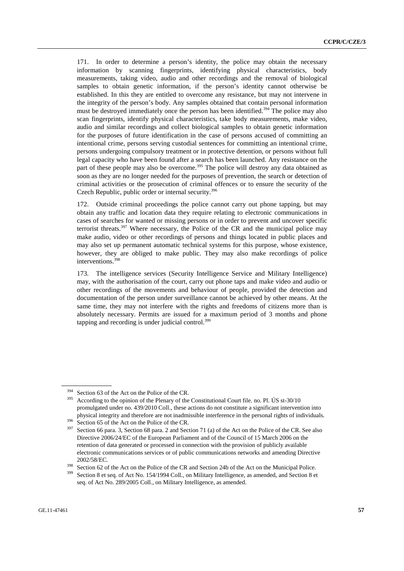171. In order to determine a person's identity, the police may obtain the necessary information by scanning fingerprints, identifying physical characteristics, body measurements, taking video, audio and other recordings and the removal of biological samples to obtain genetic information, if the person's identity cannot otherwise be established. In this they are entitled to overcome any resistance, but may not intervene in the integrity of the person's body. Any samples obtained that contain personal information must be destroyed immediately once the person has been identified.<sup>394</sup> The police may also scan fingerprints, identify physical characteristics, take body measurements, make video, audio and similar recordings and collect biological samples to obtain genetic information for the purposes of future identification in the case of persons accused of committing an intentional crime, persons serving custodial sentences for committing an intentional crime, persons undergoing compulsory treatment or in protective detention, or persons without full legal capacity who have been found after a search has been launched. Any resistance on the part of these people may also be overcome.<sup>395</sup> The police will destroy any data obtained as soon as they are no longer needed for the purposes of prevention, the search or detection of criminal activities or the prosecution of criminal offences or to ensure the security of the Czech Republic, public order or internal security.<sup>396</sup>

172. Outside criminal proceedings the police cannot carry out phone tapping, but may obtain any traffic and location data they require relating to electronic communications in cases of searches for wanted or missing persons or in order to prevent and uncover specific terrorist threats.<sup>397</sup> Where necessary, the Police of the CR and the municipal police may make audio, video or other recordings of persons and things located in public places and may also set up permanent automatic technical systems for this purpose, whose existence, however, they are obliged to make public. They may also make recordings of police interventions.<sup>398</sup>

173. The intelligence services (Security Intelligence Service and Military Intelligence) may, with the authorisation of the court, carry out phone taps and make video and audio or other recordings of the movements and behaviour of people, provided the detection and documentation of the person under surveillance cannot be achieved by other means. At the same time, they may not interfere with the rights and freedoms of citizens more than is absolutely necessary. Permits are issued for a maximum period of 3 months and phone tapping and recording is under judicial control. $399$ 

<sup>&</sup>lt;sup>394</sup> Section 63 of the Act on the Police of the CR.<br><sup>395</sup> According to the opinion of the Plenary of the Constitutional Court file. no. Pl. ÚS st-30/10 promulgated under no. 439/2010 Coll., these actions do not constitute a significant intervention into physical integrity and therefore are not inadmissible interference in the personal rights of individuals.<br><sup>396</sup> Section 65 of the Act on the Police of the CR.<br><sup>397</sup> Section 66 para. 3, Section 68 para. 2 and Section 71 (a)

Directive 2006/24/EC of the European Parliament and of the Council of 15 March 2006 on the retention of data generated or processed in connection with the provision of publicly available electronic communications services or of public communications networks and amending Directive

<sup>2002/58/</sup>EC.<br><sup>398</sup> Section 62 of the Act on the Police of the CR and Section 24b of the Act on the Municipal Police.<br><sup>399</sup> Section 8 et seq. of Act No. 154/1994 Coll., on Military Intelligence, as amended, and Section 8 et

seq. of Act No. 289/2005 Coll., on Military Intelligence, as amended.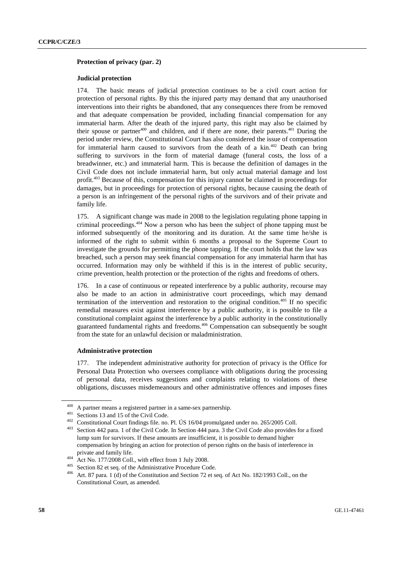### **Protection of privacy (par. 2)**

## **Judicial protection**

174. The basic means of judicial protection continues to be a civil court action for protection of personal rights. By this the injured party may demand that any unauthorised interventions into their rights be abandoned, that any consequences there from be removed and that adequate compensation be provided, including financial compensation for any immaterial harm. After the death of the injured party, this right may also be claimed by their spouse or partner<sup>400</sup> and children, and if there are none, their parents.<sup>401</sup> During the period under review, the Constitutional Court has also considered the issue of compensation for immaterial harm caused to survivors from the death of a kin.<sup>402</sup> Death can bring suffering to survivors in the form of material damage (funeral costs, the loss of a breadwinner, etc.) and immaterial harm. This is because the definition of damages in the Civil Code does not include immaterial harm, but only actual material damage and lost profit.403 Because of this, compensation for this injury cannot be claimed in proceedings for damages, but in proceedings for protection of personal rights, because causing the death of a person is an infringement of the personal rights of the survivors and of their private and family life.

175. A significant change was made in 2008 to the legislation regulating phone tapping in criminal proceedings.404 Now a person who has been the subject of phone tapping must be informed subsequently of the monitoring and its duration. At the same time he/she is informed of the right to submit within 6 months a proposal to the Supreme Court to investigate the grounds for permitting the phone tapping. If the court holds that the law was breached, such a person may seek financial compensation for any immaterial harm that has occurred. Information may only be withheld if this is in the interest of public security, crime prevention, health protection or the protection of the rights and freedoms of others.

176. In a case of continuous or repeated interference by a public authority, recourse may also be made to an action in administrative court proceedings, which may demand termination of the intervention and restoration to the original condition.405 If no specific remedial measures exist against interference by a public authority, it is possible to file a constitutional complaint against the interference by a public authority in the constitutionally guaranteed fundamental rights and freedoms.406 Compensation can subsequently be sought from the state for an unlawful decision or maladministration.

### **Administrative protection**

177. The independent administrative authority for protection of privacy is the Office for Personal Data Protection who oversees compliance with obligations during the processing of personal data, receives suggestions and complaints relating to violations of these obligations, discusses misdemeanours and other administrative offences and imposes fines

<sup>&</sup>lt;sup>400</sup> A partner means a registered partner in a same-sex partnership.<br><sup>401</sup> Sections 13 and 15 of the Civil Code.<br><sup>402</sup> Constitutional Court findings file. no. Pl. ÚS 16/04 promulgated under no. 265/2005 Coll.<br><sup>403</sup> Secti lump sum for survivors. If these amounts are insufficient, it is possible to demand higher compensation by bringing an action for protection of person rights on the basis of interference in private and family life.<br>
<sup>404</sup> Act No. 177/2008 Coll., with effect from 1 July 2008.<br>
<sup>405</sup> Section 82 et seq. of the Administrative Procedure Code.<br>
<sup>406</sup> Art. 87 para. 1 (d) of the Constitution and Section 72 et seq. of

Constitutional Court, as amended.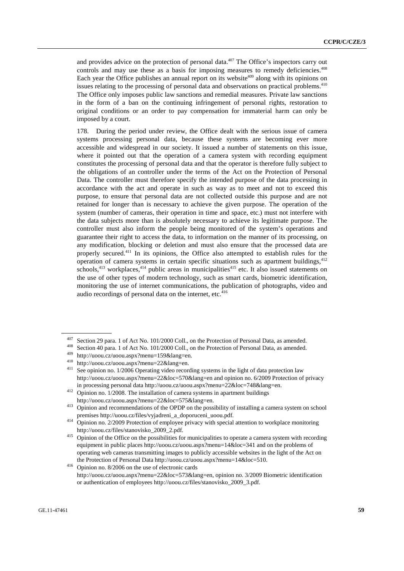and provides advice on the protection of personal data. $407$  The Office's inspectors carry out controls and may use these as a basis for imposing measures to remedy deficiencies.<sup>408</sup> Each year the Office publishes an annual report on its website<sup> $409$ </sup> along with its opinions on issues relating to the processing of personal data and observations on practical problems.<sup>410</sup> The Office only imposes public law sanctions and remedial measures. Private law sanctions in the form of a ban on the continuing infringement of personal rights, restoration to original conditions or an order to pay compensation for immaterial harm can only be imposed by a court.

178. During the period under review, the Office dealt with the serious issue of camera systems processing personal data, because these systems are becoming ever more accessible and widespread in our society. It issued a number of statements on this issue, where it pointed out that the operation of a camera system with recording equipment constitutes the processing of personal data and that the operator is therefore fully subject to the obligations of an controller under the terms of the Act on the Protection of Personal Data. The controller must therefore specify the intended purpose of the data processing in accordance with the act and operate in such as way as to meet and not to exceed this purpose, to ensure that personal data are not collected outside this purpose and are not retained for longer than is necessary to achieve the given purpose. The operation of the system (number of cameras, their operation in time and space, etc.) must not interfere with the data subjects more than is absolutely necessary to achieve its legitimate purpose. The controller must also inform the people being monitored of the system's operations and guarantee their right to access the data, to information on the manner of its processing, on any modification, blocking or deletion and must also ensure that the processed data are properly secured.411 In its opinions, the Office also attempted to establish rules for the operation of camera systems in certain specific situations such as apartment buildings,  $412$ schools,<sup>413</sup> workplaces,<sup>414</sup> public areas in municipalities<sup>415</sup> etc. It also issued statements on the use of other types of modern technology, such as smart cards, biometric identification, monitoring the use of internet communications, the publication of photographs, video and audio recordings of personal data on the internet, etc. $416$ 

<sup>&</sup>lt;sup>407</sup> Section 29 para. 1 of Act No. 101/2000 Coll., on the Protection of Personal Data, as amended.<br><sup>408</sup> Section 40 para. 1 of Act No. 101/2000 Coll., on the Protection of Personal Data, as amended.<br><sup>409</sup> http://uoou.cz/

http://uoou.cz/uoou.aspx?menu=22&loc=570&lang=en and opinion no. 6/2009 Protection of privacy

in processing personal data http://uoou.cz/uoou.aspx?menu=22&loc=748&lang=en. 412 Opinion no. 1/2008. The installation of camera systems in apartment buildings

http://uoou.cz/uoou.aspx?menu=22&loc=575&lang=en. 413 Opinion and recommendations of the OPDP on the possibility of installing a camera system on school

premises http://uoou.cz/files/vyjadreni\_a\_doporuceni\_uoou.pdf. 414 Opinion no. 2/2009 Protection of employee privacy with special attention to workplace monitoring http://uoou.cz/files/stanovisko\_2009\_2.pdf. 415 Opinion of the Office on the possibilities for municipalities to operate a camera system with recording

equipment in public places http://uoou.cz/uoou.aspx?menu=14&loc=341 and on the problems of operating web cameras transmitting images to publicly accessible websites in the light of the Act on

the Protection of Personal Data http://uoou.cz/uoou.aspx?menu=14&loc=510.<br>416 Opinion no. 8/2006 on the use of electronic cards http://uoou.cz/uoou.aspx?menu=22&loc=573&lang=en, opinion no. 3/2009 Biometric identification or authentication of employees http://uoou.cz/files/stanovisko\_2009\_3.pdf.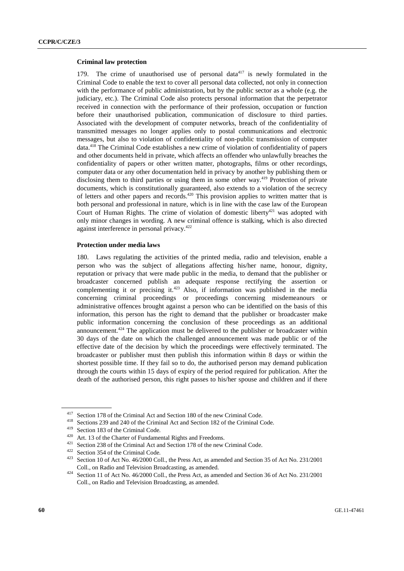#### **Criminal law protection**

179. The crime of unauthorised use of personal data<sup> $417$ </sup> is newly formulated in the Criminal Code to enable the text to cover all personal data collected, not only in connection with the performance of public administration, but by the public sector as a whole (e.g. the judiciary, etc.). The Criminal Code also protects personal information that the perpetrator received in connection with the performance of their profession, occupation or function before their unauthorised publication, communication of disclosure to third parties. Associated with the development of computer networks, breach of the confidentiality of transmitted messages no longer applies only to postal communications and electronic messages, but also to violation of confidentiality of non-public transmission of computer data.418 The Criminal Code establishes a new crime of violation of confidentiality of papers and other documents held in private, which affects an offender who unlawfully breaches the confidentiality of papers or other written matter, photographs, films or other recordings, computer data or any other documentation held in privacy by another by publishing them or disclosing them to third parties or using them in some other way.<sup>419</sup> Protection of private documents, which is constitutionally guaranteed, also extends to a violation of the secrecy of letters and other papers and records.420 This provision applies to written matter that is both personal and professional in nature, which is in line with the case law of the European Court of Human Rights. The crime of violation of domestic liberty<sup>421</sup> was adopted with only minor changes in wording. A new criminal offence is stalking, which is also directed against interference in personal privacy.422

#### **Protection under media laws**

180. Laws regulating the activities of the printed media, radio and television, enable a person who was the subject of allegations affecting his/her name, honour, dignity, reputation or privacy that were made public in the media, to demand that the publisher or broadcaster concerned publish an adequate response rectifying the assertion or complementing it or precising it.<sup>423</sup> Also, if information was published in the media concerning criminal proceedings or proceedings concerning misdemeanours or administrative offences brought against a person who can be identified on the basis of this information, this person has the right to demand that the publisher or broadcaster make public information concerning the conclusion of these proceedings as an additional announcement.<sup>424</sup> The application must be delivered to the publisher or broadcaster within 30 days of the date on which the challenged announcement was made public or of the effective date of the decision by which the proceedings were effectively terminated. The broadcaster or publisher must then publish this information within 8 days or within the shortest possible time. If they fail so to do, the authorised person may demand publication through the courts within 15 days of expiry of the period required for publication. After the death of the authorised person, this right passes to his/her spouse and children and if there

<sup>&</sup>lt;sup>417</sup> Section 178 of the Criminal Act and Section 180 of the new Criminal Code.<br><sup>418</sup> Sections 239 and 240 of the Criminal Act and Section 182 of the Criminal Code.<br><sup>419</sup> Section 183 of the Criminal Code.<br><sup>420</sup> Art. 13 of

Coll., on Radio and Television Broadcasting, as amended. 424 Section 11 of Act No. 46/2000 Coll., the Press Act, as amended and Section 36 of Act No. 231/2001 Coll., on Radio and Television Broadcasting, as amended.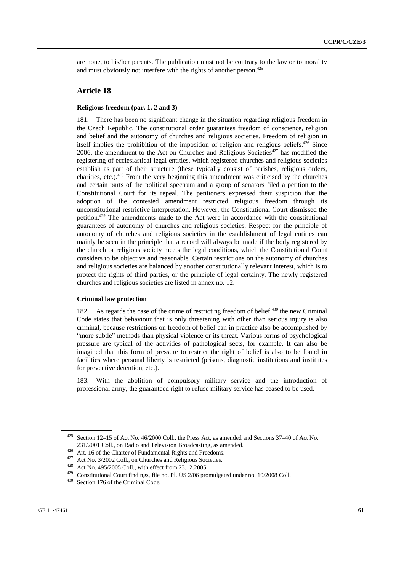are none, to his/her parents. The publication must not be contrary to the law or to morality and must obviously not interfere with the rights of another person.<sup>425</sup>

## **Article 18**

## **Religious freedom (par. 1, 2 and 3)**

181. There has been no significant change in the situation regarding religious freedom in the Czech Republic. The constitutional order guarantees freedom of conscience, religion and belief and the autonomy of churches and religious societies. Freedom of religion in itself implies the prohibition of the imposition of religion and religious beliefs.<sup>426</sup> Since 2006, the amendment to the Act on Churches and Religious Societies $427$  has modified the registering of ecclesiastical legal entities, which registered churches and religious societies establish as part of their structure (these typically consist of parishes, religious orders, charities, etc.).<sup>428</sup> From the very beginning this amendment was criticised by the churches and certain parts of the political spectrum and a group of senators filed a petition to the Constitutional Court for its repeal. The petitioners expressed their suspicion that the adoption of the contested amendment restricted religious freedom through its unconstitutional restrictive interpretation. However, the Constitutional Court dismissed the petition.429 The amendments made to the Act were in accordance with the constitutional guarantees of autonomy of churches and religious societies. Respect for the principle of autonomy of churches and religious societies in the establishment of legal entities can mainly be seen in the principle that a record will always be made if the body registered by the church or religious society meets the legal conditions, which the Constitutional Court considers to be objective and reasonable. Certain restrictions on the autonomy of churches and religious societies are balanced by another constitutionally relevant interest, which is to protect the rights of third parties, or the principle of legal certainty. The newly registered churches and religious societies are listed in annex no. 12.

#### **Criminal law protection**

182. As regards the case of the crime of restricting freedom of belief, $430$  the new Criminal Code states that behaviour that is only threatening with other than serious injury is also criminal, because restrictions on freedom of belief can in practice also be accomplished by "more subtle" methods than physical violence or its threat. Various forms of psychological pressure are typical of the activities of pathological sects, for example. It can also be imagined that this form of pressure to restrict the right of belief is also to be found in facilities where personal liberty is restricted (prisons, diagnostic institutions and institutes for preventive detention, etc.).

183. With the abolition of compulsory military service and the introduction of professional army, the guaranteed right to refuse military service has ceased to be used.

<sup>425</sup> Section 12–15 of Act No. 46/2000 Coll., the Press Act, as amended and Sections 37–40 of Act No. 231/2001 Coll., on Radio and Television Broadcasting, as amended.<br><sup>426</sup> Art. 16 of the Charter of Fundamental Rights and Freedoms.<br><sup>427</sup> Act No. 3/2002 Coll., on Churches and Religious Societies.<br><sup>428</sup> Act No. 495/2005 Co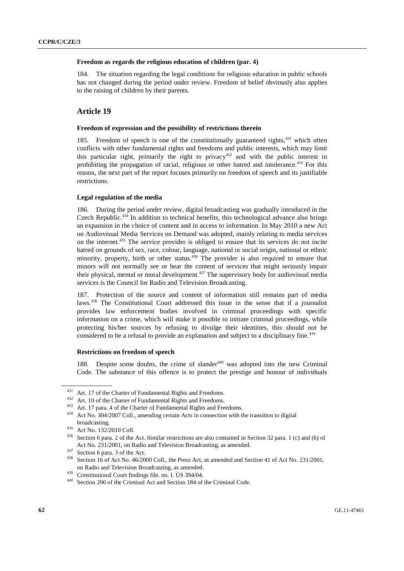### **Freedom as regards the religious education of children (par. 4)**

184. The situation regarding the legal conditions for religious education in public schools has not changed during the period under review. Freedom of belief obviously also applies to the raising of children by their parents.

# **Article 19**

#### **Freedom of expression and the possibility of restrictions therein**

185. Freedom of speech is one of the constitutionally guaranteed rights,431 which often conflicts with other fundamental rights and freedoms and public interests, which may limit this particular right, primarily the right to privacy<sup>432</sup> and with the public interest in prohibiting the propagation of racial, religious or other hatred and intolerance.<sup>433</sup> For this reason, the next part of the report focuses primarily on freedom of speech and its justifiable restrictions.

#### **Legal regulation of the media**

186. During the period under review, digital broadcasting was gradually introduced in the Czech Republic.<sup>434</sup> In addition to technical benefits, this technological advance also brings an expansion in the choice of content and in access to information. In May 2010 a new Act on Audiovisual Media Services on Demand was adopted, mainly relating to media services on the internet.<sup>435</sup> The service provider is obliged to ensure that its services do not incite hatred on grounds of sex, race, colour, language, national or social origin, national or ethnic minority, property, birth or other status.<sup>436</sup> The provider is also required to ensure that minors will not normally see or hear the content of services that might seriously impair their physical, mental or moral development.437 The supervisory body for audiovisual media services is the Council for Radio and Television Broadcasting.

187. Protection of the source and content of information still remains part of media laws.<sup>438</sup> The Constitutional Court addressed this issue in the sense that if a journalist provides law enforcement bodies involved in criminal proceedings with specific information on a crime, which will make it possible to initiate criminal proceedings, while protecting his/her sources by refusing to divulge their identities, this should not be considered to be a refusal to provide an explanation and subject to a disciplinary fine.<sup>439</sup>

#### **Restrictions on freedom of speech**

188. Despite some doubts, the crime of slander<sup>440</sup> was adopted into the new Criminal Code. The substance of this offence is to protect the prestige and honour of individuals

<sup>&</sup>lt;sup>431</sup> Art. 17 of the Charter of Fundamental Rights and Freedoms.<br><sup>432</sup> Art. 10 of the Charter of Fundamental Rights and Freedoms.<br><sup>433</sup> Art. 17 para. 4 of the Charter of Fundamental Rights and Freedoms.<br><sup>434</sup> Act No. 304/

broadcasting.<br><sup>435</sup> Act No. 132/2010 Coll.<br><sup>436</sup> Section 6 para. 2 of the Act. Similar restrictions are also contained in Section 32 para. 1 (c) and (h) of Act No. 231/2001, on Radio and Television Broadcasting, as amended.<br><sup>437</sup> Section 6 para. 3 of the Act.<br><sup>438</sup> Section 16 of Act No. 46/2000 Coll., the Press Act, as amended and Section 41 of Act No. 231/2001,

on Radio and Television Broadcasting, as amended.<br><sup>439</sup> Constitutional Court findings file. no. I. ÚS 394/04.<br><sup>440</sup> Section 206 of the Criminal Act and Section 184 of the Criminal Code.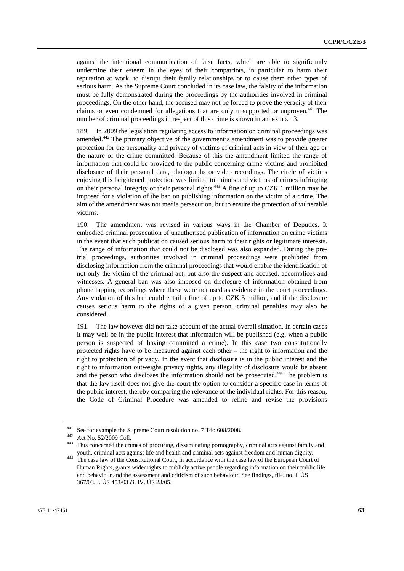against the intentional communication of false facts, which are able to significantly undermine their esteem in the eyes of their compatriots, in particular to harm their reputation at work, to disrupt their family relationships or to cause them other types of serious harm. As the Supreme Court concluded in its case law, the falsity of the information must be fully demonstrated during the proceedings by the authorities involved in criminal proceedings. On the other hand, the accused may not be forced to prove the veracity of their claims or even condemned for allegations that are only unsupported or unproven.<sup>441</sup> The number of criminal proceedings in respect of this crime is shown in annex no. 13.

189. In 2009 the legislation regulating access to information on criminal proceedings was amended.442 The primary objective of the government's amendment was to provide greater protection for the personality and privacy of victims of criminal acts in view of their age or the nature of the crime committed. Because of this the amendment limited the range of information that could be provided to the public concerning crime victims and prohibited disclosure of their personal data, photographs or video recordings. The circle of victims enjoying this heightened protection was limited to minors and victims of crimes infringing on their personal integrity or their personal rights.<sup>443</sup> A fine of up to CZK 1 million may be imposed for a violation of the ban on publishing information on the victim of a crime. The aim of the amendment was not media persecution, but to ensure the protection of vulnerable victims.

190. The amendment was revised in various ways in the Chamber of Deputies. It embodied criminal prosecution of unauthorised publication of information on crime victims in the event that such publication caused serious harm to their rights or legitimate interests. The range of information that could not be disclosed was also expanded. During the pretrial proceedings, authorities involved in criminal proceedings were prohibited from disclosing information from the criminal proceedings that would enable the identification of not only the victim of the criminal act, but also the suspect and accused, accomplices and witnesses. A general ban was also imposed on disclosure of information obtained from phone tapping recordings where these were not used as evidence in the court proceedings. Any violation of this ban could entail a fine of up to CZK 5 million, and if the disclosure causes serious harm to the rights of a given person, criminal penalties may also be considered.

191. The law however did not take account of the actual overall situation. In certain cases it may well be in the public interest that information will be published (e.g. when a public person is suspected of having committed a crime). In this case two constitutionally protected rights have to be measured against each other – the right to information and the right to protection of privacy. In the event that disclosure is in the public interest and the right to information outweighs privacy rights, any illegality of disclosure would be absent and the person who discloses the information should not be prosecuted.<sup>444</sup> The problem is that the law itself does not give the court the option to consider a specific case in terms of the public interest, thereby comparing the relevance of the individual rights. For this reason, the Code of Criminal Procedure was amended to refine and revise the provisions

<sup>&</sup>lt;sup>441</sup> See for example the Supreme Court resolution no. 7 Tdo 608/2008.<br><sup>442</sup> Act No. 52/2009 Coll.<br><sup>443</sup> This concerned the crimes of procuring, disseminating pornography, criminal acts against family and youth, criminal acts against life and health and criminal acts against freedom and human dignity. 444 The case law of the Constitutional Court, in accordance with the case law of the European Court of

Human Rights, grants wider rights to publicly active people regarding information on their public life and behaviour and the assessment and criticism of such behaviour. See findings, file. no. I. ÚS 367/03, I. ÚS 453/03 či. IV. ÚS 23/05.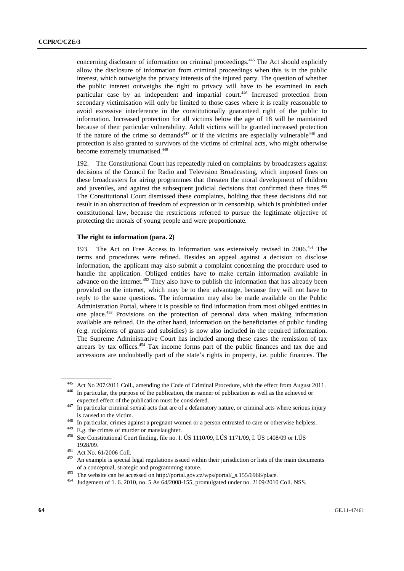concerning disclosure of information on criminal proceedings.<sup>445</sup> The Act should explicitly allow the disclosure of information from criminal proceedings when this is in the public interest, which outweighs the privacy interests of the injured party. The question of whether the public interest outweighs the right to privacy will have to be examined in each particular case by an independent and impartial court.<sup>446</sup> Increased protection from secondary victimisation will only be limited to those cases where it is really reasonable to avoid excessive interference in the constitutionally guaranteed right of the public to information. Increased protection for all victims below the age of 18 will be maintained because of their particular vulnerability. Adult victims will be granted increased protection if the nature of the crime so demands<sup>447</sup> or if the victims are especially vulnerable<sup>448</sup> and protection is also granted to survivors of the victims of criminal acts, who might otherwise become extremely traumatised.<sup>449</sup>

192. The Constitutional Court has repeatedly ruled on complaints by broadcasters against decisions of the Council for Radio and Television Broadcasting, which imposed fines on these broadcasters for airing programmes that threaten the moral development of children and juveniles, and against the subsequent judicial decisions that confirmed these fines.<sup>450</sup> The Constitutional Court dismissed these complaints, holding that these decisions did not result in an obstruction of freedom of expression or in censorship, which is prohibited under constitutional law, because the restrictions referred to pursue the legitimate objective of protecting the morals of young people and were proportionate.

### **The right to information (para. 2)**

193. The Act on Free Access to Information was extensively revised in 2006.<sup>451</sup> The terms and procedures were refined. Besides an appeal against a decision to disclose information, the applicant may also submit a complaint concerning the procedure used to handle the application. Obliged entities have to make certain information available in advance on the internet.<sup>452</sup> They also have to publish the information that has already been provided on the internet, which may be to their advantage, because they will not have to reply to the same questions. The information may also be made available on the Public Administration Portal, where it is possible to find information from most obliged entities in one place.453 Provisions on the protection of personal data when making information available are refined. On the other hand, information on the beneficiaries of public funding (e.g. recipients of grants and subsidies) is now also included in the required information. The Supreme Administrative Court has included among these cases the remission of tax arrears by tax offices.<sup>454</sup> Tax income forms part of the public finances and tax due and accessions are undoubtedly part of the state's rights in property, i.e. public finances. The

<sup>&</sup>lt;sup>445</sup> Act No 207/2011 Coll., amending the Code of Criminal Procedure, with the effect from August 2011.<br><sup>446</sup> In particular, the purpose of the publication, the manner of publication as well as the achieved or

expected effect of the publication must be considered.<br><sup>447</sup> In particular criminal sexual acts that are of a defamatory nature, or criminal acts where serious injury

is caused to the victim.<br>
<sup>448</sup> In particular, crimes against a pregnant women or a person entrusted to care or otherwise helpless.<br>
<sup>449</sup> E.g. the crimes of murder or manslaughter.<br>
<sup>450</sup> See Constitutional Court finding

<sup>1928/09.&</sup>lt;br><sup>451</sup> Act No. 61/2006 Coll.<br><sup>452</sup> An example is special legal regulations issued within their jurisdiction or lists of the main documents

of a conceptual, strategic and programming nature.<br>
<sup>453</sup> The website can be accessed on http://portal.gov.cz/wps/portal/\_s.155/6966/place.<br>
<sup>454</sup> Judgement of 1. 6. 2010, no. 5 As 64/2008-155, promulgated under no. 2109/2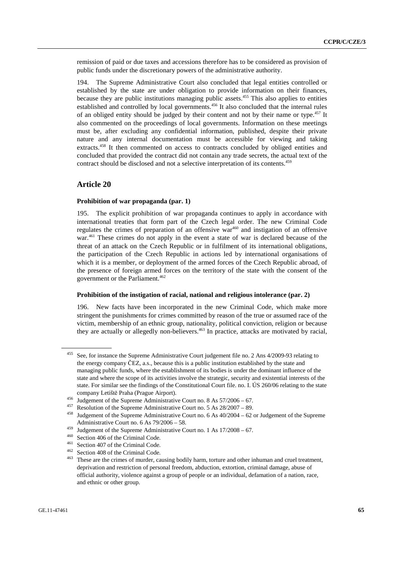remission of paid or due taxes and accessions therefore has to be considered as provision of public funds under the discretionary powers of the administrative authority.

194. The Supreme Administrative Court also concluded that legal entities controlled or established by the state are under obligation to provide information on their finances, because they are public institutions managing public assets.<sup>455</sup> This also applies to entities established and controlled by local governments.<sup>456</sup> It also concluded that the internal rules of an obliged entity should be judged by their content and not by their name or type.<sup>457</sup> It also commented on the proceedings of local governments. Information on these meetings must be, after excluding any confidential information, published, despite their private nature and any internal documentation must be accessible for viewing and taking extracts.<sup>458</sup> It then commented on access to contracts concluded by obliged entities and concluded that provided the contract did not contain any trade secrets, the actual text of the contract should be disclosed and not a selective interpretation of its contents.<sup>459</sup>

## **Article 20**

#### **Prohibition of war propaganda (par. 1)**

195. The explicit prohibition of war propaganda continues to apply in accordance with international treaties that form part of the Czech legal order. The new Criminal Code regulates the crimes of preparation of an offensive war<sup>460</sup> and instigation of an offensive war.<sup>461</sup> These crimes do not apply in the event a state of war is declared because of the threat of an attack on the Czech Republic or in fulfilment of its international obligations, the participation of the Czech Republic in actions led by international organisations of which it is a member, or deployment of the armed forces of the Czech Republic abroad, of the presence of foreign armed forces on the territory of the state with the consent of the government or the Parliament.<sup>462</sup>

### **Prohibition of the instigation of racial, national and religious intolerance (par. 2)**

196. New facts have been incorporated in the new Criminal Code, which make more stringent the punishments for crimes committed by reason of the true or assumed race of the victim, membership of an ethnic group, nationality, political conviction, religion or because they are actually or allegedly non-believers.463 In practice, attacks are motivated by racial,

<sup>455</sup> See, for instance the Supreme Administrative Court judgement file no. 2 Ans 4/2009-93 relating to the energy company ČEZ, a.s., because this is a public institution established by the state and managing public funds, where the establishment of its bodies is under the dominant influence of the state and where the scope of its activities involve the strategic, security and existential interests of the state. For similar see the findings of the Constitutional Court file. no. I. ÚS 260/06 relating to the state company Letiště Praha (Prague Airport).<br>
<sup>456</sup> Judgement of the Supreme Administrative Court no. 8 As 57/2006 – 67.<br>
<sup>457</sup> Resolution of the Supreme Administrative Court no. 5 As 28/2007 – 89.<br>
<sup>458</sup> Judgement of the Supr

Administrative Court no. 6 As  $79/2006 - 58$ .<br>
<sup>459</sup> Judgement of the Supreme Administrative Court no. 1 As  $17/2008 - 67$ .<br>
<sup>460</sup> Section 406 of the Criminal Code.<br>
<sup>461</sup> Section 407 of the Criminal Code.<br>
<sup>462</sup> Section 40 deprivation and restriction of personal freedom, abduction, extortion, criminal damage, abuse of official authority, violence against a group of people or an individual, defamation of a nation, race, and ethnic or other group.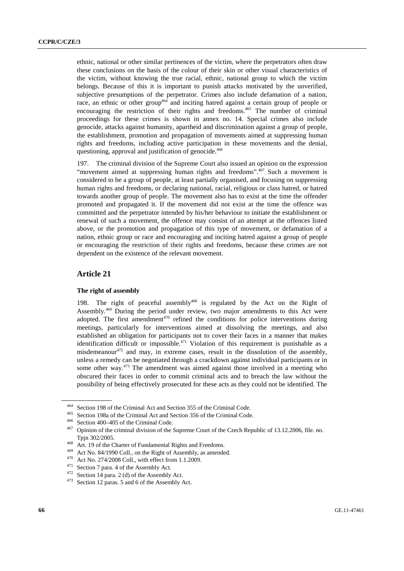ethnic, national or other similar pertinences of the victim, where the perpetrators often draw these conclusions on the basis of the colour of their skin or other visual characteristics of the victim, without knowing the true racial, ethnic, national group to which the victim belongs. Because of this it is important to punish attacks motivated by the unverified, subjective presumptions of the perpetrator. Crimes also include defamation of a nation, race, an ethnic or other group<sup>464</sup> and inciting hatred against a certain group of people or encouraging the restriction of their rights and freedoms.<sup>465</sup> The number of criminal proceedings for these crimes is shown in annex no. 14. Special crimes also include genocide, attacks against humanity, apartheid and discrimination against a group of people, the establishment, promotion and propagation of movements aimed at suppressing human rights and freedoms, including active participation in these movements and the denial, questioning, approval and justification of genocide.<sup>466</sup>

197. The criminal division of the Supreme Court also issued an opinion on the expression "movement aimed at suppressing human rights and freedoms".<sup>467</sup> Such a movement is considered to be a group of people, at least partially organised, and focusing on suppressing human rights and freedoms, or declaring national, racial, religious or class hatred, or hatred towards another group of people. The movement also has to exist at the time the offender promoted and propagated it. If the movement did not exist at the time the offence was committed and the perpetrator intended by his/her behaviour to initiate the establishment or renewal of such a movement, the offence may consist of an attempt at the offences listed above, or the promotion and propagation of this type of movement, or defamation of a nation, ethnic group or race and encouraging and inciting hatred against a group of people or encouraging the restriction of their rights and freedoms, because these crimes are not dependent on the existence of the relevant movement.

## **Article 21**

### **The right of assembly**

198. The right of peaceful assembly<sup>468</sup> is regulated by the Act on the Right of Assembly.469 During the period under review, two major amendments to this Act were adopted. The first amendment<sup> $470$ </sup> refined the conditions for police interventions during meetings, particularly for interventions aimed at dissolving the meetings, and also established an obligation for participants not to cover their faces in a manner that makes identification difficult or impossible.<sup>471</sup> Violation of this requirement is punishable as a misdemeanour<sup>472</sup> and may, in extreme cases, result in the dissolution of the assembly, unless a remedy can be negotiated through a crackdown against individual participants or in some other way.<sup>473</sup> The amendment was aimed against those involved in a meeting who obscured their faces in order to commit criminal acts and to breach the law without the possibility of being effectively prosecuted for these acts as they could not be identified. The

<sup>&</sup>lt;sup>464</sup> Section 198 of the Criminal Act and Section 355 of the Criminal Code.<br><sup>465</sup> Section 198a of the Criminal Act and Section 356 of the Criminal Code.<br><sup>466</sup> Section 400–405 of the Criminal Code.<br><sup>467</sup> Opinion of the cri Tpjn 302/2005.<br>
<sup>468</sup> Art. 19 of the Charter of Fundamental Rights and Freedoms.<br>
<sup>469</sup> Act No. 84/1990 Coll., on the Right of Assembly, as amended.<br>
<sup>470</sup> Act No. 274/2008 Coll., with effect from 1.1.2009.<br>
<sup>471</sup> Section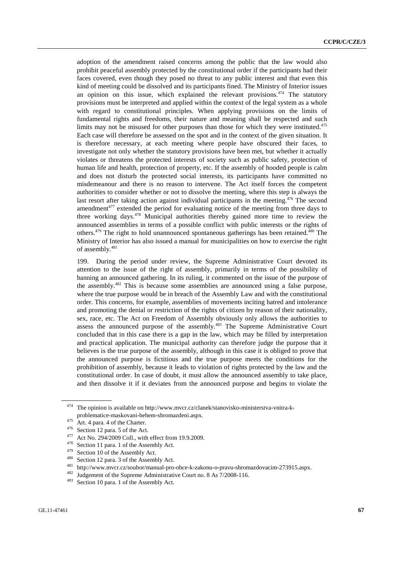adoption of the amendment raised concerns among the public that the law would also prohibit peaceful assembly protected by the constitutional order if the participants had their faces covered, even though they posed no threat to any public interest and that even this kind of meeting could be dissolved and its participants fined. The Ministry of Interior issues an opinion on this issue, which explained the relevant provisions.  $474$  The statutory provisions must be interpreted and applied within the context of the legal system as a whole with regard to constitutional principles. When applying provisions on the limits of fundamental rights and freedoms, their nature and meaning shall be respected and such limits may not be misused for other purposes than those for which they were instituted.<sup>475</sup> Each case will therefore be assessed on the spot and in the context of the given situation. It is therefore necessary, at each meeting where people have obscured their faces, to investigate not only whether the statutory provisions have been met, but whether it actually violates or threatens the protected interests of society such as public safety, protection of human life and health, protection of property, etc. If the assembly of hooded people is calm and does not disturb the protected social interests, its participants have committed no misdemeanour and there is no reason to intervene. The Act itself forces the competent authorities to consider whether or not to dissolve the meeting, where this step is always the last resort after taking action against individual participants in the meeting.<sup>476</sup> The second amendment $477$  extended the period for evaluating notice of the meeting from three days to three working days.478 Municipal authorities thereby gained more time to review the announced assemblies in terms of a possible conflict with public interests or the rights of others. $479$  The right to hold unannounced spontaneous gatherings has been retained. $480$  The Ministry of Interior has also issued a manual for municipalities on how to exercise the right of assembly.<sup>481</sup>

199. During the period under review, the Supreme Administrative Court devoted its attention to the issue of the right of assembly, primarily in terms of the possibility of banning an announced gathering. In its ruling, it commented on the issue of the purpose of the assembly.482 This is because some assemblies are announced using a false purpose, where the true purpose would be in breach of the Assembly Law and with the constitutional order. This concerns, for example, assemblies of movements inciting hatred and intolerance and promoting the denial or restriction of the rights of citizen by reason of their nationality, sex, race, etc. The Act on Freedom of Assembly obviously only allows the authorities to assess the announced purpose of the assembly.<sup>483</sup> The Supreme Administrative Court concluded that in this case there is a gap in the law, which may be filled by interpretation and practical application. The municipal authority can therefore judge the purpose that it believes is the true purpose of the assembly, although in this case it is obliged to prove that the announced purpose is fictitious and the true purpose meets the conditions for the prohibition of assembly, because it leads to violation of rights protected by the law and the constitutional order. In case of doubt, it must allow the announced assembly to take place, and then dissolve it if it deviates from the announced purpose and begins to violate the

<sup>474</sup> The opinion is available on http://www.mvcr.cz/clanek/stanovisko-ministerstva-vnitra-k-

problematice-maskovani-behem-shromazdeni.aspx.<br>
<sup>475</sup> Art. 4 para. 4 of the Charter.<br>
<sup>476</sup> Section 12 para. 5 of the Act.<br>
<sup>476</sup> Section 12 para. 5 of the Act.<br>
<sup>477</sup> Act No. 294/2009 Coll., with effect from 19.9.2009.<br>
<sup></sup>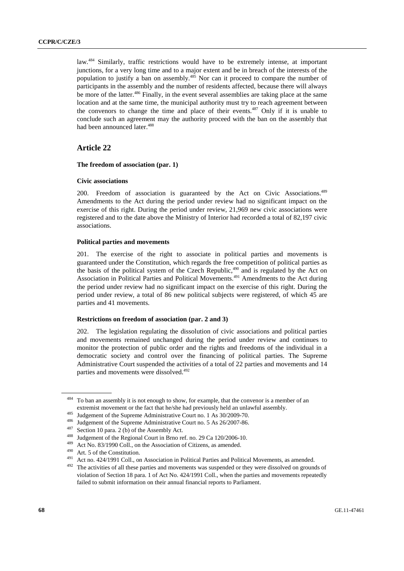law.<sup>484</sup> Similarly, traffic restrictions would have to be extremely intense, at important junctions, for a very long time and to a major extent and be in breach of the interests of the population to justify a ban on assembly.<sup>485</sup> Nor can it proceed to compare the number of participants in the assembly and the number of residents affected, because there will always be more of the latter.<sup>486</sup> Finally, in the event several assemblies are taking place at the same location and at the same time, the municipal authority must try to reach agreement between the convenors to change the time and place of their events.<sup>487</sup> Only if it is unable to conclude such an agreement may the authority proceed with the ban on the assembly that had been announced later.<sup>488</sup>

# **Article 22**

## **The freedom of association (par. 1)**

#### **Civic associations**

200. Freedom of association is guaranteed by the Act on Civic Associations.<sup>489</sup> Amendments to the Act during the period under review had no significant impact on the exercise of this right. During the period under review, 21,969 new civic associations were registered and to the date above the Ministry of Interior had recorded a total of 82,197 civic associations.

## **Political parties and movements**

201. The exercise of the right to associate in political parties and movements is guaranteed under the Constitution, which regards the free competition of political parties as the basis of the political system of the Czech Republic, $490$  and is regulated by the Act on Association in Political Parties and Political Movements.491 Amendments to the Act during the period under review had no significant impact on the exercise of this right. During the period under review, a total of 86 new political subjects were registered, of which 45 are parties and 41 movements.

#### **Restrictions on freedom of association (par. 2 and 3)**

202. The legislation regulating the dissolution of civic associations and political parties and movements remained unchanged during the period under review and continues to monitor the protection of public order and the rights and freedoms of the individual in a democratic society and control over the financing of political parties. The Supreme Administrative Court suspended the activities of a total of 22 parties and movements and 14 parties and movements were dissolved.<sup>492</sup>

<sup>484</sup> To ban an assembly it is not enough to show, for example, that the convenor is a member of an

extremist movement or the fact that he/she had previously held an unlawful assembly.<br>
<sup>485</sup> Judgement of the Supreme Administrative Court no. 1 As 30/2009-70.<br>
<sup>486</sup> Judgement of the Supreme Administrative Court no. 5 As 2 violation of Section 18 para. 1 of Act No. 424/1991 Coll., when the parties and movements repeatedly failed to submit information on their annual financial reports to Parliament.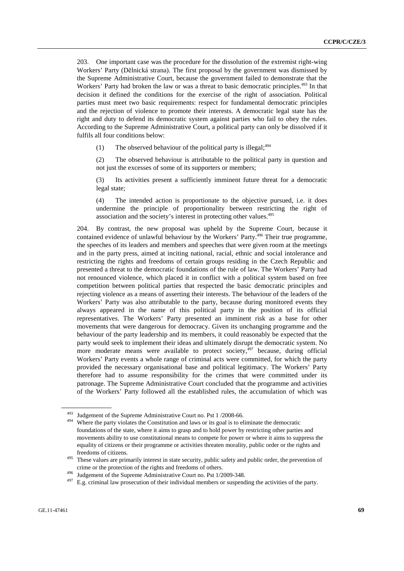203. One important case was the procedure for the dissolution of the extremist right-wing Workers' Party (Dělnická strana). The first proposal by the government was dismissed by the Supreme Administrative Court, because the government failed to demonstrate that the Workers' Party had broken the law or was a threat to basic democratic principles.<sup>493</sup> In that decision it defined the conditions for the exercise of the right of association. Political parties must meet two basic requirements: respect for fundamental democratic principles and the rejection of violence to promote their interests. A democratic legal state has the right and duty to defend its democratic system against parties who fail to obey the rules. According to the Supreme Administrative Court, a political party can only be dissolved if it fulfils all four conditions below:

(1) The observed behaviour of the political party is illegal;  $494$ 

(2) The observed behaviour is attributable to the political party in question and not just the excesses of some of its supporters or members;

(3) Its activities present a sufficiently imminent future threat for a democratic legal state;

(4) The intended action is proportionate to the objective pursued, i.e. it does undermine the principle of proportionality between restricting the right of association and the society's interest in protecting other values.495

204. By contrast, the new proposal was upheld by the Supreme Court, because it contained evidence of unlawful behaviour by the Workers' Party.<sup>496</sup> Their true programme, the speeches of its leaders and members and speeches that were given room at the meetings and in the party press, aimed at inciting national, racial, ethnic and social intolerance and restricting the rights and freedoms of certain groups residing in the Czech Republic and presented a threat to the democratic foundations of the rule of law. The Workers' Party had not renounced violence, which placed it in conflict with a political system based on free competition between political parties that respected the basic democratic principles and rejecting violence as a means of asserting their interests. The behaviour of the leaders of the Workers' Party was also attributable to the party, because during monitored events they always appeared in the name of this political party in the position of its official representatives. The Workers' Party presented an imminent risk as a base for other movements that were dangerous for democracy. Given its unchanging programme and the behaviour of the party leadership and its members, it could reasonably be expected that the party would seek to implement their ideas and ultimately disrupt the democratic system. No more moderate means were available to protect society,<sup>497</sup> because, during official Workers' Party events a whole range of criminal acts were committed, for which the party provided the necessary organisational base and political legitimacy. The Workers' Party therefore had to assume responsibility for the crimes that were committed under its patronage. The Supreme Administrative Court concluded that the programme and activities of the Workers' Party followed all the established rules, the accumulation of which was

<sup>&</sup>lt;sup>493</sup> Judgement of the Supreme Administrative Court no. Pst 1  $/2008-66$ .<br><sup>494</sup> Where the party violates the Constitution and laws or its goal is to eliminate the democratic foundations of the state, where it aims to grasp and to hold power by restricting other parties and movements ability to use constitutional means to compete for power or where it aims to suppress the equality of citizens or their programme or activities threaten morality, public order or the rights and freedoms of citizens. 495 These values are primarily interest in state security, public safety and public order, the prevention of

crime or the protection of the rights and freedoms of others.<br><sup>496</sup> Judgement of the Supreme Administrative Court no. Pst  $1/2009-348$ .<br><sup>497</sup> E.g. criminal law prosecution of their individual members or suspending the act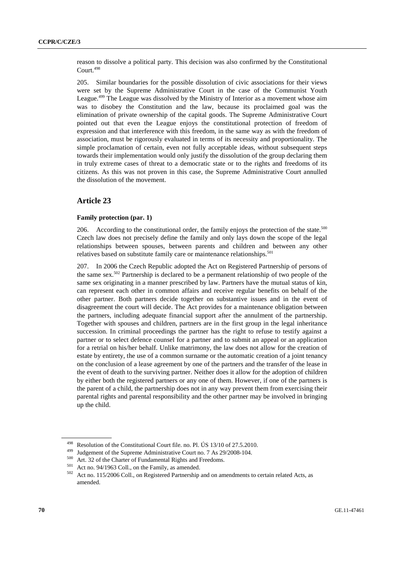reason to dissolve a political party. This decision was also confirmed by the Constitutional Court.<sup>498</sup>

205. Similar boundaries for the possible dissolution of civic associations for their views were set by the Supreme Administrative Court in the case of the Communist Youth League.<sup>499</sup> The League was dissolved by the Ministry of Interior as a movement whose aim was to disobey the Constitution and the law, because its proclaimed goal was the elimination of private ownership of the capital goods. The Supreme Administrative Court pointed out that even the League enjoys the constitutional protection of freedom of expression and that interference with this freedom, in the same way as with the freedom of association, must be rigorously evaluated in terms of its necessity and proportionality. The simple proclamation of certain, even not fully acceptable ideas, without subsequent steps towards their implementation would only justify the dissolution of the group declaring them in truly extreme cases of threat to a democratic state or to the rights and freedoms of its citizens. As this was not proven in this case, the Supreme Administrative Court annulled the dissolution of the movement.

# **Article 23**

### **Family protection (par. 1)**

206. According to the constitutional order, the family enjoys the protection of the state. $500$ Czech law does not precisely define the family and only lays down the scope of the legal relationships between spouses, between parents and children and between any other relatives based on substitute family care or maintenance relationships.<sup>501</sup>

207. In 2006 the Czech Republic adopted the Act on Registered Partnership of persons of the same sex.<sup>502</sup> Partnership is declared to be a permanent relationship of two people of the same sex originating in a manner prescribed by law. Partners have the mutual status of kin, can represent each other in common affairs and receive regular benefits on behalf of the other partner. Both partners decide together on substantive issues and in the event of disagreement the court will decide. The Act provides for a maintenance obligation between the partners, including adequate financial support after the annulment of the partnership. Together with spouses and children, partners are in the first group in the legal inheritance succession. In criminal proceedings the partner has the right to refuse to testify against a partner or to select defence counsel for a partner and to submit an appeal or an application for a retrial on his/her behalf. Unlike matrimony, the law does not allow for the creation of estate by entirety, the use of a common surname or the automatic creation of a joint tenancy on the conclusion of a lease agreement by one of the partners and the transfer of the lease in the event of death to the surviving partner. Neither does it allow for the adoption of children by either both the registered partners or any one of them. However, if one of the partners is the parent of a child, the partnership does not in any way prevent them from exercising their parental rights and parental responsibility and the other partner may be involved in bringing up the child.

<sup>&</sup>lt;sup>498</sup> Resolution of the Constitutional Court file. no. Pl. US 13/10 of 27.5.2010.<br><sup>499</sup> Judgement of the Supreme Administrative Court no. 7 As 29/2008-104.<br><sup>500</sup> Art. 32 of the Charter of Fundamental Rights and Freedoms.<br> amended.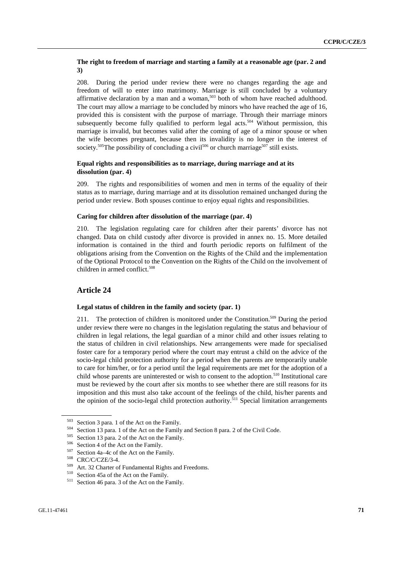## **The right to freedom of marriage and starting a family at a reasonable age (par. 2 and 3)**

208. During the period under review there were no changes regarding the age and freedom of will to enter into matrimony. Marriage is still concluded by a voluntary affirmative declaration by a man and a woman, $503$  both of whom have reached adulthood. The court may allow a marriage to be concluded by minors who have reached the age of 16, provided this is consistent with the purpose of marriage. Through their marriage minors subsequently become fully qualified to perform legal acts.<sup>504</sup> Without permission, this marriage is invalid, but becomes valid after the coming of age of a minor spouse or when the wife becomes pregnant, because then its invalidity is no longer in the interest of society.<sup>505</sup>The possibility of concluding a civil<sup>506</sup> or church marriage<sup>507</sup> still exists.

## **Equal rights and responsibilities as to marriage, during marriage and at its dissolution (par. 4)**

209. The rights and responsibilities of women and men in terms of the equality of their status as to marriage, during marriage and at its dissolution remained unchanged during the period under review. Both spouses continue to enjoy equal rights and responsibilities.

#### **Caring for children after dissolution of the marriage (par. 4)**

210. The legislation regulating care for children after their parents' divorce has not changed. Data on child custody after divorce is provided in annex no. 15. More detailed information is contained in the third and fourth periodic reports on fulfilment of the obligations arising from the Convention on the Rights of the Child and the implementation of the Optional Protocol to the Convention on the Rights of the Child on the involvement of children in armed conflict.<sup>508</sup>

# **Article 24**

## **Legal status of children in the family and society (par. 1)**

211. The protection of children is monitored under the Constitution.<sup>509</sup> During the period under review there were no changes in the legislation regulating the status and behaviour of children in legal relations, the legal guardian of a minor child and other issues relating to the status of children in civil relationships. New arrangements were made for specialised foster care for a temporary period where the court may entrust a child on the advice of the socio-legal child protection authority for a period when the parents are temporarily unable to care for him/her, or for a period until the legal requirements are met for the adoption of a child whose parents are uninterested or wish to consent to the adoption.<sup>510</sup> Institutional care must be reviewed by the court after six months to see whether there are still reasons for its imposition and this must also take account of the feelings of the child, his/her parents and the opinion of the socio-legal child protection authority.<sup>511</sup> Special limitation arrangements

<sup>&</sup>lt;sup>503</sup> Section 3 para. 1 of the Act on the Family.<br><sup>504</sup> Section 13 para. 1 of the Act on the Family and Section 8 para. 2 of the Civil Code.<br><sup>505</sup> Section 13 para. 2 of the Act on the Family.<br><sup>505</sup> Section 4 of the Act on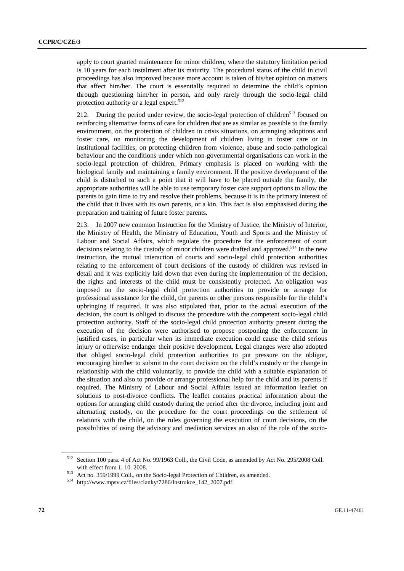apply to court granted maintenance for minor children, where the statutory limitation period is 10 years for each instalment after its maturity. The procedural status of the child in civil proceedings has also improved because more account is taken of his/her opinion on matters that affect him/her. The court is essentially required to determine the child's opinion through questioning him/her in person, and only rarely through the socio-legal child protection authority or a legal expert.<sup>512</sup>

212. During the period under review, the socio-legal protection of children<sup>513</sup> focused on reinforcing alternative forms of care for children that are as similar as possible to the family environment, on the protection of children in crisis situations, on arranging adoptions and foster care, on monitoring the development of children living in foster care or in institutional facilities, on protecting children from violence, abuse and socio-pathological behaviour and the conditions under which non-governmental organisations can work in the socio-legal protection of children. Primary emphasis is placed on working with the biological family and maintaining a family environment. If the positive development of the child is disturbed to such a point that it will have to be placed outside the family, the appropriate authorities will be able to use temporary foster care support options to allow the parents to gain time to try and resolve their problems, because it is in the primary interest of the child that it lives with its own parents, or a kin. This fact is also emphasised during the preparation and training of future foster parents.

213. In 2007 new common Instruction for the Ministry of Justice, the Ministry of Interior, the Ministry of Health, the Ministry of Education, Youth and Sports and the Ministry of Labour and Social Affairs, which regulate the procedure for the enforcement of court decisions relating to the custody of minor children were drafted and approved.<sup>514</sup> In the new instruction, the mutual interaction of courts and socio-legal child protection authorities relating to the enforcement of court decisions of the custody of children was revised in detail and it was explicitly laid down that even during the implementation of the decision, the rights and interests of the child must be consistently protected. An obligation was imposed on the socio-legal child protection authorities to provide or arrange for professional assistance for the child, the parents or other persons responsible for the child's upbringing if required. It was also stipulated that, prior to the actual execution of the decision, the court is obliged to discuss the procedure with the competent socio-legal child protection authority. Staff of the socio-legal child protection authority present during the execution of the decision were authorised to propose postponing the enforcement in justified cases, in particular when its immediate execution could cause the child serious injury or otherwise endanger their positive development. Legal changes were also adopted that obliged socio-legal child protection authorities to put pressure on the obligor, encouraging him/her to submit to the court decision on the child's custody or the change in relationship with the child voluntarily, to provide the child with a suitable explanation of the situation and also to provide or arrange professional help for the child and its parents if required. The Ministry of Labour and Social Affairs issued an information leaflet on solutions to post-divorce conflicts. The leaflet contains practical information about the options for arranging child custody during the period after the divorce, including joint and alternating custody, on the procedure for the court proceedings on the settlement of relations with the child, on the rules governing the execution of court decisions, on the possibilities of using the advisory and mediation services an also of the role of the socio-

<sup>512</sup> Section 100 para. 4 of Act No. 99/1963 Coll., the Civil Code, as amended by Act No. 295/2008 Coll. with effect from 1. 10. 2008.<br>
513 Act no. 359/1999 Coll., on the Socio-legal Protection of Children, as amended.<br>
<sup>514</sup> http://www.mpsv.cz/files/clanky/7286/Instrukce\_142\_2007.pdf.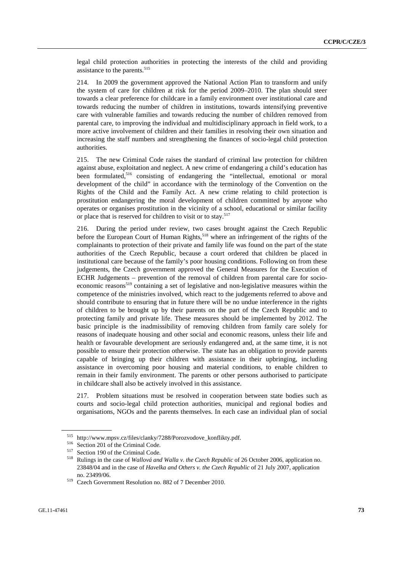legal child protection authorities in protecting the interests of the child and providing assistance to the parents.<sup>515</sup>

214. In 2009 the government approved the National Action Plan to transform and unify the system of care for children at risk for the period 2009–2010. The plan should steer towards a clear preference for childcare in a family environment over institutional care and towards reducing the number of children in institutions, towards intensifying preventive care with vulnerable families and towards reducing the number of children removed from parental care, to improving the individual and multidisciplinary approach in field work, to a more active involvement of children and their families in resolving their own situation and increasing the staff numbers and strengthening the finances of socio-legal child protection authorities.

215. The new Criminal Code raises the standard of criminal law protection for children against abuse, exploitation and neglect. A new crime of endangering a child's education has been formulated,<sup>516</sup> consisting of endangering the "intellectual, emotional or moral development of the child" in accordance with the terminology of the Convention on the Rights of the Child and the Family Act. A new crime relating to child protection is prostitution endangering the moral development of children committed by anyone who operates or organises prostitution in the vicinity of a school, educational or similar facility or place that is reserved for children to visit or to stay.<sup>517</sup>

216. During the period under review, two cases brought against the Czech Republic before the European Court of Human Rights,<sup>518</sup> where an infringement of the rights of the complainants to protection of their private and family life was found on the part of the state authorities of the Czech Republic, because a court ordered that children be placed in institutional care because of the family's poor housing conditions. Following on from these judgements, the Czech government approved the General Measures for the Execution of ECHR Judgements – prevention of the removal of children from parental care for socioeconomic reasons<sup>519</sup> containing a set of legislative and non-legislative measures within the competence of the ministries involved, which react to the judgements referred to above and should contribute to ensuring that in future there will be no undue interference in the rights of children to be brought up by their parents on the part of the Czech Republic and to protecting family and private life. These measures should be implemented by 2012. The basic principle is the inadmissibility of removing children from family care solely for reasons of inadequate housing and other social and economic reasons, unless their life and health or favourable development are seriously endangered and, at the same time, it is not possible to ensure their protection otherwise. The state has an obligation to provide parents capable of bringing up their children with assistance in their upbringing, including assistance in overcoming poor housing and material conditions, to enable children to remain in their family environment. The parents or other persons authorised to participate in childcare shall also be actively involved in this assistance.

217. Problem situations must be resolved in cooperation between state bodies such as courts and socio-legal child protection authorities, municipal and regional bodies and organisations, NGOs and the parents themselves. In each case an individual plan of social

<sup>&</sup>lt;sup>515</sup> http://www.mpsv.cz/files/clanky/7288/Porozvodove\_konflikty.pdf.<br>
<sup>516</sup> Section 201 of the Criminal Code.<br>
<sup>517</sup> Section 190 of the Criminal Code.<br>
<sup>518</sup> Rulings in the case of *Wallová and Walla v. the Czech Republi* 23848/04 and in the case of *Havelka and Others v. the Czech Republic* of 21 July 2007, application no. 23499/06. 519 Czech Government Resolution no. 882 of 7 December 2010.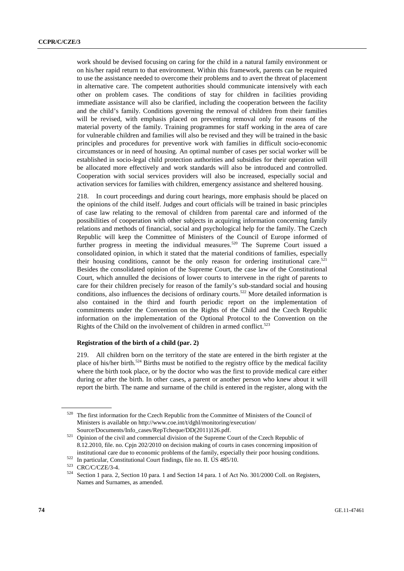work should be devised focusing on caring for the child in a natural family environment or on his/her rapid return to that environment. Within this framework, parents can be required to use the assistance needed to overcome their problems and to avert the threat of placement in alternative care. The competent authorities should communicate intensively with each other on problem cases. The conditions of stay for children in facilities providing immediate assistance will also be clarified, including the cooperation between the facility and the child's family. Conditions governing the removal of children from their families will be revised, with emphasis placed on preventing removal only for reasons of the material poverty of the family. Training programmes for staff working in the area of care for vulnerable children and families will also be revised and they will be trained in the basic principles and procedures for preventive work with families in difficult socio-economic circumstances or in need of housing. An optimal number of cases per social worker will be established in socio-legal child protection authorities and subsidies for their operation will be allocated more effectively and work standards will also be introduced and controlled. Cooperation with social services providers will also be increased, especially social and activation services for families with children, emergency assistance and sheltered housing.

218. In court proceedings and during court hearings, more emphasis should be placed on the opinions of the child itself. Judges and court officials will be trained in basic principles of case law relating to the removal of children from parental care and informed of the possibilities of cooperation with other subjects in acquiring information concerning family relations and methods of financial, social and psychological help for the family. The Czech Republic will keep the Committee of Ministers of the Council of Europe informed of further progress in meeting the individual measures.<sup>520</sup> The Supreme Court issued a consolidated opinion, in which it stated that the material conditions of families, especially their housing conditions, cannot be the only reason for ordering institutional care.<sup>521</sup> Besides the consolidated opinion of the Supreme Court, the case law of the Constitutional Court, which annulled the decisions of lower courts to intervene in the right of parents to care for their children precisely for reason of the family's sub-standard social and housing conditions, also influences the decisions of ordinary courts.<sup>522</sup> More detailed information is also contained in the third and fourth periodic report on the implementation of commitments under the Convention on the Rights of the Child and the Czech Republic information on the implementation of the Optional Protocol to the Convention on the Rights of the Child on the involvement of children in armed conflict. $523$ 

#### **Registration of the birth of a child (par. 2)**

219. All children born on the territory of the state are entered in the birth register at the place of his/her birth.<sup>524</sup> Births must be notified to the registry office by the medical facility where the birth took place, or by the doctor who was the first to provide medical care either during or after the birth. In other cases, a parent or another person who knew about it will report the birth. The name and surname of the child is entered in the register, along with the

<sup>520</sup> The first information for the Czech Republic from the Committee of Ministers of the Council of Ministers is available on http://www.coe.int/t/dghl/monitoring/execution/

Source/Documents/Info\_cases/RepTcheque/DD(2011)126.pdf. 521 Opinion of the civil and commercial division of the Supreme Court of the Czech Republic of 8.12.2010, file. no. Cpjn 202/2010 on decision making of courts in cases concerning imposition of

institutional care due to economic problems of the family, especially their poor housing conditions.<br>
<sup>522</sup> In particular, Constitutional Court findings, file no. II. ÚS 485/10.<br>
<sup>523</sup> CRC/C/CZE/3-4.<br>
<sup>524</sup> Section 1 para. Names and Surnames, as amended.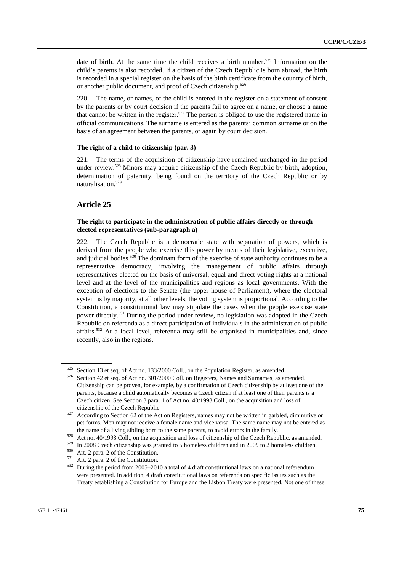date of birth. At the same time the child receives a birth number.<sup>525</sup> Information on the child's parents is also recorded. If a citizen of the Czech Republic is born abroad, the birth is recorded in a special register on the basis of the birth certificate from the country of birth, or another public document, and proof of Czech citizenship.<sup>526</sup>

220. The name, or names, of the child is entered in the register on a statement of consent by the parents or by court decision if the parents fail to agree on a name, or choose a name that cannot be written in the register.527 The person is obliged to use the registered name in official communications. The surname is entered as the parents' common surname or on the basis of an agreement between the parents, or again by court decision.

### **The right of a child to citizenship (par. 3)**

221. The terms of the acquisition of citizenship have remained unchanged in the period under review.<sup>528</sup> Minors may acquire citizenship of the Czech Republic by birth, adoption, determination of paternity, being found on the territory of the Czech Republic or by naturalisation.529

# **Article 25**

## **The right to participate in the administration of public affairs directly or through elected representatives (sub-paragraph a)**

222. The Czech Republic is a democratic state with separation of powers, which is derived from the people who exercise this power by means of their legislative, executive, and judicial bodies.<sup>530</sup> The dominant form of the exercise of state authority continues to be a representative democracy, involving the management of public affairs through representatives elected on the basis of universal, equal and direct voting rights at a national level and at the level of the municipalities and regions as local governments. With the exception of elections to the Senate (the upper house of Parliament), where the electoral system is by majority, at all other levels, the voting system is proportional. According to the Constitution, a constitutional law may stipulate the cases when the people exercise state power directly.531 During the period under review, no legislation was adopted in the Czech Republic on referenda as a direct participation of individuals in the administration of public affairs.<sup>532</sup> At a local level, referenda may still be organised in municipalities and, since recently, also in the regions.

<sup>525</sup> Section 13 et seq. of Act no. 133/2000 Coll., on the Population Register, as amended.<br>526 Section 42 et seq. of Act no. 301/2000 Coll. on Registers, Names and Surnames, as amended. Citizenship can be proven, for example, by a confirmation of Czech citizenship by at least one of the parents, because a child automatically becomes a Czech citizen if at least one of their parents is a Czech citizen. See Section 3 para. 1 of Act no. 40/1993 Coll., on the acquisition and loss of

EULTERSHIP OF the CZECH REPUBLIC.  $527$  According to Section 62 of the Act on Registers, names may not be written in garbled, diminutive or pet forms. Men may not receive a female name and vice versa. The same name may not be entered as

the name of a living sibling born to the same parents, to avoid errors in the family.<br>
<sup>528</sup> Act no. 40/1993 Coll., on the acquisition and loss of citizenship of the Czech Republic, as amended.<br>
<sup>529</sup> In 2008 Czech citizen were presented. In addition, 4 draft constitutional laws on referenda on specific issues such as the Treaty establishing a Constitution for Europe and the Lisbon Treaty were presented. Not one of these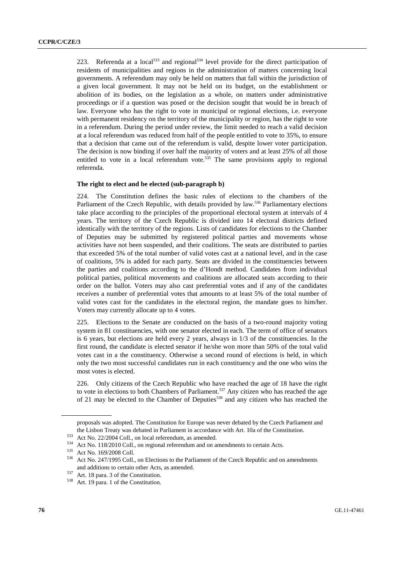223. Referenda at a local<sup>533</sup> and regional<sup>534</sup> level provide for the direct participation of residents of municipalities and regions in the administration of matters concerning local governments. A referendum may only be held on matters that fall within the jurisdiction of a given local government. It may not be held on its budget, on the establishment or abolition of its bodies, on the legislation as a whole, on matters under administrative proceedings or if a question was posed or the decision sought that would be in breach of law. Everyone who has the right to vote in municipal or regional elections, i.e. everyone with permanent residency on the territory of the municipality or region, has the right to vote in a referendum. During the period under review, the limit needed to reach a valid decision at a local referendum was reduced from half of the people entitled to vote to 35%, to ensure that a decision that came out of the referendum is valid, despite lower voter participation. The decision is now binding if over half the majority of voters and at least 25% of all those entitled to vote in a local referendum vote.<sup>535</sup> The same provisions apply to regional referenda.

#### **The right to elect and be elected (sub-paragraph b)**

224. The Constitution defines the basic rules of elections to the chambers of the Parliament of the Czech Republic, with details provided by law.<sup>536</sup> Parliamentary elections take place according to the principles of the proportional electoral system at intervals of 4 years. The territory of the Czech Republic is divided into 14 electoral districts defined identically with the territory of the regions. Lists of candidates for elections to the Chamber of Deputies may be submitted by registered political parties and movements whose activities have not been suspended, and their coalitions. The seats are distributed to parties that exceeded 5% of the total number of valid votes cast at a national level, and in the case of coalitions, 5% is added for each party. Seats are divided in the constituencies between the parties and coalitions according to the d'Hondt method. Candidates from individual political parties, political movements and coalitions are allocated seats according to their order on the ballot. Voters may also cast preferential votes and if any of the candidates receives a number of preferential votes that amounts to at least 5% of the total number of valid votes cast for the candidates in the electoral region, the mandate goes to him/her. Voters may currently allocate up to 4 votes.

225. Elections to the Senate are conducted on the basis of a two-round majority voting system in 81 constituencies, with one senator elected in each. The term of office of senators is 6 years, but elections are held every 2 years, always in  $1/3$  of the constituencies. In the first round, the candidate is elected senator if he/she won more than 50% of the total valid votes cast in a the constituency. Otherwise a second round of elections is held, in which only the two most successful candidates run in each constituency and the one who wins the most votes is elected.

226. Only citizens of the Czech Republic who have reached the age of 18 have the right to vote in elections to both Chambers of Parliament.<sup>537</sup> Any citizen who has reached the age of 21 may be elected to the Chamber of Deputies<sup>538</sup> and any citizen who has reached the

proposals was adopted. The Constitution for Europe was never debated by the Czech Parliament and the Lisbon Treaty was debated in Parliament in accordance with Art. 10a of the Constitution.<br>
<sup>533</sup> Act No. 22/2004 Coll., on local referendum, as amended.<br>
<sup>534</sup> Act No. 118/2010 Coll., on regional referendum and on amend

and additions to certain other Acts, as amended.<br><sup>537</sup> Art. 18 para. 3 of the Constitution.<br><sup>538</sup> Art. 19 para. 1 of the Constitution.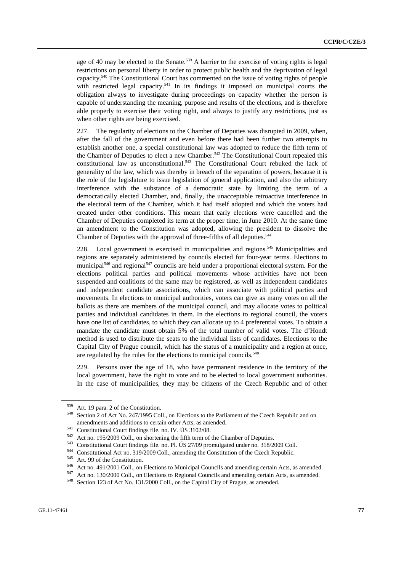age of 40 may be elected to the Senate.<sup>539</sup> A barrier to the exercise of voting rights is legal restrictions on personal liberty in order to protect public health and the deprivation of legal capacity.540 The Constitutional Court has commented on the issue of voting rights of people with restricted legal capacity.<sup>541</sup> In its findings it imposed on municipal courts the obligation always to investigate during proceedings on capacity whether the person is capable of understanding the meaning, purpose and results of the elections, and is therefore able properly to exercise their voting right, and always to justify any restrictions, just as when other rights are being exercised.

227. The regularity of elections to the Chamber of Deputies was disrupted in 2009, when, after the fall of the government and even before there had been further two attempts to establish another one, a special constitutional law was adopted to reduce the fifth term of the Chamber of Deputies to elect a new Chamber.<sup>542</sup> The Constitutional Court repealed this constitutional law as unconstitutional.543 The Constitutional Court rebuked the lack of generality of the law, which was thereby in breach of the separation of powers, because it is the role of the legislature to issue legislation of general application, and also the arbitrary interference with the substance of a democratic state by limiting the term of a democratically elected Chamber, and, finally, the unacceptable retroactive interference in the electoral term of the Chamber, which it had itself adopted and which the voters had created under other conditions. This meant that early elections were cancelled and the Chamber of Deputies completed its term at the proper time, in June 2010. At the same time an amendment to the Constitution was adopted, allowing the president to dissolve the Chamber of Deputies with the approval of three-fifths of all deputies.<sup>544</sup>

228. Local government is exercised in municipalities and regions.<sup>545</sup> Municipalities and regions are separately administered by councils elected for four-year terms. Elections to municipal<sup>546</sup> and regional<sup>547</sup> councils are held under a proportional electoral system. For the elections political parties and political movements whose activities have not been suspended and coalitions of the same may be registered, as well as independent candidates and independent candidate associations, which can associate with political parties and movements. In elections to municipal authorities, voters can give as many votes on all the ballots as there are members of the municipal council, and may allocate votes to political parties and individual candidates in them. In the elections to regional council, the voters have one list of candidates, to which they can allocate up to 4 preferential votes. To obtain a mandate the candidate must obtain 5% of the total number of valid votes. The d'Hondt method is used to distribute the seats to the individual lists of candidates. Elections to the Capital City of Prague council, which has the status of a municipality and a region at once, are regulated by the rules for the elections to municipal councils.<sup>548</sup>

229. Persons over the age of 18, who have permanent residence in the territory of the local government, have the right to vote and to be elected to local government authorities. In the case of municipalities, they may be citizens of the Czech Republic and of other

<sup>&</sup>lt;sup>539</sup> Art. 19 para. 2 of the Constitution.<br><sup>540</sup> Section 2 of Act No. 247/1995 Coll., on Elections to the Parliament of the Czech Republic and on

amendments and additions to certain other Acts, as amended.<br>
<sup>541</sup> Constitutional Court findings file. no. IV. US 3102/08.<br>
<sup>542</sup> Act no. 195/2009 Coll., on shortening the fifth term of the Chamber of Deputies.<br>
<sup>543</sup> Cons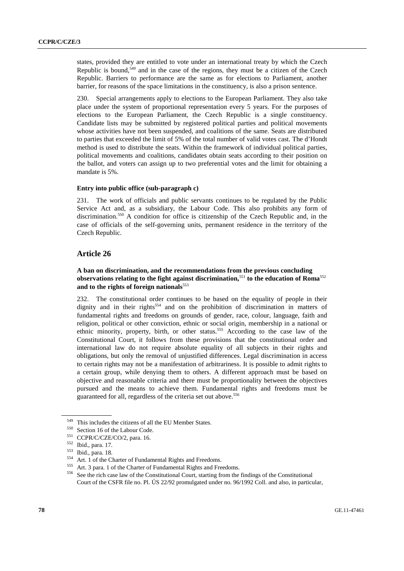states, provided they are entitled to vote under an international treaty by which the Czech Republic is bound,<sup>549</sup> and in the case of the regions, they must be a citizen of the Czech Republic. Barriers to performance are the same as for elections to Parliament, another barrier, for reasons of the space limitations in the constituency, is also a prison sentence.

230. Special arrangements apply to elections to the European Parliament. They also take place under the system of proportional representation every 5 years. For the purposes of elections to the European Parliament, the Czech Republic is a single constituency. Candidate lists may be submitted by registered political parties and political movements whose activities have not been suspended, and coalitions of the same. Seats are distributed to parties that exceeded the limit of 5% of the total number of valid votes cast. The d'Hondt method is used to distribute the seats. Within the framework of individual political parties, political movements and coalitions, candidates obtain seats according to their position on the ballot, and voters can assign up to two preferential votes and the limit for obtaining a mandate is 5%.

### **Entry into public office (sub-paragraph c)**

231. The work of officials and public servants continues to be regulated by the Public Service Act and, as a subsidiary, the Labour Code. This also prohibits any form of discrimination.<sup>550</sup> A condition for office is citizenship of the Czech Republic and, in the case of officials of the self-governing units, permanent residence in the territory of the Czech Republic.

# **Article 26**

# **A ban on discrimination, and the recommendations from the previous concluding observations relating to the fight against discrimination,**<sup>551</sup> **to the education of Roma**<sup>552</sup> and to the rights of foreign nationals<sup>553</sup>

232. The constitutional order continues to be based on the equality of people in their dignity and in their rights<sup>554</sup> and on the prohibition of discrimination in matters of fundamental rights and freedoms on grounds of gender, race, colour, language, faith and religion, political or other conviction, ethnic or social origin, membership in a national or ethnic minority, property, birth, or other status.555 According to the case law of the Constitutional Court, it follows from these provisions that the constitutional order and international law do not require absolute equality of all subjects in their rights and obligations, but only the removal of unjustified differences. Legal discrimination in access to certain rights may not be a manifestation of arbitrariness. It is possible to admit rights to a certain group, while denying them to others. A different approach must be based on objective and reasonable criteria and there must be proportionality between the objectives pursued and the means to achieve them. Fundamental rights and freedoms must be guaranteed for all, regardless of the criteria set out above.<sup>556</sup>

<sup>&</sup>lt;sup>549</sup> This includes the citizens of all the EU Member States.<br>
<sup>550</sup> Section 16 of the Labour Code.<br>
CCPR/C/CZE/CO/2, para. 16.<br>
<sup>551</sup> Ibid., para. 17.<br>
<sup>553</sup> Ibid., para. 18.<br>
<sup>554</sup> Art. 1 of the Charter of Fundamental Ri Court of the CSFR file no. Pl. ÚS 22/92 promulgated under no. 96/1992 Coll. and also, in particular,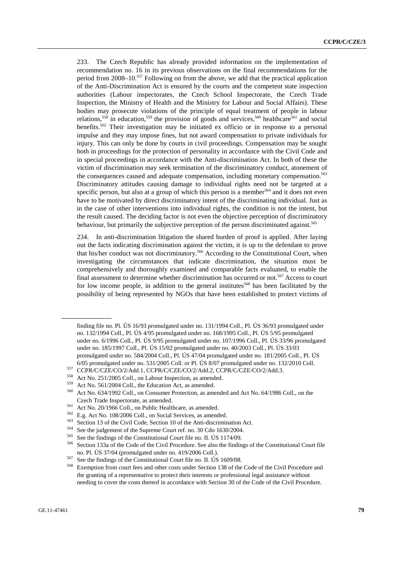233. The Czech Republic has already provided information on the implementation of recommendation no. 16 in its previous observations on the final recommendations for the period from 2008–10.557 Following on from the above, we add that the practical application of the Anti-Discrimination Act is ensured by the courts and the competent state inspection authorities (Labour inspectorates, the Czech School Inspectorate, the Czech Trade Inspection, the Ministry of Health and the Ministry for Labour and Social Affairs). These bodies may prosecute violations of the principle of equal treatment of people in labour relations,<sup>558</sup> in education,<sup>559</sup> the provision of goods and services,<sup>560</sup> healthcare<sup>561</sup> and social benefits.<sup>562</sup> Their investigation may be initiated ex officio or in response to a personal impulse and they may impose fines, but not award compensation to private individuals for injury. This can only be done by courts in civil proceedings. Compensation may be sought both in proceedings for the protection of personality in accordance with the Civil Code and in special proceedings in accordance with the Anti-discrimination Act. In both of these the victim of discrimination may seek termination of the discriminatory conduct, atonement of the consequences caused and adequate compensation, including monetary compensation.<sup>563</sup> Discriminatory attitudes causing damage to individual rights need not be targeted at a specific person, but also at a group of which this person is a member  $564$  and it does not even have to be motivated by direct discriminatory intent of the discriminating individual. Just as in the case of other interventions into individual rights, the condition is not the intent, but the result caused. The deciding factor is not even the objective perception of discriminatory behaviour, but primarily the subjective perception of the person discriminated against.<sup>565</sup>

234. In anti-discrimination litigation the shared burden of proof is applied. After laying out the facts indicating discrimination against the victim, it is up to the defendant to prove that his/her conduct was not discriminatory.566 According to the Constitutional Court, when investigating the circumstances that indicate discrimination, the situation must be comprehensively and thoroughly examined and comparable facts evaluated, to enable the final assessment to determine whether discrimination has occurred or not.<sup>567</sup> Access to court for low income people, in addition to the general institutes<sup>568</sup> has been facilitated by the possibility of being represented by NGOs that have been established to protect victims of

finding file no. Pl. ÚS 16/93 promulgated under no. 131/1994 Coll., Pl. ÚS 36/93 promulgated under no. 132/1994 Coll., Pl. ÚS 4/95 promulgated under no. 168/1995 Coll., Pl. ÚS 5/95 promulgated under no. 6/1996 Coll., Pl. ÚS 9/95 promulgated under no. 107/1996 Coll., Pl. ÚS 33/96 promulgated under no. 185/1997 Coll., Pl. ÚS 15/02 promulgated under no. 40/2003 Coll., Pl. ÚS 33/03 promulgated under no. 584/2004 Coll., Pl. ÚS 47/04 promulgated under no. 181/2005 Coll., Pl. ÚS

<sup>6/05</sup> promulgated under no. 531/2005 Coll. or Pl. ÚS 8/07 promulgated under no. 132/2010 Coll.<br>
<sup>557</sup> CCPR/C/CZE/CO/2/Add.1, CCPR/C/CZE/CO/2/Add.2, CCPR/C/CZE/CO/2/Add.3.<br>
<sup>558</sup> Act No. 251/2005 Coll., on Labour Inspection

Czech Trade Inspectorate, as amended.<br>
<sup>561</sup> Act No. 20/1966 Coll., on Public Healthcare, as amended.<br>
<sup>562</sup> E.g. Act No. 108/2006 Coll., on Social Services, as amended.<br>
<sup>563</sup> Section 13 of the Civil Code, Section 10 of t no. Pl. ÚS 37/04 (promulgated under no. 419/2006 Coll.).<br>
<sup>567</sup> See the findings of the Constitutional Court file no. II. ÚS 1609/08.<br>
<sup>568</sup> Exemption from court fees and other costs under Section 138 of the Code of the Ci

the granting of a representative to protect their interests or professional legal assistance without needing to cover the costs thereof in accordance with Section 30 of the Code of the Civil Procedure.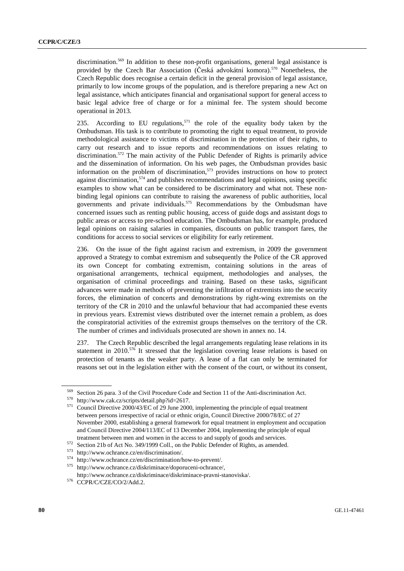discrimination.<sup>569</sup> In addition to these non-profit organisations, general legal assistance is provided by the Czech Bar Association (Česká advokátní komora).<sup>570</sup> Nonetheless, the Czech Republic does recognise a certain deficit in the general provision of legal assistance, primarily to low income groups of the population, and is therefore preparing a new Act on legal assistance, which anticipates financial and organisational support for general access to basic legal advice free of charge or for a minimal fee. The system should become operational in 2013.

235. According to EU regulations,<sup>571</sup> the role of the equality body taken by the Ombudsman. His task is to contribute to promoting the right to equal treatment, to provide methodological assistance to victims of discrimination in the protection of their rights, to carry out research and to issue reports and recommendations on issues relating to discrimination.<sup>572</sup> The main activity of the Public Defender of Rights is primarily advice and the dissemination of information. On his web pages, the Ombudsman provides basic information on the problem of discrimination, $573$  provides instructions on how to protect against discrimination, $574$  and publishes recommendations and legal opinions, using specific examples to show what can be considered to be discriminatory and what not. These nonbinding legal opinions can contribute to raising the awareness of public authorities, local governments and private individuals.<sup>575</sup> Recommendations by the Ombudsman have concerned issues such as renting public housing, access of guide dogs and assistant dogs to public areas or access to pre-school education. The Ombudsman has, for example, produced legal opinions on raising salaries in companies, discounts on public transport fares, the conditions for access to social services or eligibility for early retirement.

236. On the issue of the fight against racism and extremism, in 2009 the government approved a Strategy to combat extremism and subsequently the Police of the CR approved its own Concept for combating extremism, containing solutions in the areas of organisational arrangements, technical equipment, methodologies and analyses, the organisation of criminal proceedings and training. Based on these tasks, significant advances were made in methods of preventing the infiltration of extremists into the security forces, the elimination of concerts and demonstrations by right-wing extremists on the territory of the CR in 2010 and the unlawful behaviour that had accompanied these events in previous years. Extremist views distributed over the internet remain a problem, as does the conspiratorial activities of the extremist groups themselves on the territory of the CR. The number of crimes and individuals prosecuted are shown in annex no. 14.

237. The Czech Republic described the legal arrangements regulating lease relations in its statement in 2010.<sup>576</sup> It stressed that the legislation covering lease relations is based on protection of tenants as the weaker party. A lease of a flat can only be terminated for reasons set out in the legislation either with the consent of the court, or without its consent,

<sup>&</sup>lt;sup>569</sup> Section 26 para. 3 of the Civil Procedure Code and Section 11 of the Anti-discrimination Act.<br><sup>570</sup> http://www.cak.cz/scripts/detail.php?id=2617.<br><sup>571</sup> Council Directive 2000/43/EC of 29 June 2000, implementing the between persons irrespective of racial or ethnic origin, Council Directive 2000/78/EC of 27 November 2000, establishing a general framework for equal treatment in employment and occupation and Council Directive 2004/113/EC of 13 December 2004, implementing the principle of equal

treatment between men and women in the access to and supply of goods and services.<br>
Section 21b of Act No. 349/1999 Coll., on the Public Defender of Rights, as amended.<br>
573 http://www.ochrance.cz/en/discrimination/.<br>
574

http://www.ochrance.cz/diskriminace/diskriminace-pravni-stanoviska/. 576 CCPR/C/CZE/CO/2/Add.2.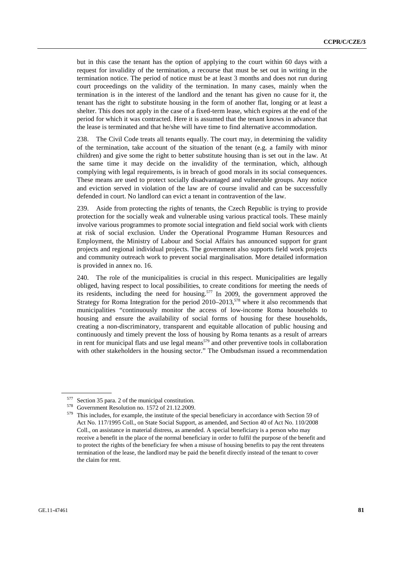but in this case the tenant has the option of applying to the court within 60 days with a request for invalidity of the termination, a recourse that must be set out in writing in the termination notice. The period of notice must be at least 3 months and does not run during court proceedings on the validity of the termination. In many cases, mainly when the termination is in the interest of the landlord and the tenant has given no cause for it, the tenant has the right to substitute housing in the form of another flat, longing or at least a shelter. This does not apply in the case of a fixed-term lease, which expires at the end of the period for which it was contracted. Here it is assumed that the tenant knows in advance that the lease is terminated and that he/she will have time to find alternative accommodation.

238. The Civil Code treats all tenants equally. The court may, in determining the validity of the termination, take account of the situation of the tenant (e.g. a family with minor children) and give some the right to better substitute housing than is set out in the law. At the same time it may decide on the invalidity of the termination, which, although complying with legal requirements, is in breach of good morals in its social consequences. These means are used to protect socially disadvantaged and vulnerable groups. Any notice and eviction served in violation of the law are of course invalid and can be successfully defended in court. No landlord can evict a tenant in contravention of the law.

239. Aside from protecting the rights of tenants, the Czech Republic is trying to provide protection for the socially weak and vulnerable using various practical tools. These mainly involve various programmes to promote social integration and field social work with clients at risk of social exclusion. Under the Operational Programme Human Resources and Employment, the Ministry of Labour and Social Affairs has announced support for grant projects and regional individual projects. The government also supports field work projects and community outreach work to prevent social marginalisation. More detailed information is provided in annex no. 16.

240. The role of the municipalities is crucial in this respect. Municipalities are legally obliged, having respect to local possibilities, to create conditions for meeting the needs of its residents, including the need for housing.577 In 2009, the government approved the Strategy for Roma Integration for the period  $2010-2013$ ,<sup>578</sup> where it also recommends that municipalities "continuously monitor the access of low-income Roma households to housing and ensure the availability of social forms of housing for these households, creating a non-discriminatory, transparent and equitable allocation of public housing and continuously and timely prevent the loss of housing by Roma tenants as a result of arrears in rent for municipal flats and use legal means<sup> $579$ </sup> and other preventive tools in collaboration with other stakeholders in the housing sector." The Ombudsman issued a recommendation

<sup>577</sup> Section 35 para. 2 of the municipal constitution.<br>
578 Government Resolution no. 1572 of 21.12.2009.<br>
579 This includes, for example, the institute of the special beneficiary in accordance with Section 59 of Act No. 117/1995 Coll., on State Social Support, as amended, and Section 40 of Act No. 110/2008 Coll., on assistance in material distress, as amended. A special beneficiary is a person who may receive a benefit in the place of the normal beneficiary in order to fulfil the purpose of the benefit and to protect the rights of the beneficiary fee when a misuse of housing benefits to pay the rent threatens termination of the lease, the landlord may be paid the benefit directly instead of the tenant to cover the claim for rent.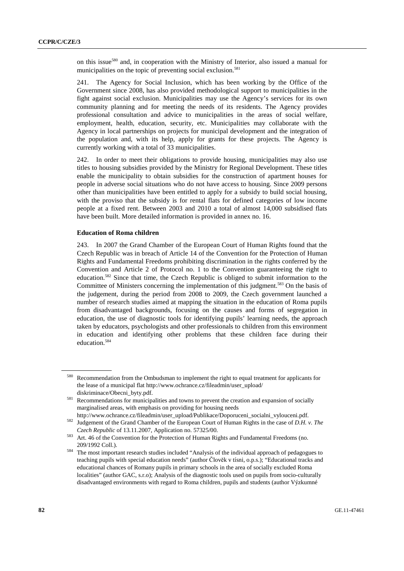on this issue<sup>580</sup> and, in cooperation with the Ministry of Interior, also issued a manual for municipalities on the topic of preventing social exclusion.<sup>581</sup>

241. The Agency for Social Inclusion, which has been working by the Office of the Government since 2008, has also provided methodological support to municipalities in the fight against social exclusion. Municipalities may use the Agency's services for its own community planning and for meeting the needs of its residents. The Agency provides professional consultation and advice to municipalities in the areas of social welfare, employment, health, education, security, etc. Municipalities may collaborate with the Agency in local partnerships on projects for municipal development and the integration of the population and, with its help, apply for grants for these projects. The Agency is currently working with a total of 33 municipalities.

242. In order to meet their obligations to provide housing, municipalities may also use titles to housing subsidies provided by the Ministry for Regional Development. These titles enable the municipality to obtain subsidies for the construction of apartment houses for people in adverse social situations who do not have access to housing. Since 2009 persons other than municipalities have been entitled to apply for a subsidy to build social housing, with the proviso that the subsidy is for rental flats for defined categories of low income people at a fixed rent. Between 2003 and 2010 a total of almost 14,000 subsidised flats have been built. More detailed information is provided in annex no. 16.

#### **Education of Roma children**

243. In 2007 the Grand Chamber of the European Court of Human Rights found that the Czech Republic was in breach of Article 14 of the Convention for the Protection of Human Rights and Fundamental Freedoms prohibiting discrimination in the rights conferred by the Convention and Article 2 of Protocol no. 1 to the Convention guaranteeing the right to education.582 Since that time, the Czech Republic is obliged to submit information to the Committee of Ministers concerning the implementation of this judgment.<sup>583</sup> On the basis of the judgement, during the period from 2008 to 2009, the Czech government launched a number of research studies aimed at mapping the situation in the education of Roma pupils from disadvantaged backgrounds, focusing on the causes and forms of segregation in education, the use of diagnostic tools for identifying pupils' learning needs, the approach taken by educators, psychologists and other professionals to children from this environment in education and identifying other problems that these children face during their education.<sup>584</sup>

<sup>580</sup> Recommendation from the Ombudsman to implement the right to equal treatment for applicants for the lease of a municipal flat http://www.ochrance.cz/fileadmin/user\_upload/

diskriminace/Obecni\_byty.pdf.<br><sup>581</sup> Recommendations for municipalities and towns to prevent the creation and expansion of socially marginalised areas, with emphasis on providing for housing needs

http://www.ochrance.cz/fileadmin/user\_upload/Publikace/Doporuceni\_socialni\_vylouceni.pdf. 582 Judgement of the Grand Chamber of the European Court of Human Rights in the case of *D.H. v. The* 

*Czech Republic* of 13.11.2007, Application no. 57325/00.<br><sup>583</sup> Art. 46 of the Convention for the Protection of Human Rights and Fundamental Freedoms (no.

<sup>209/1992</sup> Coll.). 584 The most important research studies included "Analysis of the individual approach of pedagogues to teaching pupils with special education needs" (author Člověk v tísni, o.p.s.); "Educational tracks and educational chances of Romany pupils in primary schools in the area of socially excluded Roma localities" (author GAC, s.r.o); Analysis of the diagnostic tools used on pupils from socio-culturally disadvantaged environments with regard to Roma children, pupils and students (author Výzkumné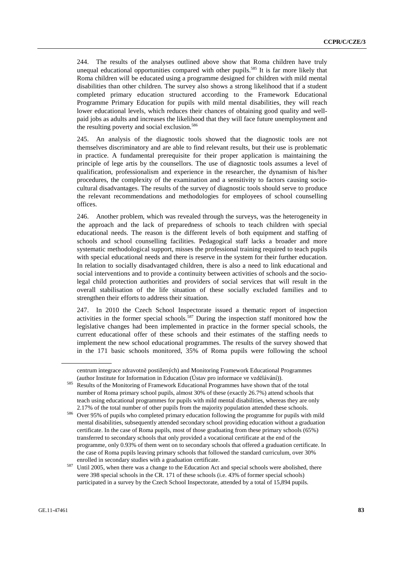244. The results of the analyses outlined above show that Roma children have truly unequal educational opportunities compared with other pupils.<sup>585</sup> It is far more likely that Roma children will be educated using a programme designed for children with mild mental disabilities than other children. The survey also shows a strong likelihood that if a student completed primary education structured according to the Framework Educational Programme Primary Education for pupils with mild mental disabilities, they will reach lower educational levels, which reduces their chances of obtaining good quality and wellpaid jobs as adults and increases the likelihood that they will face future unemployment and the resulting poverty and social exclusion.<sup>586</sup>

245. An analysis of the diagnostic tools showed that the diagnostic tools are not themselves discriminatory and are able to find relevant results, but their use is problematic in practice. A fundamental prerequisite for their proper application is maintaining the principle of lege artis by the counsellors. The use of diagnostic tools assumes a level of qualification, professionalism and experience in the researcher, the dynamism of his/her procedures, the complexity of the examination and a sensitivity to factors causing sociocultural disadvantages. The results of the survey of diagnostic tools should serve to produce the relevant recommendations and methodologies for employees of school counselling offices.

246. Another problem, which was revealed through the surveys, was the heterogeneity in the approach and the lack of preparedness of schools to teach children with special educational needs. The reason is the different levels of both equipment and staffing of schools and school counselling facilities. Pedagogical staff lacks a broader and more systematic methodological support, misses the professional training required to teach pupils with special educational needs and there is reserve in the system for their further education. In relation to socially disadvantaged children, there is also a need to link educational and social interventions and to provide a continuity between activities of schools and the sociolegal child protection authorities and providers of social services that will result in the overall stabilisation of the life situation of these socially excluded families and to strengthen their efforts to address their situation.

247. In 2010 the Czech School Inspectorate issued a thematic report of inspection activities in the former special schools.<sup>587</sup> During the inspection staff monitored how the legislative changes had been implemented in practice in the former special schools, the current educational offer of these schools and their estimates of the staffing needs to implement the new school educational programmes. The results of the survey showed that in the 171 basic schools monitored, 35% of Roma pupils were following the school

centrum integrace zdravotně postižených) and Monitoring Framework Educational Programmes

<sup>(</sup>author Institute for Information in Education (Ústav pro informace ve vzd<sup>ě</sup>lávání)). 585 Results of the Monitoring of Framework Educational Programmes have shown that of the total number of Roma primary school pupils, almost 30% of these (exactly 26.7%) attend schools that teach using educational programmes for pupils with mild mental disabilities, whereas they are only

<sup>2.17%</sup> of the total number of other pupils from the majority population attended these schools. 586 Over 95% of pupils who completed primary education following the programme for pupils with mild mental disabilities, subsequently attended secondary school providing education without a graduation certificate. In the case of Roma pupils, most of those graduating from these primary schools (65%) transferred to secondary schools that only provided a vocational certificate at the end of the programme, only 0.93% of them went on to secondary schools that offered a graduation certificate. In the case of Roma pupils leaving primary schools that followed the standard curriculum, over 30%

enrolled in secondary studies with a graduation certificate.<br>587 Until 2005, when there was a change to the Education Act and special schools were abolished, there were 398 special schools in the CR. 171 of these schools (i.e. 43% of former special schools) participated in a survey by the Czech School Inspectorate, attended by a total of 15,894 pupils.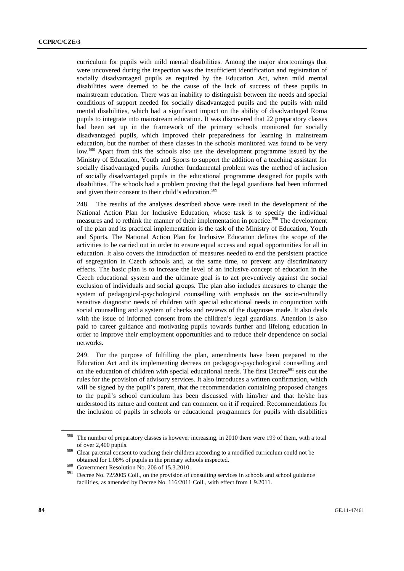curriculum for pupils with mild mental disabilities. Among the major shortcomings that were uncovered during the inspection was the insufficient identification and registration of socially disadvantaged pupils as required by the Education Act, when mild mental disabilities were deemed to be the cause of the lack of success of these pupils in mainstream education. There was an inability to distinguish between the needs and special conditions of support needed for socially disadvantaged pupils and the pupils with mild mental disabilities, which had a significant impact on the ability of disadvantaged Roma pupils to integrate into mainstream education. It was discovered that 22 preparatory classes had been set up in the framework of the primary schools monitored for socially disadvantaged pupils, which improved their preparedness for learning in mainstream education, but the number of these classes in the schools monitored was found to be very low.588 Apart from this the schools also use the development programme issued by the Ministry of Education, Youth and Sports to support the addition of a teaching assistant for socially disadvantaged pupils. Another fundamental problem was the method of inclusion of socially disadvantaged pupils in the educational programme designed for pupils with disabilities. The schools had a problem proving that the legal guardians had been informed and given their consent to their child's education.<sup>589</sup>

248. The results of the analyses described above were used in the development of the National Action Plan for Inclusive Education, whose task is to specify the individual measures and to rethink the manner of their implementation in practice.<sup>590</sup> The development of the plan and its practical implementation is the task of the Ministry of Education, Youth and Sports. The National Action Plan for Inclusive Education defines the scope of the activities to be carried out in order to ensure equal access and equal opportunities for all in education. It also covers the introduction of measures needed to end the persistent practice of segregation in Czech schools and, at the same time, to prevent any discriminatory effects. The basic plan is to increase the level of an inclusive concept of education in the Czech educational system and the ultimate goal is to act preventively against the social exclusion of individuals and social groups. The plan also includes measures to change the system of pedagogical-psychological counselling with emphasis on the socio-culturally sensitive diagnostic needs of children with special educational needs in conjunction with social counselling and a system of checks and reviews of the diagnoses made. It also deals with the issue of informed consent from the children's legal guardians. Attention is also paid to career guidance and motivating pupils towards further and lifelong education in order to improve their employment opportunities and to reduce their dependence on social networks.

249. For the purpose of fulfilling the plan, amendments have been prepared to the Education Act and its implementing decrees on pedagogic-psychological counselling and on the education of children with special educational needs. The first Decree<sup>591</sup> sets out the rules for the provision of advisory services. It also introduces a written confirmation, which will be signed by the pupil's parent, that the recommendation containing proposed changes to the pupil's school curriculum has been discussed with him/her and that he/she has understood its nature and content and can comment on it if required. Recommendations for the inclusion of pupils in schools or educational programmes for pupils with disabilities

<sup>588</sup> The number of preparatory classes is however increasing, in 2010 there were 199 of them, with a total of over 2,400 pupils. 589 Clear parental consent to teaching their children according to a modified curriculum could not be

obtained for 1.08% of pupils in the primary schools inspected.<br><sup>590</sup> Government Resolution No. 206 of 15.3.2010.<br><sup>591</sup> Decree No. 72/2005 Coll., on the provision of consulting services in schools and school guidance

facilities, as amended by Decree No. 116/2011 Coll., with effect from 1.9.2011.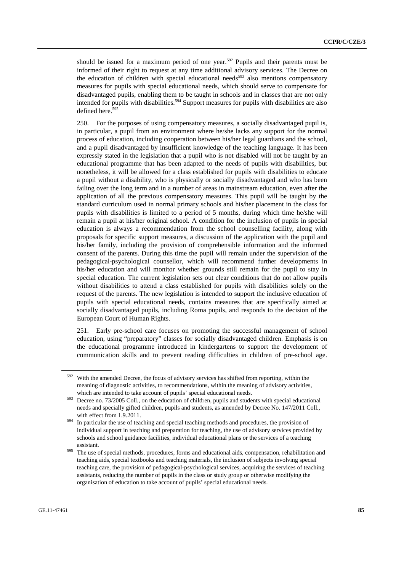should be issued for a maximum period of one year.<sup>592</sup> Pupils and their parents must be informed of their right to request at any time additional advisory services. The Decree on the education of children with special educational needs<sup>593</sup> also mentions compensatory measures for pupils with special educational needs, which should serve to compensate for disadvantaged pupils, enabling them to be taught in schools and in classes that are not only intended for pupils with disabilities.<sup>594</sup> Support measures for pupils with disabilities are also defined here.<sup>595</sup>

250. For the purposes of using compensatory measures, a socially disadvantaged pupil is, in particular, a pupil from an environment where he/she lacks any support for the normal process of education, including cooperation between his/her legal guardians and the school, and a pupil disadvantaged by insufficient knowledge of the teaching language. It has been expressly stated in the legislation that a pupil who is not disabled will not be taught by an educational programme that has been adapted to the needs of pupils with disabilities, but nonetheless, it will be allowed for a class established for pupils with disabilities to educate a pupil without a disability, who is physically or socially disadvantaged and who has been failing over the long term and in a number of areas in mainstream education, even after the application of all the previous compensatory measures. This pupil will be taught by the standard curriculum used in normal primary schools and his/her placement in the class for pupils with disabilities is limited to a period of 5 months, during which time he/she will remain a pupil at his/her original school. A condition for the inclusion of pupils in special education is always a recommendation from the school counselling facility, along with proposals for specific support measures, a discussion of the application with the pupil and his/her family, including the provision of comprehensible information and the informed consent of the parents. During this time the pupil will remain under the supervision of the pedagogical-psychological counsellor, which will recommend further developments in his/her education and will monitor whether grounds still remain for the pupil to stay in special education. The current legislation sets out clear conditions that do not allow pupils without disabilities to attend a class established for pupils with disabilities solely on the request of the parents. The new legislation is intended to support the inclusive education of pupils with special educational needs, contains measures that are specifically aimed at socially disadvantaged pupils, including Roma pupils, and responds to the decision of the European Court of Human Rights.

251. Early pre-school care focuses on promoting the successful management of school education, using "preparatory" classes for socially disadvantaged children. Emphasis is on the educational programme introduced in kindergartens to support the development of communication skills and to prevent reading difficulties in children of pre-school age.

<sup>&</sup>lt;sup>592</sup> With the amended Decree, the focus of advisory services has shifted from reporting, within the meaning of diagnostic activities, to recommendations, within the meaning of advisory activities, which are intended to take account of pupils' special educational needs.<br><sup>593</sup> Decree no. 73/2005 Coll., on the education of children, pupils and students with special educational

needs and specially gifted children, pupils and students, as amended by Decree No. 147/2011 Coll., with effect from 1.9.2011.<br><sup>594</sup> In particular the use of teaching and special teaching methods and procedures, the provision of

individual support in teaching and preparation for teaching, the use of advisory services provided by schools and school guidance facilities, individual educational plans or the services of a teaching

assistant. 595 The use of special methods, procedures, forms and educational aids, compensation, rehabilitation and teaching aids, special textbooks and teaching materials, the inclusion of subjects involving special teaching care, the provision of pedagogical-psychological services, acquiring the services of teaching assistants, reducing the number of pupils in the class or study group or otherwise modifying the organisation of education to take account of pupils' special educational needs.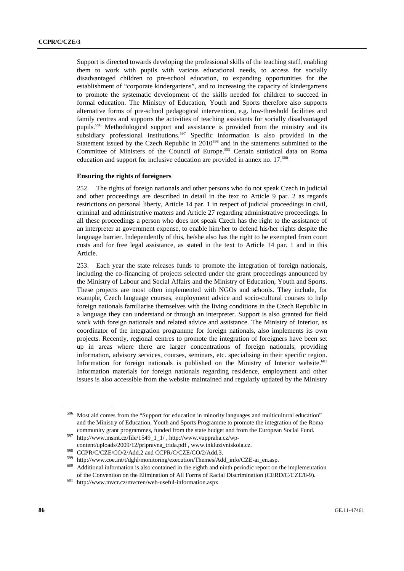Support is directed towards developing the professional skills of the teaching staff, enabling them to work with pupils with various educational needs, to access for socially disadvantaged children to pre-school education, to expanding opportunities for the establishment of "corporate kindergartens", and to increasing the capacity of kindergartens to promote the systematic development of the skills needed for children to succeed in formal education. The Ministry of Education, Youth and Sports therefore also supports alternative forms of pre-school pedagogical intervention, e.g. low-threshold facilities and family centres and supports the activities of teaching assistants for socially disadvantaged pupils.596 Methodological support and assistance is provided from the ministry and its subsidiary professional institutions.<sup>597</sup> Specific information is also provided in the Statement issued by the Czech Republic in  $2010^{598}$  and in the statements submitted to the Committee of Ministers of the Council of Europe.599 Certain statistical data on Roma education and support for inclusive education are provided in annex no. 17.<sup>600</sup>

### **Ensuring the rights of foreigners**

252. The rights of foreign nationals and other persons who do not speak Czech in judicial and other proceedings are described in detail in the text to Article 9 par. 2 as regards restrictions on personal liberty, Article 14 par. 1 in respect of judicial proceedings in civil, criminal and administrative matters and Article 27 regarding administrative proceedings. In all these proceedings a person who does not speak Czech has the right to the assistance of an interpreter at government expense, to enable him/her to defend his/her rights despite the language barrier. Independently of this, he/she also has the right to be exempted from court costs and for free legal assistance, as stated in the text to Article 14 par. 1 and in this Article.

253. Each year the state releases funds to promote the integration of foreign nationals, including the co-financing of projects selected under the grant proceedings announced by the Ministry of Labour and Social Affairs and the Ministry of Education, Youth and Sports. These projects are most often implemented with NGOs and schools. They include, for example, Czech language courses, employment advice and socio-cultural courses to help foreign nationals familiarise themselves with the living conditions in the Czech Republic in a language they can understand or through an interpreter. Support is also granted for field work with foreign nationals and related advice and assistance. The Ministry of Interior, as coordinator of the integration programme for foreign nationals, also implements its own projects. Recently, regional centres to promote the integration of foreigners have been set up in areas where there are larger concentrations of foreign nationals, providing information, advisory services, courses, seminars, etc. specialising in their specific region. Information for foreign nationals is published on the Ministry of Interior website. $601$ Information materials for foreign nationals regarding residence, employment and other issues is also accessible from the website maintained and regularly updated by the Ministry

Most aid comes from the "Support for education in minority languages and multicultural education" and the Ministry of Education, Youth and Sports Programme to promote the integration of the Roma community grant programmes, funded from the state budget and from the European Social Fund.<br>http://www.msmt.cz/file/1549\_1\_1/ , http://www.vuppraha.cz/wp-

content/uploads/2009/12/pripravna\_trida.pdf, www.inkluzivniskola.cz.<br>
S98 CCPR/C/CZE/CO/2/Add.2 and CCPR/C/CZE/CO/2/Add.3.<br>
http://www.coe.int/t/dghl/monitoring/execution/Themes/Add\_info/CZE-ai\_en.asp.<br>
600 Additional info of the Convention on the Elimination of All Forms of Racial Discrimination (CERD/C/CZE/8-9). 601 http://www.mvcr.cz/mvcren/web-useful-information.aspx.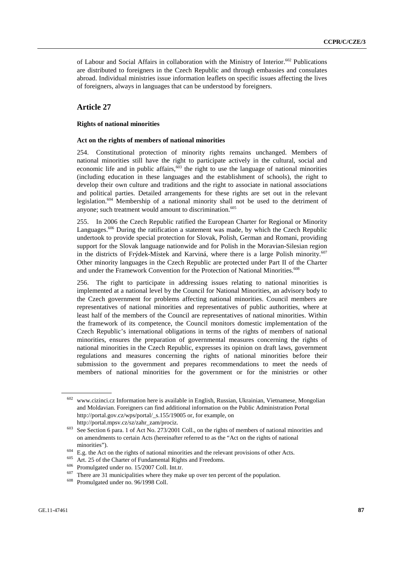of Labour and Social Affairs in collaboration with the Ministry of Interior.<sup>602</sup> Publications are distributed to foreigners in the Czech Republic and through embassies and consulates abroad. Individual ministries issue information leaflets on specific issues affecting the lives of foreigners, always in languages that can be understood by foreigners.

# **Article 27**

## **Rights of national minorities**

#### **Act on the rights of members of national minorities**

254. Constitutional protection of minority rights remains unchanged. Members of national minorities still have the right to participate actively in the cultural, social and economic life and in public affairs, $\frac{603}{ }$  the right to use the language of national minorities (including education in these languages and the establishment of schools), the right to develop their own culture and traditions and the right to associate in national associations and political parties. Detailed arrangements for these rights are set out in the relevant legislation.604 Membership of a national minority shall not be used to the detriment of anyone; such treatment would amount to discrimination.<sup>605</sup>

255. In 2006 the Czech Republic ratified the European Charter for Regional or Minority Languages.<sup>606</sup> During the ratification a statement was made, by which the Czech Republic undertook to provide special protection for Slovak, Polish, German and Romani, providing support for the Slovak language nationwide and for Polish in the Moravian-Silesian region in the districts of Frýdek-Místek and Karviná, where there is a large Polish minority.<sup>607</sup> Other minority languages in the Czech Republic are protected under Part II of the Charter and under the Framework Convention for the Protection of National Minorities.<sup>608</sup>

256. The right to participate in addressing issues relating to national minorities is implemented at a national level by the Council for National Minorities, an advisory body to the Czech government for problems affecting national minorities. Council members are representatives of national minorities and representatives of public authorities, where at least half of the members of the Council are representatives of national minorities. Within the framework of its competence, the Council monitors domestic implementation of the Czech Republic's international obligations in terms of the rights of members of national minorities, ensures the preparation of governmental measures concerning the rights of national minorities in the Czech Republic, expresses its opinion on draft laws, government regulations and measures concerning the rights of national minorities before their submission to the government and prepares recommendations to meet the needs of members of national minorities for the government or for the ministries or other

<sup>602</sup> www.cizinci.cz Information here is available in English, Russian, Ukrainian, Vietnamese, Mongolian and Moldavian. Foreigners can find additional information on the Public Administration Portal http://portal.gov.cz/wps/portal/\_s.155/19005 or, for example, on

http://portal.mpsv.cz/sz/zahr\_zam/prociz.<br><sup>603</sup> See Section 6 para. 1 of Act No. 273/2001 Coll., on the rights of members of national minorities and on amendments to certain Acts (hereinafter referred to as the "Act on the rights of national

minorities").<br>
<sup>604</sup> E.g. the Act on the rights of national minorities and the relevant provisions of other Acts.<br>
<sup>605</sup> Art. 25 of the Charter of Fundamental Rights and Freedoms.<br>
<sup>606</sup> Promulgated under no. 15/2007 Coll